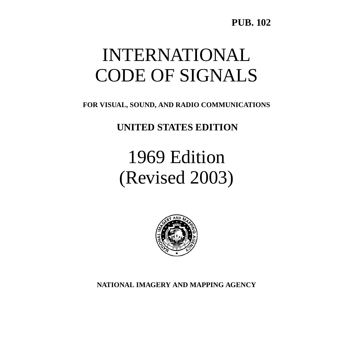## **PUB. 102**

# INTERNATIONAL CODE OF SIGNALS

## **FOR VISUAL, SOUND, AND RADIO COMMUNICATIONS**

## **UNITED STATES EDITION**

# 1969 Edition (Revised 2003)



**NATIONAL IMAGERY AND MAPPING AGENCY**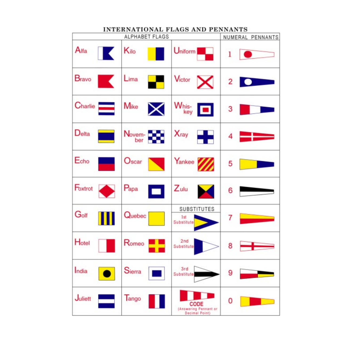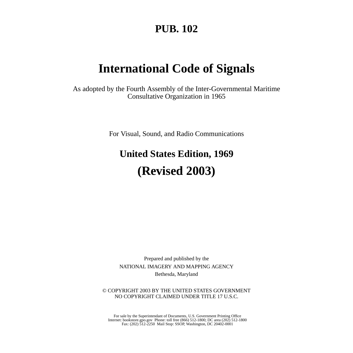## **PUB. 102**

## **International Code of Signals**

As adopted by the Fourth Assembly of the Inter-Governmental Maritime Consultative Organization in 1965

For Visual, Sound, and Radio Communications

## **United States Edition, 1969 (Revised 2003)**

Prepared and published by the NATIONAL IMAGERY AND MAPPING AGENCY Bethesda, Maryland

© COPYRIGHT 2003 BY THE UNITED STATES GOVERNMENT NO COPYRIGHT CLAIMED UNDER TITLE 17 U.S.C.

For sale by the Superintendant of Documents, U.S. Government Printing Office Internet: bookstore.gpo.gov Phone: toll free (866) 512-1800; DC area (202) 512-1800 Fax: (202) 512-2250 Mail Stop: SSOP, Washington, DC 20402-0001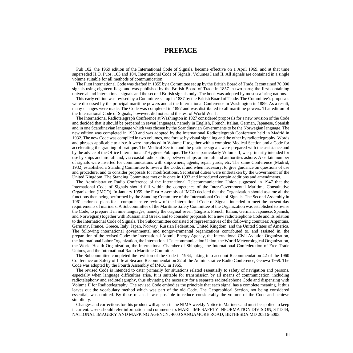#### **PREFACE**

Pub 102, the 1969 edition of the International Code of Signals, became effective on 1 April 1969, and at that time superseded H.O. Pubs. 103 and 104, International Code of Signals, Volumes I and II. All signals are contained in a single volume suitable for all methods of communication.

The First International Code was drafted in 1855 by a Committee set up by the British Board of Trade. It contained 70,000 signals using eighteen flags and was published by the British Board of Trade in 1857 in two parts; the first containing universal and international signals and the second British signals only. The book was adopted by most seafaring nations.

This early edition was revised by a Committee set up in 1887 by the British Board of Trade. The Committee's proposals were discussed by the principal maritime powers and at the International Conference in Washington in 1889. As a result, many changes were made. The Code was completed in 1897 and was distributed to all maritime powers. That edition of the International Code of Signals, however, did not stand the test of World War I.

The International Radiotelegraph Conference at Washington in 1927 considered proposals for a new revision of the Code and decided that it should be prepared in seven languages, namely in English, French, Italian, German, Japanese, Spanish and in one Scandinavian language which was chosen by the Scandinavian Governments to be the Norwegian language. The new edition was completed in 1930 and was adopted by the International Radiotelegraph Conference held in Madrid in 1932. The new Code was compiled in two volumes, one for use by visual signaling and the other by radiotelegraphy. Words and phrases applicable to aircraft were introduced in Volume II together with a complete Medical Section and a Code for accelerating the granting of pratique. The Medical Section and the pratique signals were prepared with the assistance and by the advice of the Office International d'Hygiene Publique. The Code, particularly Volume II, was primarily intended for use by ships and aircraft and, via coastal radio stations, between ships or aircraft and authorities ashore. A certain number of signals were inserted for communications with shipowners, agents, repair yards, etc. The same Conference (Madrid, 1932) established a Standing Committee to review the Code, if and when necessary, to give guidance on questions of use and procedure, and to consider proposals for modifications. Secretarial duties were undertaken by the Government of the United Kingdom. The Standing Committee met only once in 1933 and introduced certain additions and amendments.

The Administrative Radio Conference of the International Telecommunication Union suggested in 1947 that the International Code of Signals should fall within the competence of the Inter-Governmental Maritime Consultative Organization (IMCO). In January 1959, the First Assembly of IMCO decided that the Organization should assume all the functions then being performed by the Standing Committee of the International Code of Signals. The Second Assembly in 1961 endorsed plans for a comprehensive review of the International Code of Signals intended to meet the present day requirements of mariners. A Subcommittee of the Maritime Safety Committee of the Organization was established to revise the Code, to prepare it in nine languages, namely the original seven (English, French, Italian, German, Japanese, Spanish, and Norwegian) together with Russian and Greek, and to consider proposals for a new radiotelephone Code and its relation to the International Code of Signals. The Subcommittee consisted of representatives of the following countries: Argentina, Germany, France, Greece, Italy, Japan, Norway, Russian Federation, United Kingdom, and the United States of America. The following international governmental and nongovernmental organizations contributed to, and assisted in, the preparation of the revised Code: the International Atomic Energy Agency, the International Civil Aviation Organization, the International Labor Organization, the International Telecommunication Union, the World Meteorological Organization, the World Health Organization, the International Chamber of Shipping, the International Confederation of Free Trade Unions, and the International Radio Maritime Committee.

The Subcommittee completed the revision of the Code in 1964, taking into account Recommendation 42 of the 1960 Conference on Safety of Life at Sea and Recommendation 22 of the Administrative Radio Conference, Geneva 1959. The Code was adopted by the Fourth Assembly of IMCO in 1965.

The revised Code is intended to cater primarily for situations related essentially to safety of navigation and persons, especially when language difficulties arise. It is suitable for transmission by all means of communication, including radiotelephony and radiotelegraphy, thus obviating the necessity for a separate radiotelephone Code and dispensing with Volume II for Radiotelegraphy. The revised Code embodies the principle that each signal has a complete meaning. It thus leaves out the vocabulary method which was part of the old Code. The Geographical Section, not being considered essential, was omitted. By these means it was possible to reduce considerably the volume of the Code and achieve simplicity.

Changes and corrections for this product will appear in the NIMA weekly Notice to Mariners and must be applied to keep it current. Users should refer information and comments to: MARITIME SAFETY INFORMATION DIVISION, ST D 44, NATIONAL IMAGERY AND MAPPING AGENCY, 4600 SANGAMORE ROAD, BETHESDA MD 20816-5003.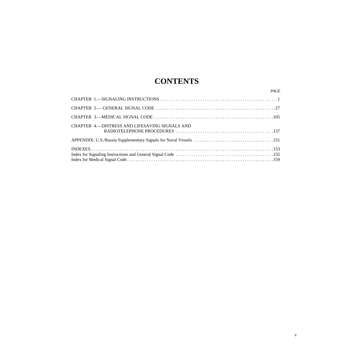## **CONTENTS**

| CHAPTER 4. - DISTRESS AND LIFESAVING SIGNALS AND |  |
|--------------------------------------------------|--|
|                                                  |  |
|                                                  |  |
|                                                  |  |
|                                                  |  |
|                                                  |  |
|                                                  |  |

*PAGE*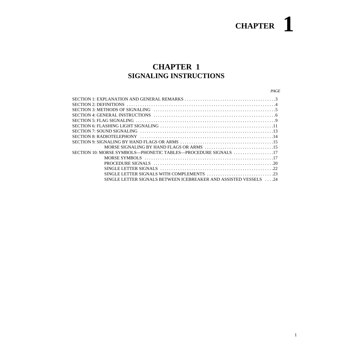*PAGE*

## **CHAPTER 1 SIGNALING INSTRUCTIONS**

| SECTION 10: MORSE SYMBOLS—PHONETIC TABLES—PROCEDURE SIGNALS      |  |
|------------------------------------------------------------------|--|
|                                                                  |  |
|                                                                  |  |
|                                                                  |  |
|                                                                  |  |
| SINGLE LETTER SIGNALS BETWEEN ICEBREAKER AND ASSISTED VESSELS 24 |  |
|                                                                  |  |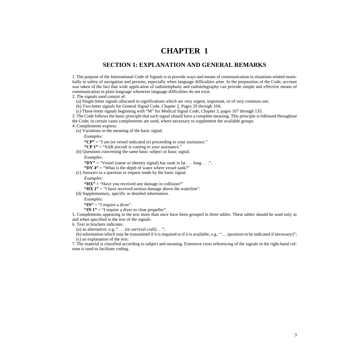#### **SECTION 1: EXPLANATION AND GENERAL REMARKS**

<span id="page-6-0"></span>1. The purpose of the International Code of Signals is to provide ways and means of communication in situations related essentially to safety of navigation and persons, especially when language difficulties arise. In the preparation of the Code, account was taken of the fact that wide application of radiotelephony and radiotelegraphy can provide simple and effective means of communication in plain language whenever language difficulties do not exist.

2. The signals used consist of:

(a) Single-letter signals allocated to significations which are very urgent, important, or of very common use;

(b) Two-letter signals for General Signal Code, Chapter 2, Pages 29 t[hro](#page-31-0)ugh 104;

(c) Three-letter signals beginning with "M" for Medical Signal Code, Chapter 3, [page](#page-106-0)s 107 t[hrou](#page--1-0)gh 135.

3. The Code follows the basic principle that each signal should have a complete meaning. This principle is fol[lowe](#page--1-0)d throughout the Code; in certain cases complements are used, where necessary to supplement the available groups.

4. Complements express:

(a) Variations in the meaning of the basic signal.

*Examples:*

**"CP"** = "I am (or vessel indicated is) proceeding to your assistance."

**"CP 1"** = "SAR aircraft is coming to your assistance."

(b) Questions concerning the same basic subject or basic signal.

*Examples:*

**"DY"** = "Vessel (name or identity signal) has sunk in lat  $\dots$  long.  $\dots$ ".

**"DY 4"** = "What is the depth of water where vessel sank?"

(c) Answers to a question or request made by the basic signal.

*Examples:*

"HX" = "Have you received any damage in collision?"

**"HX 1"** = "I have received serious damage above the waterline".

(d) Supplementary, specific or detailed information.

*Examples:*

**"IN"** = "I require a diver".

"IN 1" = "I require a diver to clear propeller".

5. Complements appearing in the text more than once have been grouped in three tables. These tables should be used only as and when specified in the text of the signals.

6. Text in brackets indicates:

(a) an alternative, e.g.: " $\dots$  (or survival craft).  $\dots$ ";

(b) information which may be transmitted if it is required or if it is available, e.g.: ". . . (position to be indicated if necessary)"; (c) an explanation of the text.

7. The material is classified according to subject and meaning. Extensive cross referencing of the signals in the right-hand column is used to facilitate coding.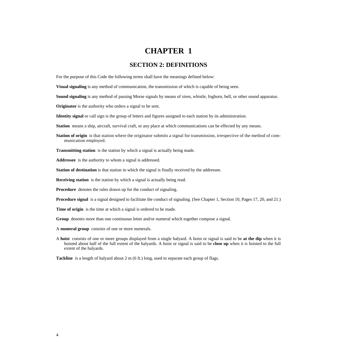#### **SECTION 2: DEFINITIONS**

<span id="page-7-0"></span>For the purpose of this Code the following terms shall have the meanings defined below:

**Visual signaling** is any method of communication, the transmission of which is capable of being seen.

**Sound signaling** is any method of passing Morse signals by means of siren, whistle, foghorn, bell, or other sound apparatus.

**Originator** is the authority who orders a signal to be sent.

**Identity signal** or call sign is the group of letters and figures assigned to each station by its administration.

**Station** means a ship, aircraft, survival craft, or any place at which communications can be effected by any means.

**Station of origin** is that station where the originator submits a signal for transmission, irrespective of the method of communication employed.

**Transmitting station** is the station by which a signal is actually being made.

**Addressee** is the authority to whom a signal is addressed.

**Station of destination** is that station in which the signal is finally received by the addressee.

**Receiving station** is the station by which a signal is actually being read.

**Procedure** denotes the rules drawn up for the conduct of signaling.

**Procedure signal** is a signal designed to facilitate the conduct of signaling. (See Chapter 1, Section 10, Pages [17,](#page-20-0) [20,](#page-23-0) and [21](#page-24-0).)

**Time of origin** is the time at which a signal is ordered to be made.

**Group** denotes more than one continuous letter and/or numeral which together compose a signal.

A **numeral group** consists of one or more numerals.

A **hoist** consists of one or more groups displayed from a single halyard. A hoist or signal is said to be **at the dip** when it is hoisted about half of the full extent of the halyards. A hoist or signal is said to be **close up** when it is hoisted to the full extent of the halyards.

**Tackline** is a length of halyard about 2 m (6 ft.) long, used to separate each group of flags.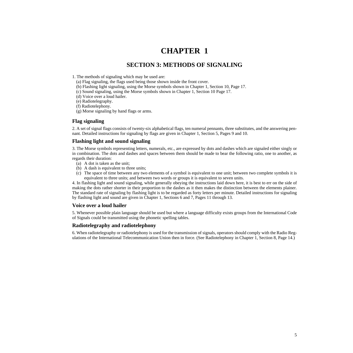### **SECTION 3: METHODS OF SIGNALING**

<span id="page-8-0"></span>1. The methods of signaling which may be used are:

- (a) Flag signaling, the flags used being those shown inside the front cover.
- (b) Flashing light signaling, using the Morse symbols shown in Chapter 1, Section 10, Page 17.
- (c) Sound signaling, using the Morse symbols shown in Chapter 1, Section 10 Page 17.
- (d) Voice over a loud hailer.
- (e) Radiotelegraphy.
- (f) Radiotelephony.
- (g) Morse signaling by hand flags or arms.

#### **Flag signaling**

2. A set of signal flags consists of twenty-six alphabetical flags, ten numeral pennants, three substitutes, and the answering pennant. Detailed instructions for signaling by flags are given in Chapter 1, Section 5, Pages 9 an[d](#page-12-0) 10.

#### **Flashing light and sound signaling**

3. The Morse symbols representing letters, numerals, etc., are expressed by dots and dashes which are signaled either singly or in combination. The dots and dashes and spaces between them should be made to bear the following ratio, one to another, as regards their duration:

- (a) A dot is taken as the unit;
- (b) A dash is equivalent to three units;
- (c) The space of time between any two elements of a symbol is equivalent to one unit; between two complete symbols it is equivalent to three units; and between two words or groups it is equivalent to seven units.

4. In flashing light and sound signaling, while generally obeying the instructions laid down here, it is best to err on the side of making the dots rather shorter in their proportion to the dashes as it then makes the distinction between the elements plainer. The standard rate of signaling by flashing light is to be regarded as forty letters per minute. Detailed instructions for signaling by flashing light and sound are given in Chapter 1, Sections 6 and 7, Pages 11 [thr](#page-14-0)ough 13.

#### **Voice over a loud hailer**

5. Whenever possible plain language should be used but where a language difficulty exists groups from the International Code of Signals could be transmitted using the phonetic spelling tables.

#### **Radiotelegraphy and radiotelephony**

6. When radiotelegraphy or radiotelephony is used for the transmission of signals, operators should comply with the Radio Regulations of the International Telecommunication Union then in force. (See Radiotelephony in Chapter 1, Section 8, Page [14.\)](#page-17-0)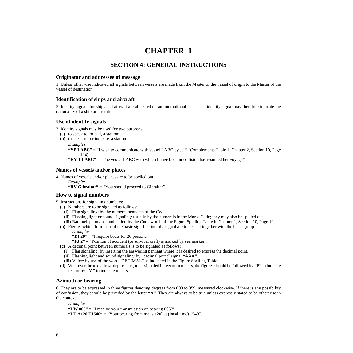### **SECTION 4: GENERAL INSTRUCTIONS**

#### <span id="page-9-0"></span>**Originator and addressee of message**

1. Unless otherwise indicated all signals between vessels are made from the Master of the vessel of origin to the Master of the vessel of destination.

#### **Identification of ships and aircraft**

2. Identity signals for ships and aircraft are allocated on an international basis. The identity signal may therefore indicate the nationality of a ship or aircraft.

#### **Use of identity signals**

3. Identity signals may be used for two purposes:

- (a) to speak to, or call, a station;
- (b) to speak of, or indicate, a station. *Examples:*

**"YP LABC"** = "I wish to communicate with vessel LABC by . . ." (Complements Table 1, Chapter 2, Section 10, Page [104](#page-106-0)).

"HY 1 LABC" = "The vessel LABC with which I have been in collision has resumed her voyage".

#### **Names of vessels and/or places**

4. Names of vessels and/or places are to be spelled out.

*Example:*

**"RV Gibraltar"** = "You should proceed to Gibraltar".

#### **How to signal numbers**

5. Instructions for signaling numbers:

- (a) Numbers are to be signaled as follows:
	- (i) Flag signaling: by the numeral pennants of the Code.
	- (ii) Flashing light or sound signaling: usually by the numerals in the Morse Code; they may also be spelled out.
	- (iii) Radiotelephony or loud hailer: by the Code words of the Figure Spelling Table in Chapter 1, Section 10, Page 19.
- (b) Figures which form part of the basic signification of a signal are to be sent together with the basic group.
	- *Examples:* **"DI 20"** = "I require boats for 20 persons."
	- **"FJ 2"** = "Position of accident (or survival craft) is marked by sea marker".
- (c) A decimal point between numerals is to be signaled as follows:
	- (i) Flag signaling: by inserting the answering pennant where it is desired to express the decimal point.
	- (ii) Flashing light and sound signaling: by "decimal point" signal **"AAA"**.
	- (iii) Voice: by use of the word "DECIMAL" as indicated in the Figure Spelling Table.
- (d) Wherever the text allows depths, etc., to be signaled in feet or in meters, the figures should be followed by **"F"** to indicate feet or by **"M"** to indicate meters.

#### **Azimuth or bearing**

6. They are to be expressed in three figures denoting degrees from 000 to 359, measured clockwise. If there is any possibility of confusion, they should be preceded by the letter **"A"**. They are always to be true unless expressly stated to be otherwise in the context.

*Examples:*

**"LW 005"** = "I receive your transmission on bearing 005°".

**"LT A120 T1540"** = "Your bearing from me is  $120^{\circ}$  at (local time)  $1540$ ".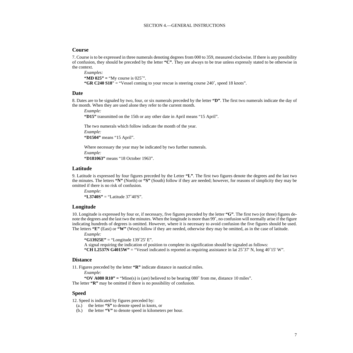#### **Course**

7. Course is to be expressed in three numerals denoting degrees from 000 to 359, measured clockwise. If there is any possibility of confusion, they should be preceded by the letter **"C"**. They are always to be true unless expressly stated to be otherwise in the context.

*Examples:*

**"MD 025"** = "My course is 025"".

"GR C240 S18" = "Vessel coming to your rescue is steering course 240°, speed 18 knots".

#### **Date**

8. Dates are to be signaled by two, four, or six numerals preceded by the letter **"D"**. The first two numerals indicate the day of the month. When they are used alone they refer to the current month.

*Example:*

**"D15"** transmitted on the 15th or any other date in April means "15 April".

The two numerals which follow indicate the month of the year.

*Example:*

**"D1504"** means "15 April".

Where necessary the year may be indicated by two further numerals. *Example:*

**"D181063"** means "18 October 1963".

#### **Latitude**

9. Latitude is expressed by four figures preceded by the Letter **"L"**. The first two figures denote the degrees and the last two the minutes. The letters **"N"** (North) or **"S"** (South) follow if they are needed; however, for reasons of simplicity they may be omitted if there is no risk of confusion.

*Example:* **"L3740S"** = "Latitude 37˚40'S".

#### **Longitude**

10. Longitude is expressed by four or, if necessary, five figures preceded by the letter **"G"**. The first two (or three) figures denote the degrees and the last two the minutes. When the longitude is more than 99˚, no confusion will normally arise if the figure indicating hundreds of degrees is omitted. However, where it is necessary to avoid confusion the five figures should be used. The letters **"E"** (East) or **"W"** (West) follow if they are needed, otherwise they may be omitted, as in the case of latitude.

*Example:*

**"G13925E"** = "Longitude 139˚25' E".

A signal requiring the indication of position to complete its signification should be signaled as follows: "CH L2537N G4015W" = "Vessel indicated is reported as requiring assistance in lat 25°37' N, long 40°15' W".

#### **Distance**

11. Figures preceded by the letter **"R"** indicate distance in nautical miles.

*Example:*

**"OV A080 R10" =** "Mine(s) is (are) believed to be bearing 080˚ from me, distance 10 miles".

The letter **"R"** may be omitted if there is no possibility of confusion.

#### **Speed**

12. Speed is indicated by figures preceded by:

(a.) the letter **"S"** to denote speed in knots, or

(b.) the letter **"V"** to denote speed in kilometers per hour.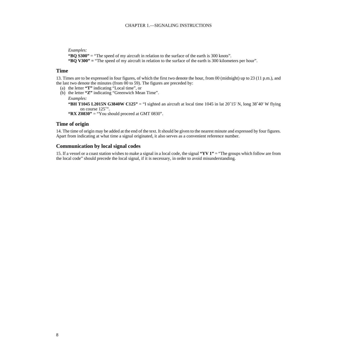*Examples:*

**"BQ S300"** = "The speed of my aircraft in relation to the surface of the earth is 300 knots".

**"BQ V300" =** "The speed of my aircraft in relation to the surface of the earth is 300 kilometers per hour".

#### **Time**

13. Times are to be expressed in four figures, of which the first two denote the hour, from 00 (midnight) up to 23 (11 p.m.), and the last two denote the minutes (from 00 to 59). The figures are preceded by:

- (a) the letter **"T"** indicating "Local time", or
- (b) the letter **"Z"** indicating "Greenwich Mean Time".
	- *Examples:*

**"BH T1045 L2015N G3840W C125"** = "I sighted an aircraft at local time 1045 in lat 20˚15' N, long 38˚40' W flying on course 125˚".

**"RX Z0830"** = "You should proceed at GMT 0830".

#### **Time of origin**

14. The time of origin may be added at the end of the text. It should be given to the nearest minute and expressed by four figures. Apart from indicating at what time a signal originated, it also serves as a convenient reference number.

#### **Communication by local signal codes**

15. If a vessel or a coast station wishes to make a signal in a local code, the signal **"YV 1"** = "The groups which follow are from the local code" should precede the local signal, if it is necessary, in order to avoid misunderstanding.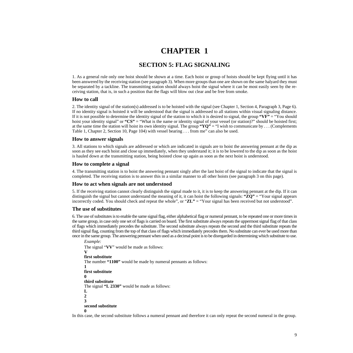#### **SECTION 5: FLAG SIGNALING**

<span id="page-12-0"></span>1. As a general rule only one hoist should be shown at a time. Each hoist or group of hoists should be kept flying until it has been answered by the receiving station (see paragraph 3). When more groups than one are shown on the same halyard they must be separated by a tackline. The transmitting station should always hoist the signal where it can be most easily seen by the receiving station, that is, in such a position that the flags will blow out clear and be free from smoke.

#### **How to call**

2. The identity signal of the station(s) addressed is to be hoisted with the signal (see Chapter 1, Section 4, Paragraph 3, Page 6). If no identity signal is hoisted it will be understood that the signal is addressed to all stations within visual signaling distance. If it is not possible to determine the identity signal of the station to which it is desired to signal, the group **"VF"** = "You should hoist your identity signal" or "CS" = "What is the name or identity signal of your vessel (or station)?" should be hoisted first; at the same time the station will hoist its own identity signal. The group  $\mathbf{YQ}^{\prime\prime} = \mathbf{T}$  wish to communicate by ... (Complements Table 1, Chapter 2, Section 10, Page 1[04\) w](#page-106-0)ith vessel bearing . . . from me" can also be used.

#### **How to answer signals**

3. All stations to which signals are addressed or which are indicated in signals are to hoist the answering pennant at the dip as soon as they see each hoist and close up immediately, when they understand it; it is to be lowered to the dip as soon as the hoist is hauled down at the transmitting station, being hoisted close up again as soon as the next hoist is understood.

#### **How to complete a signal**

4. The transmitting station is to hoist the answering pennant singly after the last hoist of the signal to indicate that the signal is completed. The receiving station is to answer this in a similar manner to all other hoists (see paragraph 3 on this page).

#### **How to act when signals are not understood**

5. If the receiving station cannot clearly distinguish the signal made to it, it is to keep the answering pennant at the dip. If it can distinguish the signal but cannot understand the meaning of it, it can hoist the following signals: **"ZQ"** = "Your signal appears incorrectly coded. You should check and repeat the whole", or "**ZL"** = "Your signal has been received but not understood".

#### **The use of substitutes**

6. The use of substitutes is to enable the same signal flag, either alphabetical flag or numeral pennant, to be repeated one or more times in the same group, in case only one set of flags is carried on board. The first substitute always repeats the uppermost signal flag of that class of flags which immediately precedes the substitute. The second substitute always repeats the second and the third substitute repeats the third signal flag, counting from the top of that class of flags which immediately precedes them. No substitute can ever be used more than once in the same group. The answering pennant when used as a decimal point is to be disregarded in determining which substitute to use.

```
Example:
The signal "VV" would be made as follows:
V
first substitute
The number "1100" would be made by numeral pennants as follows:
1
first substitute
0
third substitute
The signal "L 2330" would be made as follows:
L
2
3
second substitute
0
```
In this case, the second substitute follows a numeral pennant and therefore it can only repeat the second numeral in the group.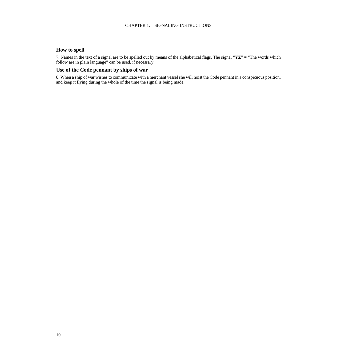#### **How to spell**

7. Names in the text of a signal are to be spelled out by means of the alphabetical flags. The signal "**YZ**" = "The words which follow are in plain language" can be used, if necessary.

#### **Use of the Code pennant by ships of war**

8. When a ship of war wishes to communicate with a merchant vessel she will hoist the Code pennant in a conspicuous position, and keep it flying during the whole of the time the signal is being made.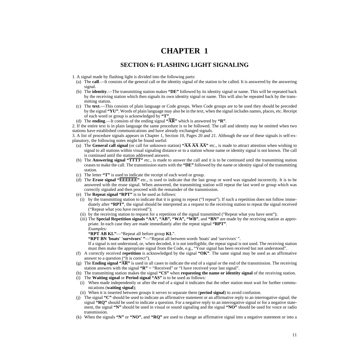#### **SECTION 6: FLASHING LIGHT SIGNALING**

<span id="page-14-0"></span>1. A signal made by flashing light is divided into the following parts:

- (a) The **call**.—It consists of the general call or the identity signal of the station to be called. It is answered by the answering signal.
- (b) The **identity**.—The transmitting station makes **"DE"** followed by its identity signal or name. This will be repeated back by the receiving station which then signals its own identity signal or name. This will also be repeated back by the transmitting station.
- (c) The **text**.—This consists of plain language or Code groups. When Code groups are to be used they should be preceded by the signal **"YU"**. Words of plain language may also be in the text, when the signal includes names, places, etc. Receipt of each word or group is acknowledged by **"T"**.
- (d) The **ending**.—It consists of the ending signal **"AR"** which is answered by **"R"**.

2. If the entire text is in plain language the same procedure is to be followed. The call and identity may be omitted when two stations have established communications and have already exchanged signals.

3. A list of procedure signals appears in Chapter 1, Section 10, Pages [20](#page-23-0) an[d 21](#page-24-0). Although the use of these signals is self-explanatory, the following notes might be found useful:

- (a) The **General call signal** (or call for unknown station) **"AA AA AA"** etc., is made to attract attention when wishing to signal to all stations within visual signaling distance or to a station whose name or identity signal is not known. The call is continued until the station addressed answers.
- (b) The **Answering signal "TTTT"** etc., is made to answer the call and it is to be continued until the transmitting station ceases to make the call. The transmission starts with the **"DE"** followed by the name or identity signal of the transmitting station.
- (c) The letter **"T"** is used to indicate the receipt of each word or group.
- (d) The **Erase signal "EEEEEE"** etc., is used to indicate that the last group or word was signaled incorrectly. It is to be answered with the erase signal. When answered, the transmitting station will repeat the last word or group which was correctly signaled and then proceed with the remainder of the transmission.
- (e) The **Repeat signal "RPT"** is to be used as follows:
	- (i) by the transmitting station to indicate that it is going to repeat ("I repeat"). If such a repetition does not follow immediately after **"RPT"**, the signal should be interpreted as a request to the receiving station to repeat the signal received ("Repeat what you have received");
	- (ii) by the receiving station to request for a repetition of the signal transmitted ("Repeat what you have sent");
	- (iii) The **Special Repetition signals "AA", "AB", "WA", "WB"**, and **"BN"** are made by the receiving station as appropriate. In each case they are made immediately after the repeat signal **"RPT"**. *Examples:*

**"RPT AB KL"**—"Repeat all before group **KL**".

**"RPT BN 'boats' 'survivors' "**—"Repeat all between words 'boats' and 'survivors' ".

If a signal is not understood, or, when decoded, it is not intelligible, the repeat signal is not used. The receiving station must then make the appropriate signal from the Code, e.g., "Your signal has been received but not understood".

- (f) A correctly received **repetition** is acknowledged by the signal **"OK"**. The same signal may be used as an affirmative answer to a question ("It is correct").
- (g) The **Ending signal "AR"** is used in all cases to indicate the end of a signal or the end of the transmission. The receiving station answers with the signal  $\mathbf{R}'' = \mathbf{C}''$  are  $\mathbf{C}''$  or  $\mathbf{C}''$  have received your last signal".
- (h) The transmitting station makes the signal **"CS"** when **requesting the name or identity signal** of the receiving station.
- (i) The **Waiting signal** or **Period signal "AS"** is to be used as follows:
- (i) When made independently or after the end of a signal it indicates that the other station must wait for further communications (**waiting signal**);
- (ii) When it is inserted between groups it serves to separate them (**period signal**) to avoid confusion.
- (j) The signal **"C"** should be used to indicate an affirmative statement or an affirmative reply to an interrogative signal; the signal **"RQ"** should be used to indicate a question. For a negative reply to an interrogative signal or for a negative statement, the signal **"N"** should be used in visual or sound signaling and the signal **"NO"** should be used for voice or radio transmission.
- (k) When the signals **"N"** or **"NO"**, and **"RQ"** are used to change an affirmative signal into a negative statement or into a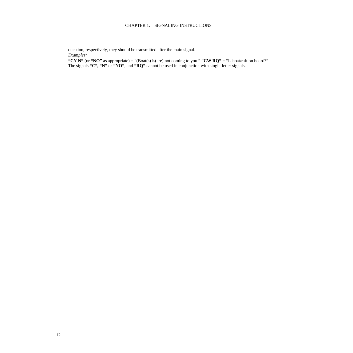#### CHAPTER 1.—SIGNALING INSTRUCTIONS

question, respectively, they should be transmitted after the main signal. *Examples:*

**"CY N"** (or **"NO"** as appropriate) = "(Boat(s) is(are) not coming to you." **"CW RQ"** = "Is boat/raft on board?" The signals **"C", "N"** or **"NO"**, and **"RQ"** cannot be used in conjunction with single-letter signals.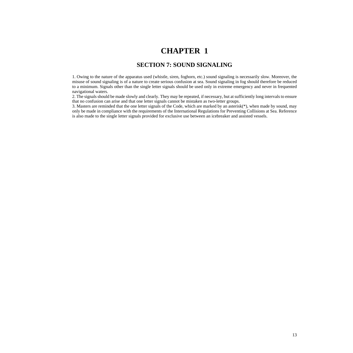#### **SECTION 7: SOUND SIGNALING**

<span id="page-16-0"></span>1. Owing to the nature of the apparatus used (whistle, siren, foghorn, etc.) sound signaling is necessarily slow. Moreover, the misuse of sound signaling is of a nature to create serious confusion at sea. Sound signaling in fog should therefore be reduced to a minimum. Signals other than the single letter signals should be used only in extreme emergency and never in frequented navigational waters.

2. The signals should be made slowly and clearly. They may be repeated, if necessary, but at sufficiently long intervals to ensure that no confusion can arise and that one letter signals cannot be mistaken as two-letter groups.

3. Masters are reminded that the one letter signals of the Code, which are marked by an asterisk(\*), when made by sound, may only be made in compliance with the requirements of the International Regulations for Preventing Collisions at Sea. Reference is also made to the single letter signals provided for exclusive use between an icebreaker and assisted vessels.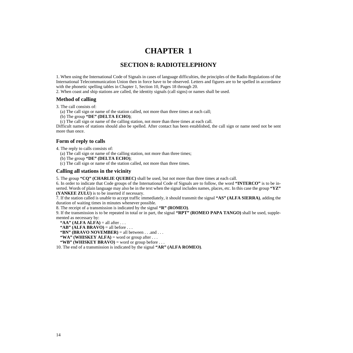### **SECTION 8: RADIOTELEPHONY**

<span id="page-17-0"></span>1. When using the International Code of Signals in cases of language difficulties, the principles of the Radio Regulations of the International Telecommunication Union then in force have to be observed. Letters and figures are to be spelled in accordance with the phonetic spelling tables in Chapter 1, Section 10, Pages 18 t[hro](#page-21-0)ugh 20.

2. When coast and ship stations are called, the identity signals (call signs) or na[mes](#page-23-0) shall be used.

#### **Method of calling**

3. The call consists of:

(a) The call sign or name of the station called, not more than three times at each call;

(b) The group **"DE" (DELTA ECHO)**;

(c) The call sign or name of the calling station, not more than three times at each call.

Difficult names of stations should also be spelled. After contact has been established, the call sign or name need not be sent more than once.

#### **Form of reply to calls**

4. The reply to calls consists of:

(a) The call sign or name of the calling station, not more than three times;

(b) The group **"DE" (DELTA ECHO)**;

(c) The call sign or name of the station called, not more than three times.

#### **Calling all stations in the vicinity**

5. The group **"CQ" (CHARLIE QUEBEC)** shall be used, but not more than three times at each call.

6. In order to indicate that Code groups of the International Code of Signals are to follow, the word **"INTERCO"** is to be inserted. Words of plain language may also be in the text when the signal includes names, places, etc. In this case the group **"YZ" (YANKEE ZULU)** is to be inserted if necessary.

7. If the station called is unable to accept traffic immediately, it should transmit the signal **"AS" (ALFA SIERRA)**, adding the duration of waiting times in minutes whenever possible.

8. The receipt of a transmission is indicated by the signal **"R" (ROMEO)**.

9. If the transmission is to be repeated in total or in part, the signal **"RPT" (ROMEO PAPA TANGO)** shall be used, supplemented as necessary by:

**"AA" (ALFA ALFA)** = all after  $\ldots$ 

"AB" (ALFA BRAVO) = all before  $\ldots$ 

**"BN" (BRAVO NOVEMBER)** = all between  $\ldots$  and  $\ldots$ 

**"WA" (WHISKEY ALFA)** = word or group after . . .

"WB" (WHISKEY BRAVO) = word or group before  $\dots$ 

10. The end of a transmission is indicated by the signal **"AR" (ALFA ROMEO)**.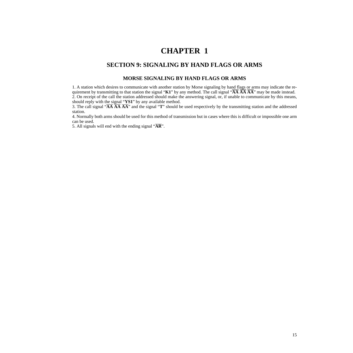#### <span id="page-18-0"></span>**SECTION 9: SIGNALING BY HAND FLAGS OR ARMS**

#### **MORSE SIGNALING BY HAND FLAGS OR ARMS**

1. A station which desires to communicate with another station by Morse signaling by hand flags or arms may indicate the requirement by transmitting to that station the signal "**K1**" by any method. The call signal "**AA AA AA**" may be made instead. 2. On receipt of the call the station addressed should make the answering signal, or, if unable to communicate by this means, should reply with the signal "**YS1**" by any available method.

3. The call signal "**AA AA AA**" and the signal "**T**" should be used respectively by the transmitting station and the addressed station.

4. Normally both arms should be used for this method of transmission but in cases where this is difficult or impossible one arm can be used.

5. All signals will end with the ending signal " $\overline{\mathbf{AR}}$ ".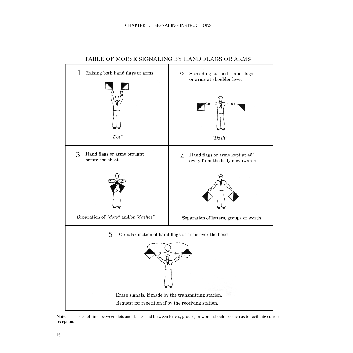

#### TABLE OF MORSE SIGNALING BY HAND FLAGS OR ARMS

Note: The space of time between dots and dashes and between letters, groups, or words should be such as to facilitate correct reception.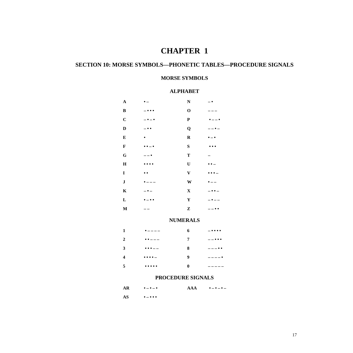### <span id="page-20-0"></span>**SECTION 10: MORSE SYMBOLS—PHONETIC TABLES—PROCEDURE SIGNALS**

#### **MORSE SYMBOLS**

#### **ALPHABET**

| A                       |                 | $\overline{\bf N}$ |  |
|-------------------------|-----------------|--------------------|--|
|                         |                 |                    |  |
| B                       |                 | $\mathbf 0$        |  |
| $\mathbf C$             |                 | $\mathbf P$        |  |
| D                       |                 | Q                  |  |
| E                       |                 | $\mathbf R$        |  |
| F                       |                 | $\mathbf S$        |  |
| G                       |                 | T                  |  |
| H                       |                 | $\mathbf U$        |  |
| $\mathbf I$             |                 | $\mathbf{V}$       |  |
| ${\bf J}$               |                 | W                  |  |
| K                       |                 | $\mathbf X$        |  |
| L                       |                 | $\mathbf Y$        |  |
| $\mathbf M$             |                 | $\mathbf{Z}$       |  |
|                         | <b>NUMERALS</b> |                    |  |
| $\mathbf{1}$            |                 | 6                  |  |
| $\overline{\mathbf{c}}$ |                 | $\overline{7}$     |  |
| 3                       |                 | 8                  |  |
| 4                       |                 | $\boldsymbol{9}$   |  |
| 5                       |                 | $\boldsymbol{0}$   |  |
| PROCEDURE SIGNALS       |                 |                    |  |

| AR | $\bullet$ $\_\bullet$ $\_\bullet$   | AA | $\bullet$ $\bullet$ $\bullet$ $\bullet$ $\bullet$ $\bullet$ |
|----|-------------------------------------|----|-------------------------------------------------------------|
| AS | $\bullet = \bullet \bullet \bullet$ |    |                                                             |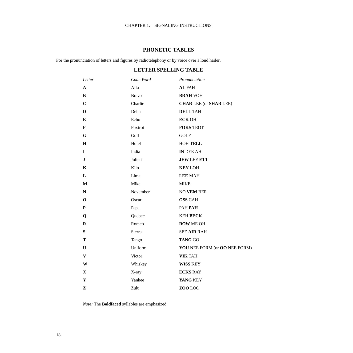#### CHAPTER 1.—SIGNALING INSTRUCTIONS

#### **PHONETIC TABLES**

<span id="page-21-0"></span>For the pronunciation of letters and figures by radiotelephony or by voice over a loud hailer.

#### **LETTER SPELLING TABLE**

| Letter       | Code Word    | Pronunciation                 |
|--------------|--------------|-------------------------------|
| $\mathbf{A}$ | Alfa         | <b>AL FAH</b>                 |
| $\, {\bf B}$ | <b>Bravo</b> | <b>BRAH VOH</b>               |
| $\mathbf C$  | Charlie      | <b>CHAR LEE (or SHAR LEE)</b> |
| $\mathbf{D}$ | Delta        | <b>DELL TAH</b>               |
| E            | Echo         | <b>ECK OH</b>                 |
| $\mathbf F$  | Foxtrot      | <b>FOKS TROT</b>              |
| G            | Golf         | <b>GOLF</b>                   |
| $\bf H$      | Hotel        | HOH TELL                      |
| $\mathbf I$  | India        | IN DEE AH                     |
| ${\bf J}$    | Juliett      | <b>JEW LEE ETT</b>            |
| $\mathbf K$  | Kilo         | <b>KEY LOH</b>                |
| ${\bf L}$    | Lima         | <b>LEE MAH</b>                |
| $\mathbf{M}$ | Mike         | <b>MIKE</b>                   |
| ${\bf N}$    | November     | <b>NO VEM BER</b>             |
| $\mathbf 0$  | Oscar        | <b>OSS CAH</b>                |
| ${\bf P}$    | Papa         | PAH PAH                       |
| Q            | Quebec       | <b>KEH BECK</b>               |
| $\bf R$      | Romeo        | <b>ROW ME OH</b>              |
| S            | Sierra       | <b>SEE AIR RAH</b>            |
| $\mathbf T$  | Tango        | <b>TANG GO</b>                |
| $\mathbf U$  | Uniform      | YOU NEE FORM (or OO NEE FORM) |
| $\mathbf{V}$ | Victor       | <b>VIK TAH</b>                |
| W            | Whiskey      | <b>WISS KEY</b>               |
| $\mathbf X$  | X-ray        | <b>ECKS RAY</b>               |
| $\mathbf Y$  | Yankee       | YANG KEY                      |
| Z            | Zulu         | <b>ZOO LOO</b>                |
|              |              |                               |

*Note:* The **Boldfaced** syllables are emphasized.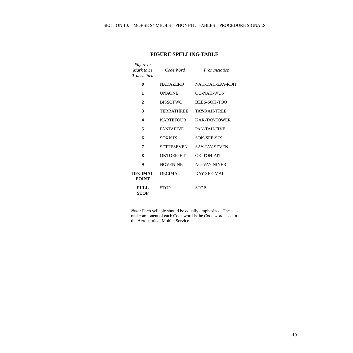#### SECTION 10.—MORSE SYMBOLS—PHONETIC TABLES—PROCEDURE SIGNALS

| <i>Figure or</i><br>Mark to be<br><b>Transmitted</b> | Code Word         | Pronunciation        |
|------------------------------------------------------|-------------------|----------------------|
| 0                                                    | <b>NADAZERO</b>   | NAH-DAH-ZAY-ROH      |
| 1                                                    | <b>UNAONE</b>     | OO-NAH-WUN           |
| $\mathbf{2}$                                         | <b>BISSOTWO</b>   | BEES-SOH-TOO         |
| 3                                                    | <b>TERRATHREE</b> | <b>TAY-RAH-TREE</b>  |
| $\boldsymbol{4}$                                     | <b>KARTEFOUR</b>  | <b>KAR-TAY-FOWER</b> |
| 5                                                    | <b>PANTAFIVE</b>  | PAN-TAH-FIVE         |
| 6                                                    | <b>SOXISIX</b>    | <b>SOK-SEE-SIX</b>   |
| 7                                                    | <b>SETTESEVEN</b> | <b>SAY-TAY-SEVEN</b> |
| 8                                                    | <b>OKTOEIGHT</b>  | OK-TOH-AIT           |
| 9                                                    | <b>NOVENINE</b>   | NO-VAY-NINER         |
| <b>DECIMAL</b><br><b>POINT</b>                       | DECIMAL           | DAY-SEE-MAL          |
| FULL<br><b>STOP</b>                                  | <b>STOP</b>       | <b>STOP</b>          |

#### **FIGURE SPELLING TABLE**

*Note:* Each syllable should be equally emphasized. The second component of each Code word is the Code word used in the Aeronautical Mobile Service.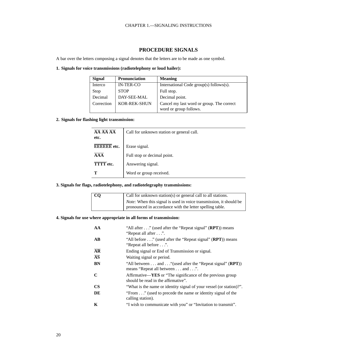#### CHAPTER 1.—SIGNALING INSTRUCTIONS

#### **PROCEDURE SIGNALS**

<span id="page-23-0"></span>A bar over the letters composing a signal denotes that the letters are to be made as one symbol.

#### **1. Signals for voice transmissions (radiotelephony or loud hailer):**

| Signal     | <b>Pronunciation</b> | <b>Meaning</b>                                                      |
|------------|----------------------|---------------------------------------------------------------------|
| Interco    | IN-TER-CO            | International Code group(s) follows(s).                             |
| Stop       | <b>STOP</b>          | Full stop.                                                          |
| Decimal    | DAY-SEE-MAL          | Decimal point.                                                      |
| Correction | KOR-REK-SHUN         | Cancel my last word or group. The correct<br>word or group follows. |

#### **2. Signals for flashing light transmission:**

| AA AA AA<br>etc.   | Call for unknown station or general call. |
|--------------------|-------------------------------------------|
| <b>EEEEEE</b> etc. | Erase signal.                             |
| <b>AAA</b>         | Full stop or decimal point.               |
| <b>TTTT</b> etc.   | Answering signal.                         |
| т                  | Word or group received.                   |

#### **3. Signals for flags, radiotelephony, and radiotelegraphy transmissions:**

| $\overline{c}$ | Call for unknown station(s) or general call to all stations.              |
|----------------|---------------------------------------------------------------------------|
|                | <i>Note:</i> When this signal is used in voice transmission, it should be |
|                | pronounced in accordance with the letter spelling table.                  |

#### **4. Signals for use where appropriate in all forms of transmission:**

| AA                                | "All after" (used after the "Repeat signal" (RPT)) means<br>"Repeat all after".                           |
|-----------------------------------|-----------------------------------------------------------------------------------------------------------|
| $\bf AB$                          | "All before $\dots$ " (used after the "Repeat signal" ( <b>RPT</b> )) means<br>"Repeat all before".       |
| $\overline{\mathbf{AR}}$          | Ending signal or End of Transmission or signal.                                                           |
| $\overline{\mathbf{A}\mathbf{S}}$ | Waiting signal or period.                                                                                 |
| BN                                | "All between and "(used after the "Repeat signal" $(RPT)$ )<br>means "Repeat all between and".            |
| C                                 | Affirmative— <b>YES</b> or "The significance of the previous group<br>should be read in the affirmative". |
| $\mathbf{CS}$                     | "What is the name or identity signal of your vessel (or station)?".                                       |
| DE                                | "From" (used to precede the name or identity signal of the<br>calling station).                           |
| K                                 | "I wish to communicate with you" or "Invitation to transmit".                                             |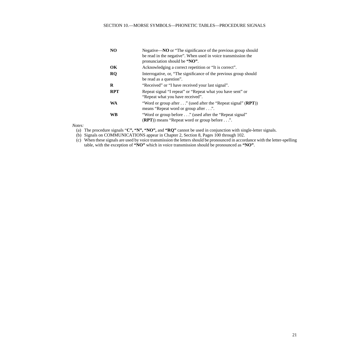<span id="page-24-0"></span>

| NO  | Negative—NO or "The significance of the previous group should                                                     |
|-----|-------------------------------------------------------------------------------------------------------------------|
|     | be read in the negative". When used in voice transmission the<br>pronunciation should be "NO".                    |
| OК  | Acknowledging a correct repetition or "It is correct".                                                            |
| RQ  | Interrogative, or, "The significance of the previous group should<br>be read as a question".                      |
| R   | "Received" or "I have received your last signal".                                                                 |
| RPT | Repeat signal "I repeat" or "Repeat what you have sent" or<br>"Repeat what you have received".                    |
| WA  | "Word or group after" (used after the "Repeat signal" (RPT))<br>means "Repeat word or group after".               |
| WВ  | "Word or group before" (used after the "Repeat signal"<br>$(RPT)$ ) means "Repeat word or group before $\dots$ ". |
|     |                                                                                                                   |

*Notes:*

- (a) The procedure signals "**C", "N", "NO",** and **"RQ"** cannot be used in conjunction with single-letter signals.
- (b) Signals on COMMUNICATIONS appear in Chapter 2, Section 8, Pages 10[0 thr](#page-102-0)ough 102.
- (c) When these signals are used by voice transmission the letters should be pronounced in acco[rdan](#page-104-0)ce with the letter-spelling table, with the exception of **"NO"** which in voice transmission should be pronounced as **"NO"**.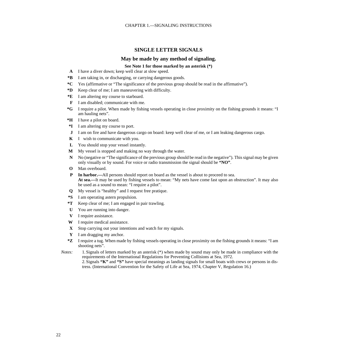#### CHAPTER 1.—SIGNALING INSTRUCTIONS

#### **SINGLE LETTER SIGNALS**

#### **May be made by any method of signaling.**

#### **See Note 1 for those marked by an asterisk (\*)**

- <span id="page-25-0"></span>**A** I have a diver down; keep well clear at slow speed.
- **\*B** I am taking in, or discharging, or carrying dangerous goods.
- **\*C** Yes (affirmative or "The significance of the previous group should be read in the affirmative").
- **\*D** Keep clear of me; I am maneuvering with difficulty.
- **\*E** I am altering my course to starboard.
- **F** I am disabled; communicate with me.
- **\*G** I require a pilot. When made by fishing vessels operating in close proximity on the fishing grounds it means: "I am hauling nets".
- **\*H** I have a pilot on board.
- **\*I** I am altering my course to port.
- **J** I am on fire and have dangerous cargo on board: keep well clear of me, or I am leaking dangerous cargo.
- **K** I wish to communicate with you.
- **L** You should stop your vessel instantly.
- **M** My vessel is stopped and making no way through the water.
- **N** No (negative or "The significance of the previous group should be read in the negative"). This signal may be given only visually or by sound. For voice or radio transmission the signal should be **"NO"**.
- **O** Man overboard.
- **P** In harbor.—All persons should report on board as the vessel is about to proceed to sea. **At sea.—**It may be used by fishing vessels to mean: "My nets have come fast upon an obstruction". It may also be used as a sound to mean: "I require a pilot".
- **Q** My vessel is "healthy" and I request free pratique.
- **\*S** I am operating astern propulsion.
- **\*T** Keep clear of me; I am engaged in pair trawling.
- **U** You are running into danger.
- **V** I require assistance.
- **W** I require medical assistance.
- **X** Stop carrying out your intentions and watch for my signals.
- **Y** I am dragging my anchor.
- **\*Z** I require a tug. When made by fishing vessels operating in close proximity on the fishing grounds it means: "I am shooting nets".

*Notes:* 1. Signals of letters marked by an asterisk (\*) when made by sound may only be made in compliance with the requirements of the International Regulations for Preventing Collisions at Sea, 1972.

2. Signals **"K"** and **"S"** have special meanings as landing signals for small boats with crews or persons in distress. (International Convention for the Safety of Life at Sea, 1974, Chapter V, Regulation 16.)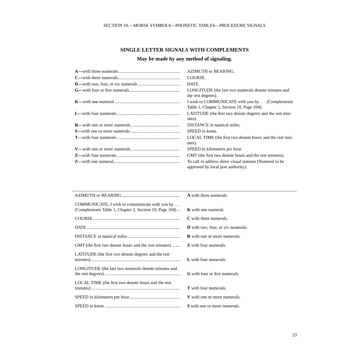### **SINGLE LETTER SIGNALS WITH COMPLEMENTS May be made by any method of signaling.**

<span id="page-26-0"></span>

| <b>AZIMUTH or BEARING.</b>                                                                    |
|-----------------------------------------------------------------------------------------------|
| COURSE.                                                                                       |
| DATE.                                                                                         |
| LONGITUDE (the last two numerals denote minutes and<br>the rest degrees).                     |
| I wish to COMMUNICATE with you by (Complements<br>Table 1, Chapter 2, Section 10, Page 104).  |
| LATITUDE (the first two denote degrees and the rest min-<br>utes).                            |
| DISTANCE in nautical miles.                                                                   |
| SPEED in knots.                                                                               |
| LOCAL TIME (the first two denote hours and the rest min-<br>utes).                            |
| SPEED in kilometers per hour.                                                                 |
| GMT (the first two denote hours and the rest minutes).                                        |
| To call or address shore visual stations (Numeral to be<br>approved by local port authority). |

|                                                                                                          | <b>A</b> with three numerals.             |
|----------------------------------------------------------------------------------------------------------|-------------------------------------------|
| COMMUNICATE, I wish to communicate with you by<br>(Complements Table 1, Chapter 2, Section 10, Page 104) | <b>K</b> with one numeral.                |
|                                                                                                          | C with three numerals.                    |
|                                                                                                          | <b>D</b> with two, four, or six numerals. |
|                                                                                                          | <b>R</b> with one or more numerals.       |
| GMT (the first two denote hours and the rest minutes)                                                    | <b>Z</b> with four numerals.              |
| LATITUDE (the first two denote degrees and the rest                                                      | <b>L</b> with four numerals.              |
| LONGITUDE (the last two numerals denote minutes and                                                      | <b>G</b> with four or five numerals.      |
| LOCAL TIME (the first two denote hours and the rest                                                      | <b>T</b> with four numerals.              |
|                                                                                                          | V with one or more numerals.              |
|                                                                                                          | <b>S</b> with one or more numerals.       |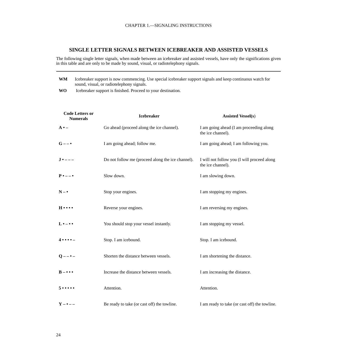#### <span id="page-27-0"></span>**SINGLE LETTER SIGNALS BETWEEN ICEBREAKER AND ASSISTED VESSELS**

The following single letter signals, when made between an icebreaker and assisted vessels, have only the significations given in this table and are only to be made by sound, visual, or radiotelephony signals.

- **WM** Icebreaker support is now commencing. Use special icebreaker support signals and keep continuous watch for sound, visual, or radiotelephony signals.
- **WO** Icebreaker support is finished. Proceed to your destination.

| <b>Code Letters or</b><br><b>Numerals</b> | <b>Icebreaker</b>                                 | <b>Assisted Vessel(s)</b>                                        |
|-------------------------------------------|---------------------------------------------------|------------------------------------------------------------------|
| $A \cdot -$                               | Go ahead (proceed along the ice channel).         | I am going ahead (I am proceeding along<br>the ice channel).     |
| $G --$                                    | I am going ahead; follow me.                      | I am going ahead; I am following you.                            |
| $J \bullet$ - - -                         | Do not follow me (proceed along the ice channel). | I will not follow you (I will proceed along<br>the ice channel). |
| $P \cdot - - \cdot$                       | Slow down.                                        | I am slowing down.                                               |
| $N - \bullet$                             | Stop your engines.                                | I am stopping my engines.                                        |
| $H \cdots$                                | Reverse your engines.                             | I am reversing my engines.                                       |
| $L \cdot - \cdot \cdot$                   | You should stop your vessel instantly.            | I am stopping my vessel.                                         |
| $4 \cdots$ .                              | Stop. I am icebound.                              | Stop. I am icebound.                                             |
| $Q \rightarrow -$                         | Shorten the distance between vessels.             | I am shortening the distance.                                    |
| $B - \cdot \cdot \cdot$                   | Increase the distance between vessels.            | I am increasing the distance.                                    |
| $5 \cdots \cdots$                         | Attention.                                        | Attention.                                                       |
| $Y - \bullet - -$                         | Be ready to take (or cast off) the towline.       | I am ready to take (or cast off) the towline.                    |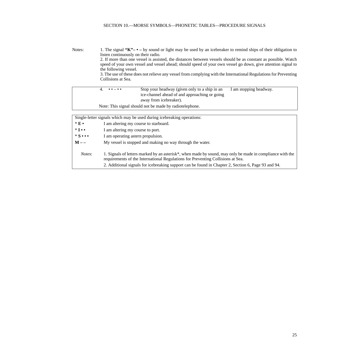#### SECTION 10.—MORSE SYMBOLS—PHONETIC TABLES—PROCEDURE SIGNALS

Notes: 1. The signal **"K"** – • – by sound or light may be used by an icebreaker to remind ships of their obligation to listen continuously on their radio.

2. If more than one vessel is assisted, the distances between vessels should be as constant as possible. Watch speed of your own vessel and vessel ahead; should speed of your own vessel go down, give attention signal to the following vessel.

3. The use of these does not relieve any vessel from complying with the International Regulations for Preventing Collisions at Sea.

| $\bullet\bullet\ldots\bullet\bullet$ | Stop your headway (given only to a ship in an           | I am stopping headway. |
|--------------------------------------|---------------------------------------------------------|------------------------|
|                                      | ice-channel ahead of and approaching or going           |                        |
|                                      | away from icebreaker).                                  |                        |
|                                      | Note: This signal should not be made by radiotelephone. |                        |

Single-letter signals which may be used during icebreaking operations:

- \* **E •** I am altering my course to starboard.
- \* **I •** I am altering my course to port.
- \* **S • •** I am operating astern propulsion.
- **M –** My vessel is stopped and making no way through the water.
- *Notes*: 1. Signals of letters marked by an asterisk\*, when made by sound, may only be made in compliance with the requirements of the International Regulations for Preventing Collisions at Sea.
	- 2. Additional signals for icebreaking support can be found in Chapter 2, Section 6, Page 93 [and](#page-95-0) 94.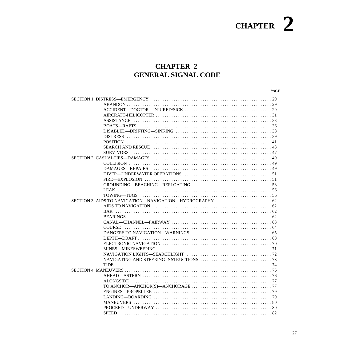## **CHAPTER 2 GENERAL SIGNAL CODE**

|                                                                                                                                                                 | PAGE |
|-----------------------------------------------------------------------------------------------------------------------------------------------------------------|------|
|                                                                                                                                                                 |      |
|                                                                                                                                                                 |      |
|                                                                                                                                                                 |      |
|                                                                                                                                                                 |      |
|                                                                                                                                                                 |      |
|                                                                                                                                                                 |      |
|                                                                                                                                                                 |      |
|                                                                                                                                                                 |      |
|                                                                                                                                                                 |      |
|                                                                                                                                                                 |      |
|                                                                                                                                                                 |      |
|                                                                                                                                                                 |      |
|                                                                                                                                                                 |      |
|                                                                                                                                                                 |      |
|                                                                                                                                                                 |      |
|                                                                                                                                                                 |      |
|                                                                                                                                                                 |      |
|                                                                                                                                                                 |      |
|                                                                                                                                                                 |      |
|                                                                                                                                                                 |      |
| AIDS TO NAVIGATION $\ldots$ , $\ldots$ , $\ldots$ , $\ldots$ , $\ldots$ , $\ldots$ , $\ldots$ , $\ldots$ , $\ldots$ , $\ldots$ , $\ldots$ , $\ldots$ , $\ldots$ |      |
|                                                                                                                                                                 |      |
|                                                                                                                                                                 |      |
|                                                                                                                                                                 |      |
|                                                                                                                                                                 |      |
|                                                                                                                                                                 |      |
|                                                                                                                                                                 |      |
|                                                                                                                                                                 |      |
|                                                                                                                                                                 |      |
|                                                                                                                                                                 |      |
|                                                                                                                                                                 |      |
|                                                                                                                                                                 |      |
|                                                                                                                                                                 |      |
|                                                                                                                                                                 |      |
|                                                                                                                                                                 |      |
|                                                                                                                                                                 |      |
|                                                                                                                                                                 |      |
|                                                                                                                                                                 |      |
|                                                                                                                                                                 |      |
|                                                                                                                                                                 |      |
|                                                                                                                                                                 |      |
| <b>SPEED</b>                                                                                                                                                    |      |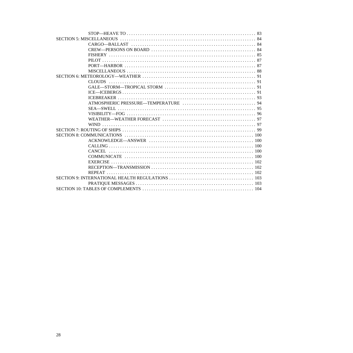| <b>SEA</b> —SWELL                                                                                                                                                                                                              |  |
|--------------------------------------------------------------------------------------------------------------------------------------------------------------------------------------------------------------------------------|--|
|                                                                                                                                                                                                                                |  |
|                                                                                                                                                                                                                                |  |
|                                                                                                                                                                                                                                |  |
|                                                                                                                                                                                                                                |  |
|                                                                                                                                                                                                                                |  |
|                                                                                                                                                                                                                                |  |
|                                                                                                                                                                                                                                |  |
| CANCEL (100) (100) (100) (100) (100) (100) (100) (100) (100) (100) (100) (100) (100) (100) (100) (100) (100) (100) (100) (100) (100) (100) (100) (100) (100) (100) (100) (100) (100) (100) (100) (100) (100) (100) (100) (100) |  |
|                                                                                                                                                                                                                                |  |
|                                                                                                                                                                                                                                |  |
|                                                                                                                                                                                                                                |  |
|                                                                                                                                                                                                                                |  |
|                                                                                                                                                                                                                                |  |
|                                                                                                                                                                                                                                |  |
|                                                                                                                                                                                                                                |  |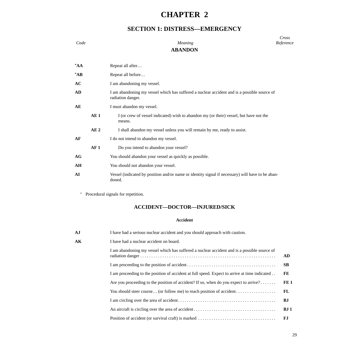## **SECTION 1: DISTRESS—EMERGENCY**

<span id="page-31-0"></span>*Code Meaning Reference*

*Cross*

#### **ABANDON**

| $^*AA$    |                 | Repeat all after                                                                                                 |
|-----------|-----------------|------------------------------------------------------------------------------------------------------------------|
| $^*AB$    |                 | Repeat all before                                                                                                |
| AC        |                 | I am abandoning my vessel.                                                                                       |
| <b>AD</b> |                 | I am abandoning my vessel which has suffered a nuclear accident and is a possible source of<br>radiation danger. |
| AE        |                 | I must abandon my vessel.                                                                                        |
|           | AE <sub>1</sub> | I (or crew of vessel indicated) wish to abandon my (or their) vessel, but have not the<br>means.                 |
|           | AE <sub>2</sub> | I shall abandon my vessel unless you will remain by me, ready to assist.                                         |
| AF        |                 | I do not intend to abandon my vessel.                                                                            |
|           | AF1             | Do you intend to abandon your vessel?                                                                            |
| AG        |                 | You should abandon your vessel as quickly as possible.                                                           |
| AH        |                 | You should not abandon your vessel.                                                                              |
| AI        |                 | Vessel (indicated by position and/or name or identity signal if necessary) will have to be aban-<br>doned.       |

\* Procedural signals for repetition.

#### **ACCIDENT—DOCTOR—INJURED/SICK**

#### **Accident**

| AJ | I have had a serious nuclear accident and you should approach with caution.                   |                 |
|----|-----------------------------------------------------------------------------------------------|-----------------|
| AК | I have had a nuclear accident on board.                                                       |                 |
|    | I am abandoning my vessel which has suffered a nuclear accident and is a possible source of   | <b>AD</b>       |
|    |                                                                                               | <b>SB</b>       |
|    | I am proceeding to the position of accident at full speed. Expect to arrive at time indicated | FE              |
|    | Are you proceeding to the position of accident? If so, when do you expect to arrive?          | FE <sub>1</sub> |
|    | You should steer course (or follow me) to reach position of accident                          | FL              |
|    |                                                                                               | BJ              |
|    |                                                                                               | BJ <sub>1</sub> |
|    |                                                                                               | FJ              |
|    |                                                                                               |                 |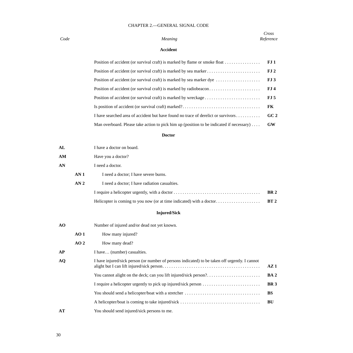#### CHAPTER 2.—GENERAL SIGNAL CODE

#### **Accident**

| Position of accident (or survival craft) is marked by flame or smoke float $\dots \dots \dots \dots$ | FJ 1      |
|------------------------------------------------------------------------------------------------------|-----------|
|                                                                                                      | FJ2       |
|                                                                                                      | FI3       |
|                                                                                                      | FJ4       |
|                                                                                                      | FJ 5      |
|                                                                                                      | FK.       |
| I have searched area of accident but have found no trace of derelict or survivors                    | GC2       |
| Man overboard. Please take action to pick him up (position to be indicated if necessary)             | <b>GW</b> |

#### **Doctor**

| AL        |                 | I have a doctor on board.                                                                      |                 |
|-----------|-----------------|------------------------------------------------------------------------------------------------|-----------------|
| AM        |                 | Have you a doctor?                                                                             |                 |
| AN        |                 | I need a doctor.                                                                               |                 |
|           | AN <sub>1</sub> | I need a doctor; I have severe burns.                                                          |                 |
|           | AN <sub>2</sub> | I need a doctor; I have radiation casualties.                                                  |                 |
|           |                 |                                                                                                | BR <sub>2</sub> |
|           |                 |                                                                                                | BT 2            |
|           |                 | <b>Injured/Sick</b>                                                                            |                 |
| AO        |                 | Number of injured and/or dead not yet known.                                                   |                 |
|           | AO <sub>1</sub> | How many injured?                                                                              |                 |
|           | AO <sub>2</sub> | How many dead?                                                                                 |                 |
| AP        |                 | I have (number) casualties.                                                                    |                 |
| <b>AQ</b> |                 | I have injured/sick person (or number of persons indicated) to be taken off urgently. I cannot | AZ1             |
|           |                 | You cannot alight on the deck; can you lift injured/sick person?                               | BA <sub>2</sub> |
|           |                 |                                                                                                | BR <sub>3</sub> |
|           |                 |                                                                                                | <b>BS</b>       |
|           |                 |                                                                                                | <b>BU</b>       |
| AT        |                 | You should send injured/sick persons to me.                                                    |                 |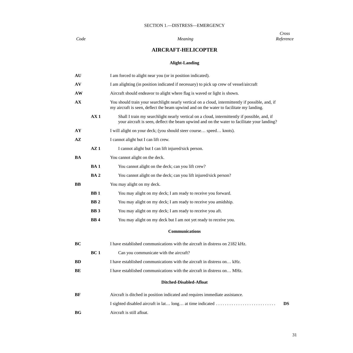#### SECTION 1.—DISTRESS—EMERGENCY

*Cross Code Meaning Reference*

#### **AIRCRAFT-HELICOPTER**

#### **Alight-Landing**

| AU                     |                 | I am forced to alight near you (or in position indicated).                                                                                                                                   |
|------------------------|-----------------|----------------------------------------------------------------------------------------------------------------------------------------------------------------------------------------------|
| AV                     |                 | I am alighting (in position indicated if necessary) to pick up crew of vessel/aircraft                                                                                                       |
| $\mathbf{A}\mathbf{W}$ |                 | Aircraft should endeavor to alight where flag is waved or light is shown.                                                                                                                    |
| AX                     |                 | You should train your searchlight nearly vertical on a cloud, intermittently if possible, and, if<br>my aircraft is seen, deflect the beam upwind and on the water to facilitate my landing. |
|                        | AX <sub>1</sub> | Shall I train my searchlight nearly vertical on a cloud, intermittently if possible, and, if<br>your aircraft is seen, deflect the beam upwind and on the water to facilitate your landing?  |
| AY                     |                 | I will alight on your deck; (you should steer course speed knots).                                                                                                                           |
| $\mathbf{A}\mathbf{Z}$ |                 | I cannot alight but I can lift crew.                                                                                                                                                         |
|                        | AZ1             | I cannot alight but I can lift injured/sick person.                                                                                                                                          |
| BA                     |                 | You cannot alight on the deck.                                                                                                                                                               |
|                        | <b>BA1</b>      | You cannot alight on the deck; can you lift crew?                                                                                                                                            |
|                        | BA <sub>2</sub> | You cannot alight on the deck; can you lift injured/sick person?                                                                                                                             |
| BB                     |                 | You may alight on my deck.                                                                                                                                                                   |
|                        | <b>BB1</b>      | You may alight on my deck; I am ready to receive you forward.                                                                                                                                |
|                        | BB <sub>2</sub> | You may alight on my deck; I am ready to receive you amidship.                                                                                                                               |
|                        | <b>BB</b> 3     | You may alight on my deck; I am ready to receive you aft.                                                                                                                                    |
|                        | <b>BB4</b>      | You may alight on my deck but I am not yet ready to receive you.                                                                                                                             |
|                        |                 | <b>Communications</b>                                                                                                                                                                        |
| BC                     |                 | I have established communications with the aircraft in distress on 2182 kHz.                                                                                                                 |
|                        | BC <sub>1</sub> | Can you communicate with the aircraft?                                                                                                                                                       |
| <b>BD</b>              |                 | I have established communications with the aircraft in distress on kHz.                                                                                                                      |
| BE                     |                 | I have established communications with the aircraft in distress on MHz.                                                                                                                      |
|                        |                 | Ditched-Disabled-Afloat                                                                                                                                                                      |
| BF                     |                 | Aircraft is ditched in position indicated and requires immediate assistance.                                                                                                                 |
|                        |                 | <b>DS</b>                                                                                                                                                                                    |
| <b>BG</b>              |                 | Aircraft is still afloat.                                                                                                                                                                    |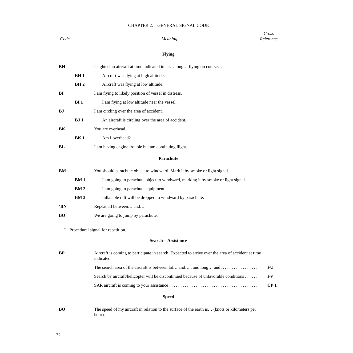#### CHAPTER 2.—GENERAL SIGNAL CODE

*Cross Code Meaning Reference*

#### **Flying**

| <b>BH</b> |                 | I sighted an aircraft at time indicated in lat long flying on course                                            |                 |
|-----------|-----------------|-----------------------------------------------------------------------------------------------------------------|-----------------|
|           | BH <sub>1</sub> | Aircraft was flying at high altitude.                                                                           |                 |
|           | BH <sub>2</sub> | Aircraft was flying at low altitude.                                                                            |                 |
| BI        |                 | I am flying to likely position of vessel in distress.                                                           |                 |
|           | <b>BI1</b>      | I am flying at low altitude near the vessel.                                                                    |                 |
| <b>BJ</b> |                 | I am circling over the area of accident.                                                                        |                 |
|           | BJ1             | An aircraft is circling over the area of accident.                                                              |                 |
| BK        |                 | You are overhead.                                                                                               |                 |
|           | <b>BK1</b>      | Am I overhead?                                                                                                  |                 |
| BL        |                 | I am having engine trouble but am continuing flight.                                                            |                 |
|           |                 | Parachute                                                                                                       |                 |
| BM        |                 | You should parachute object to windward. Mark it by smoke or light signal.                                      |                 |
|           | <b>BM1</b>      | I am going to parachute object to windward, marking it by smoke or light signal.                                |                 |
|           | <b>BM2</b>      | I am going to parachute equipment.                                                                              |                 |
|           | <b>BM3</b>      | Inflatable raft will be dropped to windward by parachute.                                                       |                 |
| $*BN$     |                 | Repeat all between and                                                                                          |                 |
| <b>BO</b> |                 | We are going to jump by parachute.                                                                              |                 |
| ∗         |                 | Procedural signal for repetition.                                                                               |                 |
|           |                 | Search-Assistance                                                                                               |                 |
| <b>BP</b> |                 | Aircraft is coming to participate in search. Expected to arrive over the area of accident at time<br>indicated. |                 |
|           |                 |                                                                                                                 | FU              |
|           |                 | Search by aircraft/helicopter will be discontinued because of unfavorable conditions                            | FV              |
|           |                 |                                                                                                                 | CP <sub>1</sub> |
|           |                 | <b>Speed</b>                                                                                                    |                 |
| <b>BQ</b> |                 | The speed of my aircraft in relation to the surface of the earth is (knots or kilometers per<br>hour).          |                 |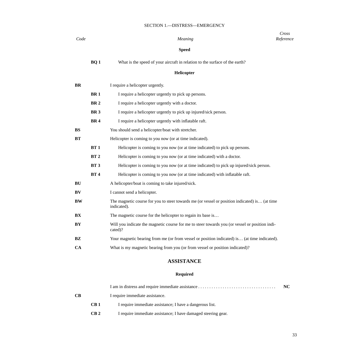#### SECTION 1.—DISTRESS—EMERGENCY

| Code                    |                 | Meaning                                                                                                      | Cross<br>Reference |
|-------------------------|-----------------|--------------------------------------------------------------------------------------------------------------|--------------------|
|                         |                 | <b>Speed</b>                                                                                                 |                    |
|                         | BQ <sub>1</sub> | What is the speed of your aircraft in relation to the surface of the earth?                                  |                    |
|                         |                 | Helicopter                                                                                                   |                    |
| ${\bf BR}$              |                 | I require a helicopter urgently.                                                                             |                    |
|                         | <b>BR1</b>      | I require a helicopter urgently to pick up persons.                                                          |                    |
|                         | <b>BR2</b>      | I require a helicopter urgently with a doctor.                                                               |                    |
|                         | <b>BR3</b>      | I require a helicopter urgently to pick up injured/sick person.                                              |                    |
|                         | <b>BR4</b>      | I require a helicopter urgently with inflatable raft.                                                        |                    |
| BS                      |                 | You should send a helicopter/boat with stretcher.                                                            |                    |
| ВT                      |                 | Helicopter is coming to you now (or at time indicated).                                                      |                    |
|                         | <b>BT1</b>      | Helicopter is coming to you now (or at time indicated) to pick up persons.                                   |                    |
|                         | BT <sub>2</sub> | Helicopter is coming to you now (or at time indicated) with a doctor.                                        |                    |
|                         | <b>BT3</b>      | Helicopter is coming to you now (or at time indicated) to pick up injured/sick person.                       |                    |
|                         | <b>BT4</b>      | Helicopter is coming to you now (or at time indicated) with inflatable raft.                                 |                    |
| BU                      |                 | A helicopter/boat is coming to take injured/sick.                                                            |                    |
| BV                      |                 | I cannot send a helicopter.                                                                                  |                    |
| BW                      |                 | The magnetic course for you to steer towards me (or vessel or position indicated) is (at time<br>indicated). |                    |
| $\mathbf{B} \mathbf{X}$ |                 | The magnetic course for the helicopter to regain its base is                                                 |                    |
| ${\bf B}{\bf Y}$        |                 | Will you indicate the magnetic course for me to steer towards you (or vessel or position indi-<br>cated)?    |                    |
| ВZ                      |                 | Your magnetic bearing from me (or from vessel or position indicated) is (at time indicated).                 |                    |
| CA                      |                 | What is my magnetic bearing from you (or from vessel or position indicated)?                                 |                    |

#### **ASSISTANCE**

#### **Required**

|    |                 |                                                               | NC. |
|----|-----------------|---------------------------------------------------------------|-----|
| CВ |                 | I require immediate assistance.                               |     |
|    | CB <sub>1</sub> | I require immediate assistance; I have a dangerous list.      |     |
|    | CB <sub>2</sub> | I require immediate assistance; I have damaged steering gear. |     |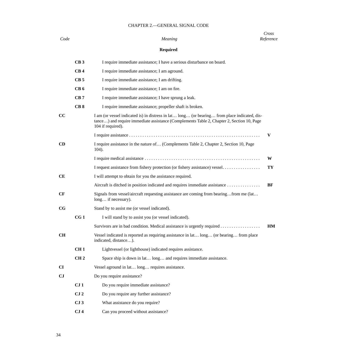### *Cross Code Meaning Reference*

### **Required**

|             | CB3             | I require immediate assistance; I have a serious disturbance on board.                                                                                                                                         |    |
|-------------|-----------------|----------------------------------------------------------------------------------------------------------------------------------------------------------------------------------------------------------------|----|
|             | CB4             | I require immediate assistance; I am aground.                                                                                                                                                                  |    |
|             | CB <sub>5</sub> | I require immediate assistance; I am drifting.                                                                                                                                                                 |    |
|             | <b>CB6</b>      | I require immediate assistance; I am on fire.                                                                                                                                                                  |    |
|             | CB7             | I require immediate assistance; I have sprung a leak.                                                                                                                                                          |    |
|             | CB <sub>8</sub> | I require immediate assistance; propeller shaft is broken.                                                                                                                                                     |    |
| CC          |                 | I am (or vessel indicated is) in distress in lat long (or bearing from place indicated, dis-<br>tance) and require immediate assistance (Complements Table 2, Chapter 2, Section 10, Page<br>104 if required). |    |
|             |                 |                                                                                                                                                                                                                | V  |
| CD          |                 | I require assistance in the nature of (Complements Table 2, Chapter 2, Section 10, Page<br>$104$ ).                                                                                                            |    |
|             |                 |                                                                                                                                                                                                                | W  |
|             |                 | I request assistance from fishery protection (or fishery assistance) vessel                                                                                                                                    | TY |
| CE          |                 | I will attempt to obtain for you the assistance required.                                                                                                                                                      |    |
|             |                 | Aircraft is ditched in position indicated and requires immediate assistance                                                                                                                                    | BF |
| CF          |                 | Signals from vessel/aircraft requesting assistance are coming from bearingfrom me (lat<br>long if necessary).                                                                                                  |    |
| $_{\rm CG}$ |                 | Stand by to assist me (or vessel indicated).                                                                                                                                                                   |    |
|             | CG <sub>1</sub> | I will stand by to assist you (or vessel indicated).                                                                                                                                                           |    |
|             |                 | Survivors are in bad condition. Medical assistance is urgently required                                                                                                                                        | HM |
| CH          |                 | Vessel indicated is reported as requiring assistance in lat long (or bearing from place<br>indicated, distance).                                                                                               |    |
|             | CH <sub>1</sub> | Lightvessel (or lighthouse) indicated requires assistance.                                                                                                                                                     |    |
|             | CH <sub>2</sub> | Space ship is down in lat long and requires immediate assistance.                                                                                                                                              |    |
| CI          |                 | Vessel aground in lat long requires assistance.                                                                                                                                                                |    |
| CJ          |                 | Do you require assistance?                                                                                                                                                                                     |    |
|             | CJ1             | Do you require immediate assistance?                                                                                                                                                                           |    |
|             | CJ <sub>2</sub> | Do you require any further assistance?                                                                                                                                                                         |    |
|             | CJ <sub>3</sub> | What assistance do you require?                                                                                                                                                                                |    |
|             | CJ <sub>4</sub> | Can you proceed without assistance?                                                                                                                                                                            |    |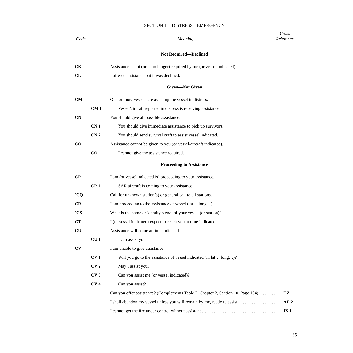### SECTION 1.—DISTRESS—EMERGENCY

*Cross Code Meaning Reference*

### **Not Required—Declined**

| CK                                |                 | Assistance is not (or is no longer) required by me (or vessel indicated).        |                 |
|-----------------------------------|-----------------|----------------------------------------------------------------------------------|-----------------|
| CL                                |                 | I offered assistance but it was declined.                                        |                 |
|                                   |                 | <b>Given-Not Given</b>                                                           |                 |
| CM                                |                 | One or more vessels are assisting the vessel in distress.                        |                 |
|                                   | CM <sub>1</sub> | Vessel/aircraft reported in distress is receiving assistance.                    |                 |
| $\overline{\mathbf{C}}\mathbf{N}$ |                 | You should give all possible assistance.                                         |                 |
|                                   | CN <sub>1</sub> | You should give immediate assistance to pick up survivors.                       |                 |
|                                   | CN <sub>2</sub> | You should send survival craft to assist vessel indicated.                       |                 |
| $\bf CO$                          |                 | Assistance cannot be given to you (or vessel/aircraft indicated).                |                 |
|                                   | CO <sub>1</sub> | I cannot give the assistance required.                                           |                 |
|                                   |                 | <b>Proceeding to Assistance</b>                                                  |                 |
| $\bf CP$                          |                 | I am (or vessel indicated is) proceeding to your assistance.                     |                 |
|                                   | CP <sub>1</sub> | SAR aircraft is coming to your assistance.                                       |                 |
| $^*CQ$                            |                 | Call for unknown station(s) or general call to all stations.                     |                 |
| CR                                |                 | I am proceeding to the assistance of vessel (lat long).                          |                 |
| $^{\ast}CS$                       |                 | What is the name or identity signal of your vessel (or station)?                 |                 |
| CT                                |                 | I (or vessel indicated) expect to reach you at time indicated.                   |                 |
| $\overline{\text{CU}}$            |                 | Assistance will come at time indicated.                                          |                 |
|                                   | CU <sub>1</sub> | I can assist you.                                                                |                 |
| $\bf{CV}$                         |                 | I am unable to give assistance.                                                  |                 |
|                                   | CV <sub>1</sub> | Will you go to the assistance of vessel indicated (in lat long)?                 |                 |
|                                   | CV <sub>2</sub> | May I assist you?                                                                |                 |
|                                   | CV3             | Can you assist me (or vessel indicated)?                                         |                 |
|                                   | CV <sub>4</sub> | Can you assist?                                                                  |                 |
|                                   |                 | Can you offer assistance? (Complements Table 2, Chapter 2, Section 10, Page 104) | TZ              |
|                                   |                 |                                                                                  | AE <sub>2</sub> |
|                                   |                 |                                                                                  | IX <sub>1</sub> |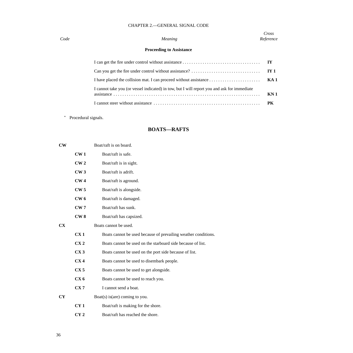*Cross Code Meaning Reference*

### **Proceeding to Assistance**

|                                                                                             | KA <sub>1</sub> |
|---------------------------------------------------------------------------------------------|-----------------|
| I cannot take you (or vessel indicated) in tow, but I will report you and ask for immediate | KN <sub>1</sub> |
|                                                                                             | PK.             |

\* Procedural signals.

# **BOATS—RAFTS**

| $\mathbf{CW}$ |                 | Boat/raft is on board.                                         |
|---------------|-----------------|----------------------------------------------------------------|
|               | CW <sub>1</sub> | Boat/raft is safe.                                             |
|               | CW <sub>2</sub> | Boat/raft is in sight.                                         |
|               | CW3             | Boat/raft is adrift.                                           |
|               | CW <sub>4</sub> | Boat/raft is aground.                                          |
|               | CW <sub>5</sub> | Boat/raft is alongside.                                        |
|               | CW 6            | Boat/raft is damaged.                                          |
|               | CW 7            | Boat/raft has sunk.                                            |
|               | CW <sub>8</sub> | Boat/raft has capsized.                                        |
| <b>CX</b>     |                 | Boats cannot be used.                                          |
|               | CX <sub>1</sub> | Boats cannot be used because of prevailing weather conditions. |
|               | CX <sub>2</sub> | Boats cannot be used on the starboard side because of list.    |
|               | CX <sub>3</sub> | Boats cannot be used on the port side because of list.         |
|               | CX <sub>4</sub> | Boats cannot be used to disembark people.                      |
|               | CX <sub>5</sub> | Boats cannot be used to get alongside.                         |
|               | CX <sub>6</sub> | Boats cannot be used to reach you.                             |
|               | CX <sub>7</sub> | I cannot send a boat.                                          |
| <b>CY</b>     |                 | $Boat(s)$ is (are) coming to you.                              |
|               | CY <sub>1</sub> | Boat/raft is making for the shore.                             |
|               | CY <sub>2</sub> | Boat/raft has reached the shore.                               |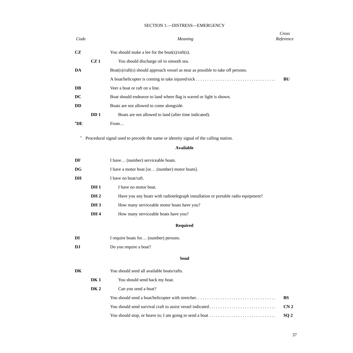### SECTION 1.—DISTRESS—EMERGENCY

| Code      |                 | Meaning                                                                               | Cross<br>Reference |
|-----------|-----------------|---------------------------------------------------------------------------------------|--------------------|
| CZ        |                 | You should make a lee for the boat(s)/raft(s).                                        |                    |
|           | CZ1             | You should discharge oil to smooth sea.                                               |                    |
| DA        |                 | Boat(s)/raft(s) should approach vessel as near as possible to take off persons.       |                    |
|           |                 |                                                                                       | BU                 |
| DB        |                 | Veer a boat or raft on a line.                                                        |                    |
| DC        |                 | Boat should endeavor to land where flag is waved or light is shown.                   |                    |
| DD        |                 | Boats are not allowed to come alongside.                                              |                    |
|           | DD <sub>1</sub> | Boats are not allowed to land (after time indicated).                                 |                    |
| $^*$ DE   |                 | From                                                                                  |                    |
|           |                 | Procedural signal used to precede the name or identity signal of the calling station. |                    |
|           |                 | <b>Available</b>                                                                      |                    |
| DF        |                 | I have (number) serviceable boats.                                                    |                    |
| DG        |                 | I have a motor boat [or (number) motor boats].                                        |                    |
| DH        |                 | I have no boat/raft.                                                                  |                    |
|           | DH <sub>1</sub> | I have no motor boat.                                                                 |                    |
|           | DH <sub>2</sub> | Have you any boats with radiotelegraph installation or portable radio equipment?      |                    |
|           | DH <sub>3</sub> | How many serviceable motor boats have you?                                            |                    |
|           | DH <sub>4</sub> | How many serviceable boats have you?                                                  |                    |
|           |                 | <b>Required</b>                                                                       |                    |
| DI        |                 | I require boats for (number) persons.                                                 |                    |
| <b>DJ</b> |                 | Do you require a boat?                                                                |                    |
|           |                 | <b>Send</b>                                                                           |                    |
| DK        |                 | You should send all available boats/rafts.                                            |                    |
|           | DK <sub>1</sub> | You should send back my boat.                                                         |                    |
|           | DK <sub>2</sub> | Can you send a boat?                                                                  |                    |
|           |                 |                                                                                       | <b>BS</b>          |

You should send survival craft to assist vessel indicated. . . . . . . . . . . . . . . . . . . . . . . . . . . . . . **CN 2**

You should stop, or heave to; I am going to send a boat . . . . . . . . . . . . . . . . . . . . . . . . . . . . . . **SQ 2**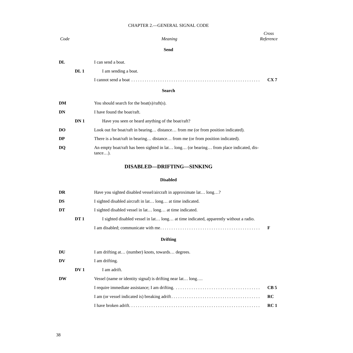| Code      |                 | Meaning                                                                                              | Cross<br>Reference |
|-----------|-----------------|------------------------------------------------------------------------------------------------------|--------------------|
|           |                 | <b>Send</b>                                                                                          |                    |
| <b>DL</b> |                 | I can send a boat.                                                                                   |                    |
|           | DL <sub>1</sub> | I am sending a boat.                                                                                 |                    |
|           |                 |                                                                                                      | CX <sub>7</sub>    |
|           |                 | <b>Search</b>                                                                                        |                    |
| DM        |                 | You should search for the boat(s)/raft(s).                                                           |                    |
| <b>DN</b> |                 | I have found the boat/raft.                                                                          |                    |
|           | DN <sub>1</sub> | Have you seen or heard anything of the boat/raft?                                                    |                    |
| <b>DO</b> |                 | Look out for boat/raft in bearing distance from me (or from position indicated).                     |                    |
| <b>DP</b> |                 | There is a boat/raft in bearing distance from me (or from position indicated).                       |                    |
| DQ        |                 | An empty boat/raft has been sighted in lat long (or bearing from place indicated, dis-<br>$tance$ ). |                    |
|           |                 | DISABLED-DRIFTING-SINKING                                                                            |                    |
|           |                 | <b>Disabled</b>                                                                                      |                    |

| DR        |      | Have you sighted disabled vessel/aircraft in approximate lat long?                   |                 |
|-----------|------|--------------------------------------------------------------------------------------|-----------------|
| DS        |      | I sighted disabled aircraft in lat long at time indicated.                           |                 |
| DT        |      | I sighted disabled vessel in lat long at time indicated.                             |                 |
|           | DT 1 | I sighted disabled vessel in lat long at time indicated, apparently without a radio. |                 |
|           |      |                                                                                      | F               |
|           |      | <b>Drifting</b>                                                                      |                 |
| DU        |      | I am drifting at (number) knots, towards degrees.                                    |                 |
| <b>DV</b> |      | I am drifting.                                                                       |                 |
|           | DV1  | I am adrift.                                                                         |                 |
| <b>DW</b> |      | Vessel (name or identity signal) is drifting near $lat$ long                         |                 |
|           |      |                                                                                      | CB <sub>5</sub> |
|           |      |                                                                                      | RC              |
|           |      |                                                                                      | RC <sub>1</sub> |
|           |      |                                                                                      |                 |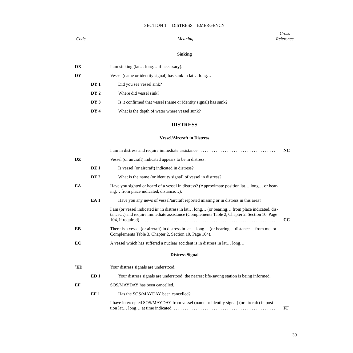### SECTION 1.—DISTRESS—EMERGENCY

*Cross Code Meaning Reference*

### **Sinking**

| DX |      | I am sinking (lat long if necessary).                           |
|----|------|-----------------------------------------------------------------|
| DY |      | Vessel (name or identity signal) has sunk in lat long           |
|    | DY 1 | Did you see vessel sink?                                        |
|    | DY2  | Where did vessel sink?                                          |
|    | DY3  | Is it confirmed that vessel (name or identity signal) has sunk? |
|    | DY 4 | What is the depth of water where vessel sunk?                   |
|    |      |                                                                 |

# **DISTRESS**

### **Vessel/Aircraft in Distress**

|                             |                 |                                                                                                                                                                                           | NC |
|-----------------------------|-----------------|-------------------------------------------------------------------------------------------------------------------------------------------------------------------------------------------|----|
| DZ                          |                 | Vessel (or aircraft) indicated appears to be in distress.                                                                                                                                 |    |
|                             | DZ <sub>1</sub> | Is vessel (or aircraft) indicated in distress?                                                                                                                                            |    |
|                             | DZ <sub>2</sub> | What is the name (or identity signal) of vessel in distress?                                                                                                                              |    |
| EA                          |                 | Have you sighted or heard of a vessel in distress? (Approximate position lat long or bear-<br>ing from place indicated, distance).                                                        |    |
|                             | EA <sub>1</sub> | Have you any news of vessel/aircraft reported missing or in distress in this area?                                                                                                        |    |
|                             |                 | I am (or vessel indicated is) in distress in lat long (or bearing from place indicated, dis-<br>tance) and require immediate assistance (Complements Table 2, Chapter 2, Section 10, Page | cc |
| EB                          |                 | There is a vessel (or aircraft) in distress in lat long (or bearing distance from me, or<br>Complements Table 3, Chapter 2, Section 10, Page 104).                                        |    |
| EC                          |                 | A vessel which has suffered a nuclear accident is in distress in lat long                                                                                                                 |    |
|                             |                 | <b>Distress Signal</b>                                                                                                                                                                    |    |
| $\boldsymbol{\mathrm{*ED}}$ |                 | Your distress signals are understood.                                                                                                                                                     |    |
|                             | ED <sub>1</sub> | Your distress signals are understood; the nearest life-saving station is being informed.                                                                                                  |    |
| EF                          |                 | SOS/MAYDAY has been cancelled.                                                                                                                                                            |    |
|                             | EF <sub>1</sub> | Has the SOS/MAYDAY been cancelled?                                                                                                                                                        |    |
|                             |                 | I have intercepted SOS/MAYDAY from vessel (name or identity signal) (or aircraft) in posi-                                                                                                | FF |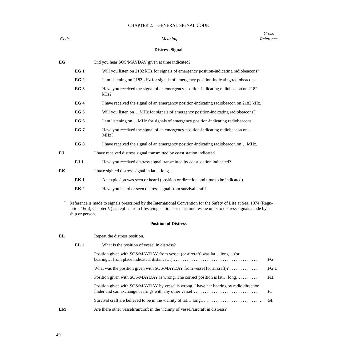| Code |                 | Meaning                                                                                                                                                                                                                                   | Cross<br>Reference |
|------|-----------------|-------------------------------------------------------------------------------------------------------------------------------------------------------------------------------------------------------------------------------------------|--------------------|
|      |                 | <b>Distress Signal</b>                                                                                                                                                                                                                    |                    |
| EG   |                 | Did you hear SOS/MAYDAY given at time indicated?                                                                                                                                                                                          |                    |
|      | EG <sub>1</sub> | Will you listen on 2182 kHz for signals of emergency position-indicating radiobeacons?                                                                                                                                                    |                    |
|      | EG <sub>2</sub> | I am listening on 2182 kHz for signals of emergency position-indicating radiobeacons.                                                                                                                                                     |                    |
|      | EG <sub>3</sub> | Have you received the signal of an emergency position-indicating radiobeacon on 2182<br>kHz?                                                                                                                                              |                    |
|      | EG <sub>4</sub> | I have received the signal of an emergency position-indicating radiobeacon on 2182 kHz.                                                                                                                                                   |                    |
|      | EG <sub>5</sub> | Will you listen on MHz for signals of emergency position-indicating radiobeacons?                                                                                                                                                         |                    |
|      | EG <sub>6</sub> | I am listening on MHz for signals of emergency position-indicating radiobeacons.                                                                                                                                                          |                    |
|      | EG <sub>7</sub> | Have you received the signal of an emergency position-indicating radiobeacon on<br>MHz?                                                                                                                                                   |                    |
|      | EG8             | I have received the signal of an emergency position-indicating radiobeacon on MHz.                                                                                                                                                        |                    |
| ЕJ   |                 | I have received distress signal transmitted by coast station indicated.                                                                                                                                                                   |                    |
|      | EJ 1            | Have you received distress signal transmitted by coast station indicated?                                                                                                                                                                 |                    |
| EK   |                 | I have sighted distress signal in lat long                                                                                                                                                                                                |                    |
|      | EK <sub>1</sub> | An explosion was seen or heard (position or direction and time to be indicated).                                                                                                                                                          |                    |
|      | EK <sub>2</sub> | Have you heard or seen distress signal from survival craft?                                                                                                                                                                               |                    |
|      | ship or person. | Reference is made to signals prescribed by the International Convention for the Safety of Life at Sea, 1974 (Regu-<br>lation 16(a), Chapter V) as replies from lifesaving stations or maritime rescue units to distress signals made by a |                    |
|      |                 | <b>Position of Distress</b>                                                                                                                                                                                                               |                    |
| EL   |                 | Repeat the distress position.                                                                                                                                                                                                             |                    |
|      | EL1             | What is the position of vessel in distress?                                                                                                                                                                                               |                    |
|      |                 | Position given with SOS/MAYDAY from vessel (or aircraft) was lat long (or                                                                                                                                                                 | $_{\rm FG}$        |
|      |                 | What was the position given with SOS/MAYDAY from vessel (or aircraft)?                                                                                                                                                                    | FG1                |
|      |                 | Position given with SOS/MAYDAY is wrong. The correct position is lat long                                                                                                                                                                 | FH                 |
|      |                 | Position given with SOS/MAYDAY by vessel is wrong. I have her bearing by radio direction                                                                                                                                                  | FI                 |
|      |                 | Survival craft are believed to be in the vicinity of lat long                                                                                                                                                                             | <b>GI</b>          |
| EM   |                 | Are there other vessels/aircraft in the vicinity of vessel/aircraft in distress?                                                                                                                                                          |                    |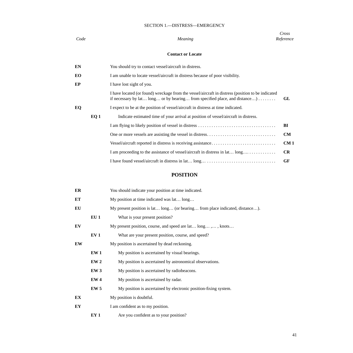### SECTION 1.—DISTRESS—EMERGENCY

*Cross Code Meaning Reference*

### **Contact or Locate**

| <b>EN</b> |                 | You should try to contact vessel/aircraft in distress.                                                                                                                            |                 |
|-----------|-----------------|-----------------------------------------------------------------------------------------------------------------------------------------------------------------------------------|-----------------|
| EО        |                 | I am unable to locate vessel/aircraft in distress because of poor visibility.                                                                                                     |                 |
| EP        |                 | I have lost sight of you.                                                                                                                                                         |                 |
|           |                 | I have located (or found) wreckage from the vessel/aircraft in distress (position to be indicated<br>if necessary by $lat$ long or by bearing from specified place, and distance) | GL              |
| EQ        |                 | I expect to be at the position of vessel/aircraft in distress at time indicated.                                                                                                  |                 |
|           | EQ <sub>1</sub> | Indicate estimated time of your arrival at position of vessel/aircraft in distress.                                                                                               |                 |
|           |                 |                                                                                                                                                                                   | BI              |
|           |                 |                                                                                                                                                                                   | <b>CM</b>       |
|           |                 |                                                                                                                                                                                   | CM <sub>1</sub> |
|           |                 | I am proceeding to the assistance of vessel/aircraft in distress in lat long                                                                                                      | CR              |
|           |                 |                                                                                                                                                                                   | GF              |

## **POSITION**

| My present position is lat long (or bearing from place indicated, distance). |
|------------------------------------------------------------------------------|
|                                                                              |
|                                                                              |
|                                                                              |
|                                                                              |
|                                                                              |
|                                                                              |
|                                                                              |
|                                                                              |
|                                                                              |
|                                                                              |
|                                                                              |
|                                                                              |
|                                                                              |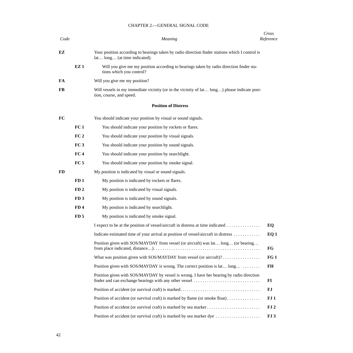| Code      |                 | Meaning                                                                                                                          | Cross<br>Reference |
|-----------|-----------------|----------------------------------------------------------------------------------------------------------------------------------|--------------------|
| EZ        |                 | Your position according to bearings taken by radio direction finder stations which I control is<br>lat long (at time indicated). |                    |
|           | EZ <sub>1</sub> | Will you give me my position according to bearings taken by radio direction finder sta-<br>tions which you control?              |                    |
| FA        |                 | Will you give me my position?                                                                                                    |                    |
| FB        |                 | Will vessels in my immediate vicinity (or in the vicinity of lat long) please indicate posi-<br>tion, course, and speed.         |                    |
|           |                 | <b>Position of Distress</b>                                                                                                      |                    |
| <b>FC</b> |                 | You should indicate your position by visual or sound signals.                                                                    |                    |
|           | FC <sub>1</sub> | You should indicate your position by rockets or flares.                                                                          |                    |
|           | FC <sub>2</sub> | You should indicate your position by visual signals.                                                                             |                    |
|           | FC <sub>3</sub> | You should indicate your position by sound signals.                                                                              |                    |
|           | FC <sub>4</sub> | You should indicate your position by searchlight.                                                                                |                    |
|           | FC <sub>5</sub> | You should indicate your position by smoke signal.                                                                               |                    |
| <b>FD</b> |                 | My position is indicated by visual or sound signals.                                                                             |                    |
|           | FD <sub>1</sub> | My position is indicated by rockets or flares.                                                                                   |                    |
|           | FD <sub>2</sub> | My position is indicated by visual signals.                                                                                      |                    |
|           | FD <sub>3</sub> | My position is indicated by sound signals.                                                                                       |                    |
|           | FD <sub>4</sub> | My position is indicated by searchlight.                                                                                         |                    |
|           | FD <sub>5</sub> | My position is indicated by smoke signal.                                                                                        |                    |
|           |                 | I expect to be at the position of vessel/aircraft in distress at time indicated                                                  | EQ                 |
|           |                 | Indicate estimated time of your arrival at position of vessel/aircraft in distress                                               | EQ <sub>1</sub>    |
|           |                 | Position given with SOS/MAYDAY from vessel (or aircraft) was lat long (or bearing                                                | $_{\rm FG}$        |
|           |                 |                                                                                                                                  | FG <sub>1</sub>    |
|           |                 | Position given with SOS/MAYDAY is wrong. The correct position is lat long                                                        | FH                 |
|           |                 | Position given with SOS/MAYDAY by vessel is wrong. I have her bearing by radio direction                                         | FI                 |
|           |                 |                                                                                                                                  | FJ                 |
|           |                 | Position of accident (or survival craft) is marked by flame (or smoke float)                                                     | FJ1                |
|           |                 |                                                                                                                                  | FJ <sub>2</sub>    |
|           |                 |                                                                                                                                  | FJ <sub>3</sub>    |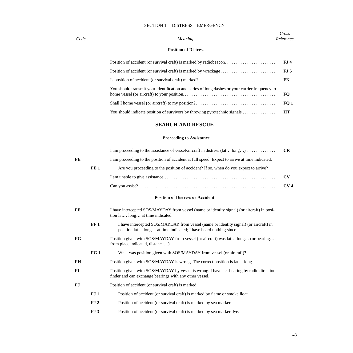### SECTION 1.—DISTRESS—EMERGENCY

|                                                                                                | FJ4             |
|------------------------------------------------------------------------------------------------|-----------------|
|                                                                                                | <b>F.I.5</b>    |
|                                                                                                | FK.             |
| You should transmit your identification and series of long dashes or your carrier frequency to | FQ              |
|                                                                                                | FO <sub>1</sub> |
| You should indicate position of survivors by throwing pyrotechnic signals                      | <b>HT</b>       |
| <b>SEARCH AND RESCUE</b>                                                                       |                 |
| <b>Proceeding to Assistance</b>                                                                |                 |
|                                                                                                |                 |

|    |                 | I am proceeding to the assistance of vessel/aircraft in distress (lat long)                                                                              | CR              |
|----|-----------------|----------------------------------------------------------------------------------------------------------------------------------------------------------|-----------------|
| FE |                 | I am proceeding to the position of accident at full speed. Expect to arrive at time indicated.                                                           |                 |
|    | FE <sub>1</sub> | Are you proceeding to the position of accident? If so, when do you expect to arrive?                                                                     |                 |
|    |                 |                                                                                                                                                          | CV              |
|    |                 |                                                                                                                                                          | CV <sub>4</sub> |
|    |                 | <b>Position of Distress or Accident</b>                                                                                                                  |                 |
| FF |                 | I have intercepted SOS/MAYDAY from vessel (name or identity signal) (or aircraft) in posi-<br>tion lat long at time indicated.                           |                 |
|    | FF <sub>1</sub> | I have intercepted SOS/MAYDAY from vessel (name or identity signal) (or aircraft) in<br>position lat long at time indicated; I have heard nothing since. |                 |
| FG |                 | Position given with SOS/MAYDAY from vessel (or aircraft) was lat long (or bearing<br>from place indicated, distance).                                    |                 |
|    | FG <sub>1</sub> | What was position given with SOS/MAYDAY from vessel (or aircraft)?                                                                                       |                 |
| FH |                 | Position given with SOS/MAYDAY is wrong. The correct position is lat long                                                                                |                 |
| FI |                 | Position given with SOS/MAYDAY by vessel is wrong. I have her bearing by radio direction<br>finder and can exchange bearings with any other vessel.      |                 |
| FJ |                 | Position of accident (or survival craft) is marked.                                                                                                      |                 |
|    | FJ1             | Position of accident (or survival craft) is marked by flame or smoke float.                                                                              |                 |
|    | FJ <sub>2</sub> | Position of accident (or survival craft) is marked by sea marker.                                                                                        |                 |
|    | FJ3             | Position of accident (or survival craft) is marked by sea marker dye.                                                                                    |                 |
|    |                 |                                                                                                                                                          |                 |

**Position of Distress**

### *Cross Code Meaning Reference*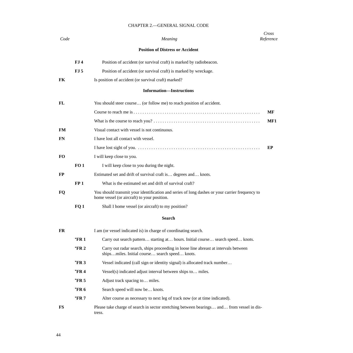| Code      |                 | Meaning                                                                                                                                       | Cross<br>Reference |
|-----------|-----------------|-----------------------------------------------------------------------------------------------------------------------------------------------|--------------------|
|           |                 | <b>Position of Distress or Accident</b>                                                                                                       |                    |
|           | FJ <sub>4</sub> | Position of accident (or survival craft) is marked by radiobeacon.                                                                            |                    |
|           | FJ <sub>5</sub> | Position of accident (or survival craft) is marked by wreckage.                                                                               |                    |
| FK        |                 | Is position of accident (or survival craft) marked?                                                                                           |                    |
|           |                 | <b>Information-Instructions</b>                                                                                                               |                    |
| FL        |                 | You should steer course (or follow me) to reach position of accident.                                                                         |                    |
|           |                 |                                                                                                                                               | MF                 |
|           |                 |                                                                                                                                               | MF1                |
| FM        |                 | Visual contact with vessel is not continuous.                                                                                                 |                    |
| FN        |                 | I have lost all contact with vessel.                                                                                                          |                    |
|           |                 |                                                                                                                                               | EP                 |
| <b>FO</b> |                 | I will keep close to you.                                                                                                                     |                    |
|           | FO1             | I will keep close to you during the night.                                                                                                    |                    |
| $\bf FP$  |                 | Estimated set and drift of survival craft is degrees and knots.                                                                               |                    |
|           | FP <sub>1</sub> | What is the estimated set and drift of survival craft?                                                                                        |                    |
| FQ        |                 | You should transmit your identification and series of long dashes or your carrier frequency to<br>home vessel (or aircraft) to your position. |                    |
|           | FO1             | Shall I home vessel (or aircraft) to my position?                                                                                             |                    |
|           |                 | <b>Search</b>                                                                                                                                 |                    |
| FR        |                 | I am (or vessel indicated is) in charge of coordinating search.                                                                               |                    |
|           | $*FR1$          | Carry out search pattern starting at hours. Initial course search speed knots.                                                                |                    |
|           | $*FR2$          | Carry out radar search, ships proceeding in loose line abreast at intervals between<br>shipsmiles. Initial course search speed knots.         |                    |
|           | $*FR3$          | Vessel indicated (call sign or identity signal) is allocated track number                                                                     |                    |
|           | $*FR4$          | Vessel(s) indicated adjust interval between ships to miles.                                                                                   |                    |
|           | $*FR5$          | Adjust track spacing to miles.                                                                                                                |                    |
|           | $*FR 6$         | Search speed will now be knots.                                                                                                               |                    |
|           | $*$ FR 7        | Alter course as necessary to next leg of track now (or at time indicated).                                                                    |                    |
| FS        |                 | Please take charge of search in sector stretching between bearings and from vessel in dis-<br>tress.                                          |                    |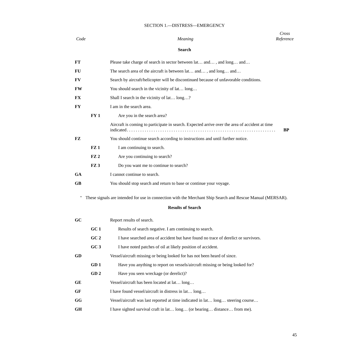### SECTION 1.—DISTRESS—EMERGENCY

### **Search**

| FT        |                 | Please take charge of search in sector between lat and, and long and                                        |
|-----------|-----------------|-------------------------------------------------------------------------------------------------------------|
| FU        |                 | The search area of the aircraft is between lat and, and long and                                            |
| FV        |                 | Search by aircraft/helicopter will be discontinued because of unfavorable conditions.                       |
| FW        |                 | You should search in the vicinity of lat long                                                               |
| FX        |                 | Shall I search in the vicinity of lat long?                                                                 |
| FY        |                 | I am in the search area.                                                                                    |
|           | FY1             | Are you in the search area?                                                                                 |
|           |                 | Aircraft is coming to participate in search. Expected arrive over the area of accident at time<br><b>BP</b> |
| FZ        |                 | You should continue search according to instructions and until further notice.                              |
|           | FZ1             | I am continuing to search.                                                                                  |
|           | FZ <sub>2</sub> | Are you continuing to search?                                                                               |
|           | FZ <sub>3</sub> | Do you want me to continue to search?                                                                       |
| <b>GA</b> |                 | I cannot continue to search.                                                                                |
| <b>GB</b> |                 | You should stop search and return to base or continue your voyage.                                          |
| ∗         |                 | These signals are intended for use in connection with the Merchant Ship Search and Rescue Manual (MERSAR).  |
|           |                 | <b>Results of Search</b>                                                                                    |
| GC        |                 | Report results of search.                                                                                   |
|           | GC1             | Results of search negative. I am continuing to search.                                                      |
|           | GC2             | I have searched area of accident but have found no trace of derelict or survivors.                          |
|           | GC3             | I have noted patches of oil at likely position of accident.                                                 |
| GD        |                 | Vessel/aircraft missing or being looked for has not been heard of since.                                    |
|           | GD <sub>1</sub> | Have you anything to report on vessels/aircraft missing or being looked for?                                |
|           | GD <sub>2</sub> | Have you seen wreckage (or derelict)?                                                                       |
| GE        |                 | Vessel/aircraft has been located at lat long                                                                |
| GF        |                 | I have found vessel/aircraft in distress in lat long                                                        |
| GG        |                 | Vessel/aircraft was last reported at time indicated in lat long steering course                             |
|           |                 |                                                                                                             |

**GH** I have sighted survival craft in lat... long... (or bearing... distance... from me).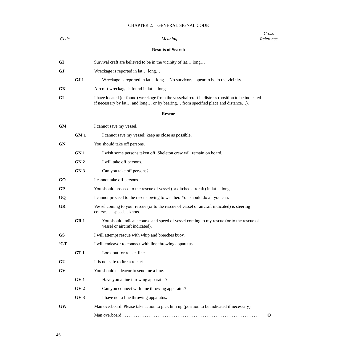| Code      |                 | Meaning                                                                                                                                                                             | Cross<br>Reference |
|-----------|-----------------|-------------------------------------------------------------------------------------------------------------------------------------------------------------------------------------|--------------------|
|           |                 | <b>Results of Search</b>                                                                                                                                                            |                    |
| GI        |                 | Survival craft are believed to be in the vicinity of lat long                                                                                                                       |                    |
| GJ        |                 | Wreckage is reported in lat long                                                                                                                                                    |                    |
|           | GJ1             | Wreckage is reported in lat long No survivors appear to be in the vicinity.                                                                                                         |                    |
| GK        |                 | Aircraft wreckage is found in lat long                                                                                                                                              |                    |
| GL        |                 | I have located (or found) wreckage from the vessel/aircraft in distress (position to be indicated<br>if necessary by lat and long or by bearing from specified place and distance). |                    |
|           |                 | <b>Rescue</b>                                                                                                                                                                       |                    |
| <b>GM</b> |                 | I cannot save my vessel.                                                                                                                                                            |                    |
|           | GM <sub>1</sub> | I cannot save my vessel; keep as close as possible.                                                                                                                                 |                    |
| <b>GN</b> |                 | You should take off persons.                                                                                                                                                        |                    |
|           | GN <sub>1</sub> | I wish some persons taken off. Skeleton crew will remain on board.                                                                                                                  |                    |
|           | GN <sub>2</sub> | I will take off persons.                                                                                                                                                            |                    |
|           | GN <sub>3</sub> | Can you take off persons?                                                                                                                                                           |                    |
| <b>GO</b> |                 | I cannot take off persons.                                                                                                                                                          |                    |
| GP        |                 | You should proceed to the rescue of vessel (or ditched aircraft) in lat long                                                                                                        |                    |
| GQ        |                 | I cannot proceed to the rescue owing to weather. You should do all you can.                                                                                                         |                    |
| <b>GR</b> |                 | Vessel coming to your rescue (or to the rescue of vessel or aircraft indicated) is steering<br>course, speed knots.                                                                 |                    |
|           | GR <sub>1</sub> | You should indicate course and speed of vessel coming to my rescue (or to the rescue of<br>vessel or aircraft indicated).                                                           |                    |
| <b>GS</b> |                 | I will attempt rescue with whip and breeches buoy.                                                                                                                                  |                    |
| $*$ GT    |                 | I will endeavor to connect with line throwing apparatus.                                                                                                                            |                    |
|           | GT <sub>1</sub> | Look out for rocket line.                                                                                                                                                           |                    |
| GU        |                 | It is not safe to fire a rocket.                                                                                                                                                    |                    |
| <b>GV</b> |                 | You should endeavor to send me a line.                                                                                                                                              |                    |
|           | GV1             | Have you a line throwing apparatus?                                                                                                                                                 |                    |
|           | GV <sub>2</sub> | Can you connect with line throwing apparatus?                                                                                                                                       |                    |
|           | GV <sub>3</sub> | I have not a line throwing apparatus.                                                                                                                                               |                    |
| <b>GW</b> |                 | Man overboard. Please take action to pick him up (position to be indicated if necessary).                                                                                           |                    |
|           |                 |                                                                                                                                                                                     | 0                  |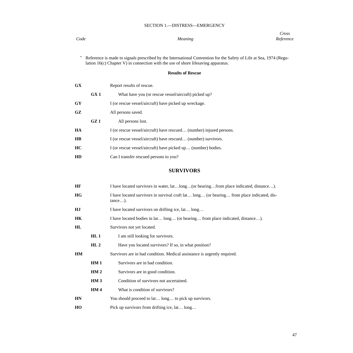### SECTION 1.—DISTRESS—EMERGENCY

*Cross Code Meaning Reference*

\* Reference is made to signals prescribed by the International Convention for the Safety of Life at Sea, 1974 (Regulation 16(c) Chapter V) in connection with the use of shore lifesaving apparatus.

### **Results of Rescue**

| GX        |     | Report results of rescue.                                            |
|-----------|-----|----------------------------------------------------------------------|
|           | GX1 | What have you (or rescue vessel/aircraft) picked up?                 |
| GY        |     | I (or rescue vessel/aircraft) have picked up wreckage.               |
| GZ        |     | All persons saved.                                                   |
|           | GZ1 | All persons lost.                                                    |
| HA        |     | I (or rescue vessel/aircraft) have rescued (number) injured persons. |
| <b>HB</b> |     | I (or rescue vessel/aircraft) have rescued (number) survivors.       |
| HС        |     | I (or rescue vessel/aircraft) have picked up (number) bodies.        |
| HD        |     | Can I transfer rescued persons to you?                               |

### **SURVIVORS**

| HF        |                 | I have located survivors in water, latlong(or bearingfrom place indicated, distance).                    |
|-----------|-----------------|----------------------------------------------------------------------------------------------------------|
| HG        |                 | I have located survivors in survival craft lat long (or bearing from place indicated, dis-<br>$tance$ ). |
| HJ        |                 | I have located survivors on drifting ice, lat long                                                       |
| HK        |                 | I have located bodies in lat long (or bearing from place indicated, distance).                           |
| HL        |                 | Survivors not yet located.                                                                               |
|           | HL1             | I am still looking for survivors.                                                                        |
|           | HL <sub>2</sub> | Have you located survivors? If so, in what position?                                                     |
| HM        |                 | Survivors are in bad condition. Medical assistance is urgently required.                                 |
|           | HM <sub>1</sub> | Survivors are in bad condition.                                                                          |
|           | HM <sub>2</sub> | Survivors are in good condition.                                                                         |
|           | HM <sub>3</sub> | Condition of survivors not ascertained.                                                                  |
|           | HM <sub>4</sub> | What is condition of survivors?                                                                          |
| <b>HN</b> |                 | You should proceed to lat long to pick up survivors.                                                     |
| HO        |                 | Pick up survivors from drifting ice, lat long                                                            |
|           |                 |                                                                                                          |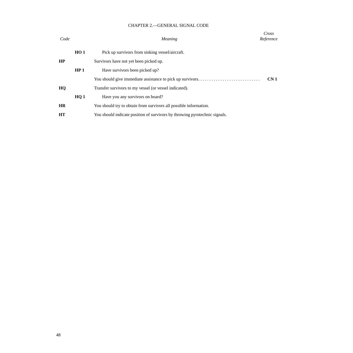| Code      |                 | Meaning                                                                    | Cross<br>Reference |
|-----------|-----------------|----------------------------------------------------------------------------|--------------------|
|           | HO <sub>1</sub> | Pick up survivors from sinking vessel/aircraft.                            |                    |
| <b>HP</b> |                 | Survivors have not yet been picked up.                                     |                    |
|           | HP <sub>1</sub> | Have survivors been picked up?                                             |                    |
|           |                 | You should give immediate assistance to pick up survivors                  | CN <sub>1</sub>    |
| HQ        |                 | Transfer survivors to my vessel (or vessel indicated).                     |                    |
|           | HQ1             | Have you any survivors on board?                                           |                    |
| <b>HR</b> |                 | You should try to obtain from survivors all possible information.          |                    |
| HT        |                 | You should indicate position of survivors by throwing pyrotechnic signals. |                    |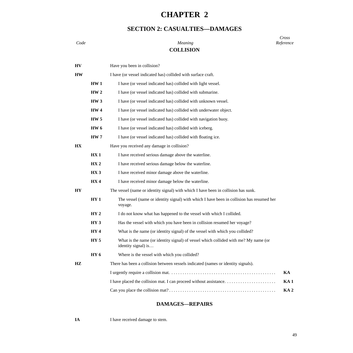# **CHAPTER 2**

# **SECTION 2: CASUALTIES—DAMAGES**

*Code Meaning Reference*

# **COLLISION**

*Cross*

| <b>HV</b> |                 | Have you been in collision?                                                                                |                 |
|-----------|-----------------|------------------------------------------------------------------------------------------------------------|-----------------|
| <b>HW</b> |                 | I have (or vessel indicated has) collided with surface craft.                                              |                 |
|           | HW <sub>1</sub> | I have (or vessel indicated has) collided with light vessel.                                               |                 |
|           | HW <sub>2</sub> | I have (or vessel indicated has) collided with submarine.                                                  |                 |
|           | HW <sub>3</sub> | I have (or vessel indicated has) collided with unknown vessel.                                             |                 |
|           | HW <sub>4</sub> | I have (or vessel indicated has) collided with underwater object.                                          |                 |
|           | <b>HW5</b>      | I have (or vessel indicated has) collided with navigation buoy.                                            |                 |
|           | HW <sub>6</sub> | I have (or vessel indicated has) collided with iceberg.                                                    |                 |
|           | HW <sub>7</sub> | I have (or vessel indicated has) collided with floating ice.                                               |                 |
| HX        |                 | Have you received any damage in collision?                                                                 |                 |
|           | HX 1            | I have received serious damage above the waterline.                                                        |                 |
|           | HX 2            | I have received serious damage below the waterline.                                                        |                 |
|           | HX <sub>3</sub> | I have received minor damage above the waterline.                                                          |                 |
|           | HX4             | I have received minor damage below the waterline.                                                          |                 |
| HY        |                 | The vessel (name or identity signal) with which I have been in collision has sunk.                         |                 |
|           | HY <sub>1</sub> | The vessel (name or identity signal) with which I have been in collision has resumed her<br>voyage.        |                 |
|           | $HY$ 2          | I do not know what has happened to the vessel with which I collided.                                       |                 |
|           | HY <sub>3</sub> | Has the vessel with which you have been in collision resumed her voyage?                                   |                 |
|           | HY <sub>4</sub> | What is the name (or identity signal) of the vessel with which you collided?                               |                 |
|           | HY <sub>5</sub> | What is the name (or identity signal) of vessel which collided with me? My name (or<br>identity signal) is |                 |
|           | <b>HY 6</b>     | Where is the vessel with which you collided?                                                               |                 |
| HZ        |                 | There has been a collision between vessels indicated (names or identity signals).                          |                 |
|           |                 |                                                                                                            | KA              |
|           |                 |                                                                                                            | KA <sub>1</sub> |
|           |                 |                                                                                                            | KA <sub>2</sub> |

# **DAMAGES—REPAIRS**

**IA** I have received damage to stem.

49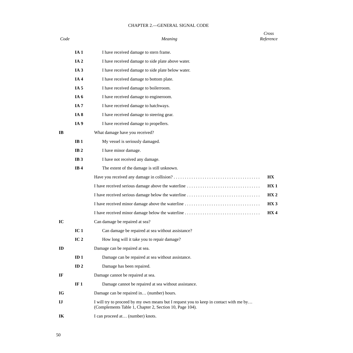| Code      |                 | Meaning                                                                                                                                          | Cross<br>Reference |
|-----------|-----------------|--------------------------------------------------------------------------------------------------------------------------------------------------|--------------------|
|           | IA <sub>1</sub> | I have received damage to stern frame.                                                                                                           |                    |
|           | IA <sub>2</sub> | I have received damage to side plate above water.                                                                                                |                    |
|           | IA $3$          | I have received damage to side plate below water.                                                                                                |                    |
|           | IA <sub>4</sub> | I have received damage to bottom plate.                                                                                                          |                    |
|           | IA $5$          | I have received damage to boilerroom.                                                                                                            |                    |
|           | IA 6            | I have received damage to engineroom.                                                                                                            |                    |
|           | IA <sub>7</sub> | I have received damage to hatchways.                                                                                                             |                    |
|           | IA <sub>8</sub> | I have received damage to steering gear.                                                                                                         |                    |
|           | IA <sub>9</sub> | I have received damage to propellers.                                                                                                            |                    |
| IB        |                 | What damage have you received?                                                                                                                   |                    |
|           | IB <sub>1</sub> | My vessel is seriously damaged.                                                                                                                  |                    |
|           | IB <sub>2</sub> | I have minor damage.                                                                                                                             |                    |
|           | IB <sub>3</sub> | I have not received any damage.                                                                                                                  |                    |
|           | IB <sub>4</sub> | The extent of the damage is still unknown.                                                                                                       |                    |
|           |                 |                                                                                                                                                  | HX                 |
|           |                 |                                                                                                                                                  | HX 1               |
|           |                 |                                                                                                                                                  | HX 2               |
|           |                 |                                                                                                                                                  | HX3                |
|           |                 |                                                                                                                                                  | HX 4               |
| IC        |                 | Can damage be repaired at sea?                                                                                                                   |                    |
|           | IC <sub>1</sub> | Can damage be repaired at sea without assistance?                                                                                                |                    |
|           | IC <sub>2</sub> | How long will it take you to repair damage?                                                                                                      |                    |
| ID        |                 | Damage can be repaired at sea.                                                                                                                   |                    |
|           | ID <sub>1</sub> | Damage can be repaired at sea without assistance.                                                                                                |                    |
|           | ID <sub>2</sub> | Damage has been repaired.                                                                                                                        |                    |
| IF        |                 | Damage cannot be repaired at sea.                                                                                                                |                    |
|           | IF <sub>1</sub> | Damage cannot be repaired at sea without assistance.                                                                                             |                    |
| <b>IG</b> |                 | Damage can be repaired in (number) hours.                                                                                                        |                    |
| ${\bf I}$ |                 | I will try to proceed by my own means but I request you to keep in contact with me by<br>(Complements Table 1, Chapter 2, Section 10, Page 104). |                    |
| IK        |                 | I can proceed at (number) knots.                                                                                                                 |                    |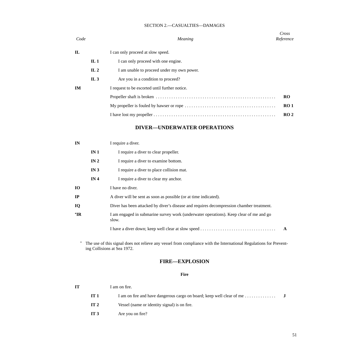### SECTION 2.—CASUALTIES—DAMAGES

| Code         |        | Meaning                                        | Cross<br>Reference |
|--------------|--------|------------------------------------------------|--------------------|
| $\mathbf{L}$ |        | I can only proceed at slow speed.              |                    |
|              | IL1    | I can only proceed with one engine.            |                    |
|              | IL $2$ | I am unable to proceed under my own power.     |                    |
|              | IL $3$ | Are you in a condition to proceed?             |                    |
| IM           |        | I request to be escorted until further notice. |                    |
|              |        |                                                | <b>RO</b>          |
|              |        |                                                | RO <sub>1</sub>    |
|              |        |                                                | RO <sub>2</sub>    |

# **DIVER—UNDERWATER OPERATIONS**

| IN        |                 | I require a diver.                                                                              |
|-----------|-----------------|-------------------------------------------------------------------------------------------------|
|           | IN <sub>1</sub> | I require a diver to clear propeller.                                                           |
|           | IN <sub>2</sub> | I require a diver to examine bottom.                                                            |
|           | IN <sub>3</sub> | I require a diver to place collision mat.                                                       |
|           | IN <sub>4</sub> | I require a diver to clear my anchor.                                                           |
| <b>IO</b> |                 | I have no diver.                                                                                |
| IP        |                 | A diver will be sent as soon as possible (or at time indicated).                                |
| IQ        |                 | Diver has been attacked by diver's disease and requires decompression chamber treatment.        |
| $*$ IR    |                 | I am engaged in submarine survey work (underwater operations). Keep clear of me and go<br>slow. |
|           |                 | A                                                                                               |

\* The use of this signal does not relieve any vessel from compliance with the International Regulations for Preventing Collisions at Sea 1972.

## **FIRE—EXPLOSION**

### **Fire**

| IT<br>I am on fire. |                 |                                                                       |  |
|---------------------|-----------------|-----------------------------------------------------------------------|--|
|                     | IT 1            | I am on fire and have dangerous cargo on board; keep well clear of me |  |
|                     | IT <sub>2</sub> | Vessel (name or identity signal) is on fire.                          |  |
|                     | IT3             | Are you on fire?                                                      |  |
|                     |                 |                                                                       |  |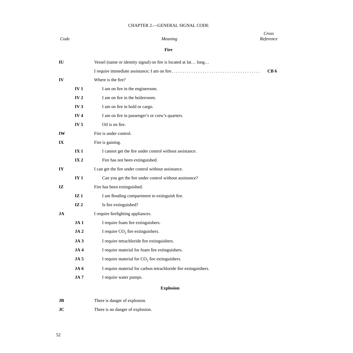| Code           |                 | Meaning                                                         | Cross<br>Reference |
|----------------|-----------------|-----------------------------------------------------------------|--------------------|
|                |                 | <b>Fire</b>                                                     |                    |
| IU             |                 | Vessel (name or identity signal) on fire is located at lat long |                    |
|                |                 |                                                                 | CB <sub>6</sub>    |
| IV             |                 | Where is the fire?                                              |                    |
|                | IV <sub>1</sub> | I am on fire in the engineroom.                                 |                    |
|                | IV <sub>2</sub> | I am on fire in the boilerroom.                                 |                    |
|                | IV <sub>3</sub> | I am on fire in hold or cargo.                                  |                    |
|                | IV <sub>4</sub> | I am on fire in passenger's or crew's quarters.                 |                    |
|                | IV <sub>5</sub> | Oil is on fire.                                                 |                    |
| IW             |                 | Fire is under control.                                          |                    |
| IX             |                 | Fire is gaining.                                                |                    |
|                | IX <sub>1</sub> | I cannot get the fire under control without assistance.         |                    |
|                | IX <sub>2</sub> | Fire has not been extinguished.                                 |                    |
| IY             |                 | I can get the fire under control without assistance.            |                    |
|                | IY1             | Can you get the fire under control without assistance?          |                    |
| IZ             |                 | Fire has been extinguished.                                     |                    |
|                | IZ <sub>1</sub> | I am flooding compartment to extinguish fire.                   |                    |
|                | IZ2             | Is fire extinguished?                                           |                    |
| <b>JA</b>      |                 | I require firefighting appliances.                              |                    |
|                | JA <sub>1</sub> | I require foam fire extinguishers.                              |                    |
|                | JA 2            | I require $CO2$ fire extinguishers.                             |                    |
|                | JA <sub>3</sub> | I require tetrachloride fire extinguishers.                     |                    |
|                | <b>JA4</b>      | I require material for foam fire extinguishers.                 |                    |
|                | <b>JA 5</b>     | I require material for $CO2$ fire extinguishers.                |                    |
|                | JA 6            | I require material for carbon tetrachloride fire extinguishers. |                    |
|                | JA 7            | I require water pumps.                                          |                    |
|                |                 | <b>Explosion</b>                                                |                    |
| J <sub>B</sub> |                 | There is danger of explosion.                                   |                    |

**JC** There is no danger of explosion.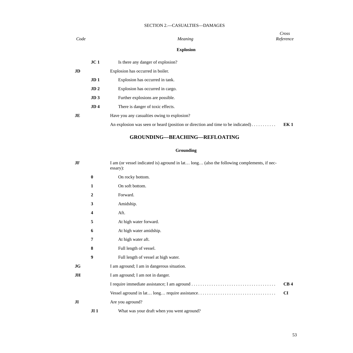### SECTION 2.—CASUALTIES—DAMAGES

*Cross Code Meaning Reference*

### **Explosion**

|    | JC1             | Is there any danger of explosion?           |
|----|-----------------|---------------------------------------------|
| JD |                 | Explosion has occurred in boiler.           |
|    | JD <sub>1</sub> | Explosion has occurred in tank.             |
|    | JD <sub>2</sub> | Explosion has occurred in cargo.            |
|    | JD <sub>3</sub> | Further explosions are possible.            |
|    | JD <sub>4</sub> | There is danger of toxic effects.           |
| JE |                 | Have you any casualties owing to explosion? |
|    |                 |                                             |

An explosion was seen or heard (position or direction and time to be indicated) . . . . . . . . . . . **EK 1** 

### **GROUNDING—BEACHING—REFLOATING**

### **Grounding**

| JF           |                  | I am (or vessel indicated is) aground in lat long (also the following complements, if nec-<br>essary): |     |
|--------------|------------------|--------------------------------------------------------------------------------------------------------|-----|
|              | $\boldsymbol{0}$ | On rocky bottom.                                                                                       |     |
|              | 1                | On soft bottom.                                                                                        |     |
|              | $\boldsymbol{2}$ | Forward.                                                                                               |     |
|              | $\mathbf{3}$     | Amidship.                                                                                              |     |
|              | 4                | Aft.                                                                                                   |     |
|              | 5                | At high water forward.                                                                                 |     |
|              | 6                | At high water amidship.                                                                                |     |
|              | 7                | At high water aft.                                                                                     |     |
|              | 8                | Full length of vessel.                                                                                 |     |
|              | 9                | Full length of vessel at high water.                                                                   |     |
| <b>JG</b>    |                  | I am aground; I am in dangerous situation.                                                             |     |
| JH           |                  | I am aground; I am not in danger.                                                                      |     |
|              |                  |                                                                                                        | CB4 |
|              |                  |                                                                                                        | CI  |
| $\mathbf{J}$ |                  | Are you aground?                                                                                       |     |
|              | JI1              | What was your draft when you went aground?                                                             |     |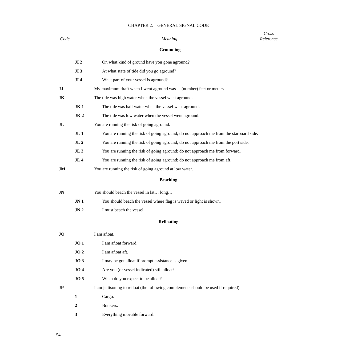| Code           |                 | Meaning                                                                                | Cross<br>Reference |
|----------------|-----------------|----------------------------------------------------------------------------------------|--------------------|
|                |                 | Grounding                                                                              |                    |
|                | JI2             | On what kind of ground have you gone aground?                                          |                    |
|                | JI3             | At what state of tide did you go aground?                                              |                    |
|                | JI4             | What part of your vessel is aground?                                                   |                    |
| JJ             |                 | My maximum draft when I went aground was (number) feet or meters.                      |                    |
| JK             |                 | The tide was high water when the vessel went aground.                                  |                    |
|                | JK1             | The tide was half water when the vessel went aground.                                  |                    |
|                | JK <sub>2</sub> | The tide was low water when the vessel went aground.                                   |                    |
| J <sub>L</sub> |                 | You are running the risk of going aground.                                             |                    |
|                | JL1             | You are running the risk of going aground; do not approach me from the starboard side. |                    |
|                | JL <sub>2</sub> | You are running the risk of going aground; do not approach me from the port side.      |                    |
|                | JL <sub>3</sub> | You are running the risk of going aground; do not approach me from forward.            |                    |
|                | JL <sub>4</sub> | You are running the risk of going aground; do not approach me from aft.                |                    |
| JM             |                 | You are running the risk of going aground at low water.                                |                    |
|                |                 | <b>Beaching</b>                                                                        |                    |
| <b>JN</b>      |                 | You should beach the vessel in lat long                                                |                    |
|                | JN1             | You should beach the vessel where flag is waved or light is shown.                     |                    |
|                | JN <sub>2</sub> | I must beach the vessel.                                                               |                    |
|                |                 | <b>Refloating</b>                                                                      |                    |
| JO             |                 | I am afloat.                                                                           |                    |
|                | JO1             | I am afloat forward.                                                                   |                    |
|                | JO2             | I am afloat aft.                                                                       |                    |
|                | JO3             | I may be got afloat if prompt assistance is given.                                     |                    |
|                | JO4             | Are you (or vessel indicated) still afloat?                                            |                    |
|                | JO <sub>5</sub> | When do you expect to be afloat?                                                       |                    |
| JP             |                 | I am jettisoning to refloat (the following complements should be used if required):    |                    |
|                | 1               | Cargo.                                                                                 |                    |
|                | 2               | Bunkers.                                                                               |                    |
|                | $\mathbf{3}$    | Everything movable forward.                                                            |                    |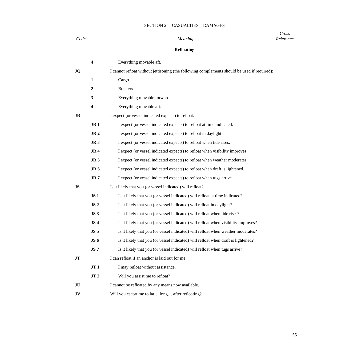### SECTION 2.—CASUALTIES—DAMAGES

*Cross Code Meaning Reference*

### **Refloating**

|           | $\overline{\mathbf{4}}$ | Everything movable aft.                                                                      |
|-----------|-------------------------|----------------------------------------------------------------------------------------------|
| <b>JQ</b> |                         | I cannot refloat without jettisoning (the following complements should be used if required): |
|           | $\mathbf{1}$            | Cargo.                                                                                       |
|           | $\boldsymbol{2}$        | Bunkers.                                                                                     |
|           | $\mathbf{3}$            | Everything movable forward.                                                                  |
|           | $\overline{\mathbf{4}}$ | Everything movable aft.                                                                      |
| <b>JR</b> |                         | I expect (or vessel indicated expects) to refloat.                                           |
|           | <b>JR1</b>              | I expect (or vessel indicated expects) to refloat at time indicated.                         |
|           | <b>JR2</b>              | I expect (or vessel indicated expects) to refloat in daylight.                               |
|           | <b>JR3</b>              | I expect (or vessel indicated expects) to refloat when tide rises.                           |
|           | <b>JR4</b>              | I expect (or vessel indicated expects) to refloat when visibility improves.                  |
|           | <b>JR5</b>              | I expect (or vessel indicated expects) to refloat when weather moderates.                    |
|           | JR <sub>6</sub>         | I expect (or vessel indicated expects) to refloat when draft is lightened.                   |
|           | <b>JR7</b>              | I expect (or vessel indicated expects) to refloat when tugs arrive.                          |
| <b>JS</b> |                         | Is it likely that you (or vessel indicated) will refloat?                                    |
|           | JS <sub>1</sub>         | Is it likely that you (or vessel indicated) will refloat at time indicated?                  |
|           | JS <sub>2</sub>         | Is it likely that you (or vessel indicated) will refloat in daylight?                        |
|           | JS <sub>3</sub>         | Is it likely that you (or vessel indicated) will refloat when tide rises?                    |
|           | JS <sub>4</sub>         | Is it likely that you (or vessel indicated) will refloat when visibility improves?           |
|           | JS <sub>5</sub>         | Is it likely that you (or vessel indicated) will refloat when weather moderates?             |
|           | JS <sub>6</sub>         | Is it likely that you (or vessel indicated) will refloat when draft is lightened?            |
|           | JS7                     | Is it likely that you (or vessel indicated) will refloat when tugs arrive?                   |
| JT        |                         | I can refloat if an anchor is laid out for me.                                               |
|           | JT1                     | I may refloat without assistance.                                                            |
|           | JT <sub>2</sub>         | Will you assist me to refloat?                                                               |
| JU        |                         | I cannot be refloated by any means now available.                                            |
| JV        |                         | Will you escort me to lat long after refloating?                                             |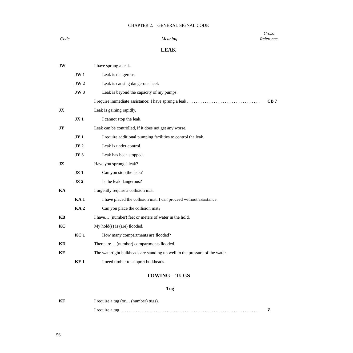## **LEAK**

| JW |                 | I have sprung a leak.                                                       |     |
|----|-----------------|-----------------------------------------------------------------------------|-----|
|    | JW1             | Leak is dangerous.                                                          |     |
|    | JW <sub>2</sub> | Leak is causing dangerous heel.                                             |     |
|    | JW3             | Leak is beyond the capacity of my pumps.                                    |     |
|    |                 |                                                                             | CB7 |
| JX |                 | Leak is gaining rapidly.                                                    |     |
|    | JX1             | I cannot stop the leak.                                                     |     |
| JY |                 | Leak can be controlled, if it does not get any worse.                       |     |
|    | JY1             | I require additional pumping facilities to control the leak.                |     |
|    | JY2             | Leak is under control.                                                      |     |
|    | JY3             | Leak has been stopped.                                                      |     |
| JZ |                 | Have you sprung a leak?                                                     |     |
|    | $JZ_1$          | Can you stop the leak?                                                      |     |
|    | JZ2             | Is the leak dangerous?                                                      |     |
| KA |                 | I urgently require a collision mat.                                         |     |
|    | KA <sub>1</sub> | I have placed the collision mat. I can proceed without assistance.          |     |
|    | KA <sub>2</sub> | Can you place the collision mat?                                            |     |
| KB |                 | I have (number) feet or meters of water in the hold.                        |     |
| KC |                 | My hold $(s)$ is (are) flooded.                                             |     |
|    | KC <sub>1</sub> | How many compartments are flooded?                                          |     |
| KD |                 | There are (number) compartments flooded.                                    |     |
| KE |                 | The watertight bulkheads are standing up well to the pressure of the water. |     |
|    | KE <sub>1</sub> | I need timber to support bulkheads.                                         |     |
|    |                 | <b>TOWING-TUGS</b>                                                          |     |
|    |                 | Tug                                                                         |     |

| - KF | I require a tug (or (number) tugs). |  |
|------|-------------------------------------|--|
|      |                                     |  |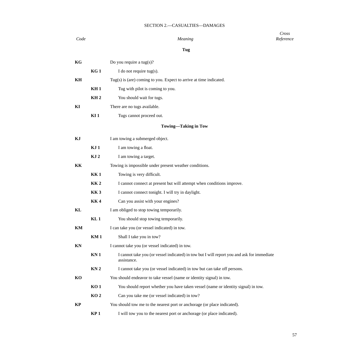### SECTION 2.—CASUALTIES—DAMAGES

*Cross Code Meaning Reference*

**Tug**

|    |                 | Tug                                                                                                       |
|----|-----------------|-----------------------------------------------------------------------------------------------------------|
| KG |                 | Do you require a tug(s)?                                                                                  |
|    | KG <sub>1</sub> | I do not require tug(s).                                                                                  |
| KH |                 | Tug(s) is (are) coming to you. Expect to arrive at time indicated.                                        |
|    | KH <sub>1</sub> | Tug with pilot is coming to you.                                                                          |
|    | KH <sub>2</sub> | You should wait for tugs.                                                                                 |
| KI |                 | There are no tugs available.                                                                              |
|    | KI <sub>1</sub> | Tugs cannot proceed out.                                                                                  |
|    |                 | <b>Towing-Taking in Tow</b>                                                                               |
| KJ |                 | I am towing a submerged object.                                                                           |
|    | KJ <sub>1</sub> | I am towing a float.                                                                                      |
|    | KJ <sub>2</sub> | I am towing a target.                                                                                     |
| KK |                 | Towing is impossible under present weather conditions.                                                    |
|    | <b>KK1</b>      | Towing is very difficult.                                                                                 |
|    | KK <sub>2</sub> | I cannot connect at present but will attempt when conditions improve.                                     |
|    | KK <sub>3</sub> | I cannot connect tonight. I will try in daylight.                                                         |
|    | KK4             | Can you assist with your engines?                                                                         |
| KL |                 | I am obliged to stop towing temporarily.                                                                  |
|    | KL <sub>1</sub> | You should stop towing temporarily.                                                                       |
| KM |                 | I can take you (or vessel indicated) in tow.                                                              |
|    | KM <sub>1</sub> | Shall I take you in tow?                                                                                  |
| KN |                 | I cannot take you (or vessel indicated) in tow.                                                           |
|    | KN <sub>1</sub> | I cannot take you (or vessel indicated) in tow but I will report you and ask for immediate<br>assistance. |
|    | KN <sub>2</sub> | I cannot take you (or vessel indicated) in tow but can take off persons.                                  |
| KO |                 | You should endeavor to take vessel (name or identity signal) in tow.                                      |
|    | KO <sub>1</sub> | You should report whether you have taken vessel (name or identity signal) in tow.                         |
|    | KO <sub>2</sub> | Can you take me (or vessel indicated) in tow?                                                             |
| KP |                 | You should tow me to the nearest port or anchorage (or place indicated).                                  |
|    | KP <sub>1</sub> | I will tow you to the nearest port or anchorage (or place indicated).                                     |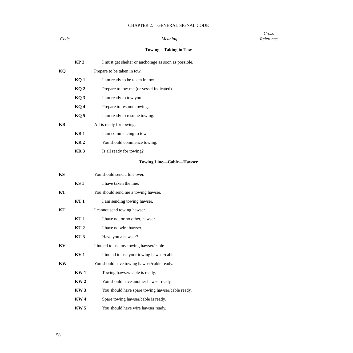*Cross Code Meaning Reference*

### **Towing—Taking in Tow**

|    | KP 2            | I must get shelter or anchorage as soon as possible. |
|----|-----------------|------------------------------------------------------|
| KQ |                 | Prepare to be taken in tow.                          |
|    | KQ <sub>1</sub> | I am ready to be taken in tow.                       |
|    | KQ <sub>2</sub> | Prepare to tow me (or vessel indicated).             |
|    | KQ <sub>3</sub> | I am ready to tow you.                               |
|    | KQ <sub>4</sub> | Prepare to resume towing.                            |
|    | KQ <sub>5</sub> | I am ready to resume towing.                         |
| KR |                 | All is ready for towing.                             |
|    | KR <sub>1</sub> | I am commencing to tow.                              |
|    | KR <sub>2</sub> | You should commence towing.                          |
|    | KR <sub>3</sub> | Is all ready for towing?                             |

### **Towing Line—Cable—Hawser**

| KS |                 | You should send a line over.                     |
|----|-----------------|--------------------------------------------------|
|    | KS 1            | I have taken the line.                           |
| KТ |                 | You should send me a towing hawser.              |
|    | KT <sub>1</sub> | I am sending towing hawser.                      |
| KU |                 | I cannot send towing hawser.                     |
|    | KU 1            | I have no, or no other, hawser.                  |
|    | KU <sub>2</sub> | I have no wire hawser.                           |
|    | KU <sub>3</sub> | Have you a hawser?                               |
|    |                 |                                                  |
| KV |                 | I intend to use my towing hawser/cable.          |
|    | KV <sub>1</sub> | I intend to use your towing hawser/cable.        |
| KW |                 | You should have towing hawser/cable ready.       |
|    | KW1             | Towing hawser/cable is ready.                    |
|    | KW <sub>2</sub> | You should have another hawser ready.            |
|    | KW3             | You should have spare towing hawser/cable ready. |
|    | KW <sub>4</sub> | Spare towing hawser/cable is ready.              |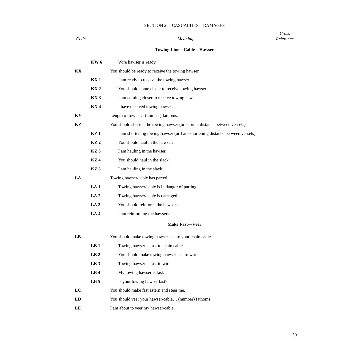### SECTION 2.—CASUALTIES—DAMAGES

*Cross Code Meaning Reference*

### **Towing Line—Cable—Hawser**

|    | KW <sub>6</sub>           | Wire hawser is ready.                                                        |
|----|---------------------------|------------------------------------------------------------------------------|
| KX |                           | You should be ready to receive the towing hawser.                            |
|    | $\mathbf{K} \mathbf{X}$ 1 | I am ready to receive the towing hawser.                                     |
|    | $\mathbf{K} \mathbf{X}$ 2 | You should come closer to receive towing hawser.                             |
|    | KX <sub>3</sub>           | I am coming closer to receive towing hawser.                                 |
|    | KX4                       | I have received towing hawser.                                               |
| KY |                           | Length of tow is (number) fathoms.                                           |
| KZ |                           | You should shorten the towing hawser (or shorten distance between vessels).  |
|    | KZ <sub>1</sub>           | I am shortening towing hawser (or I am shortening distance between vessels). |
|    | KZ <sub>2</sub>           | You should haul in the hawser.                                               |
|    | KZ <sub>3</sub>           | I am hauling in the hawser.                                                  |
|    | KZ4                       | You should haul in the slack.                                                |
|    | KZ <sub>5</sub>           | I am hauling in the slack.                                                   |
| LA |                           | Towing hawser/cable has parted.                                              |
|    | LA <sub>1</sub>           | Towing hawser/cable is in danger of parting.                                 |
|    | LA <sub>2</sub>           | Towing hawser/cable is damaged.                                              |
|    | LA <sub>3</sub>           | You should reinforce the hawsers.                                            |
|    | LA <sub>4</sub>           | I am reinforcing the hawsers.                                                |
|    |                           | <b>Make Fast-Veer</b>                                                        |
| LB |                           | You should make towing hawser fast to your chain cable.                      |
|    | LB <sub>1</sub>           | Towing hawser is fast to chain cable.                                        |
|    | LB <sub>2</sub>           | You should make towing hawser fast to wire.                                  |
|    | LB <sub>3</sub>           | Towing hawser is fast to wire.                                               |
|    | LB4                       | My towing hawser is fast.                                                    |
|    | LB <sub>5</sub>           | Is your towing hawser fast?                                                  |
| LC |                           | You should make fast astern and steer me.                                    |
| LD |                           | You should veer your hawser/cable (number) fathoms.                          |
| LE |                           | I am about to veer my hawser/cable.                                          |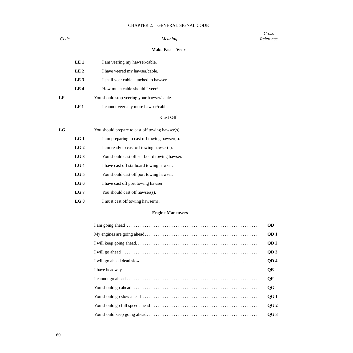*Cross Code Meaning Reference*

### **Make Fast—Veer**

|    | LE 1            | I am veering my hawser/cable.              |
|----|-----------------|--------------------------------------------|
|    | LE 2            | I have veered my hawser/cable.             |
|    | LE <sub>3</sub> | I shall veer cable attached to hawser.     |
|    | LE 4            | How much cable should I veer?              |
| LF |                 | You should stop veering your hawser/cable. |
|    | LF 1            | I cannot veer any more hawser/cable.       |

### **Cast Off**

| LG |                 | You should prepare to cast off towing hawser(s). |
|----|-----------------|--------------------------------------------------|
|    | LG <sub>1</sub> | I am preparing to cast off towing hawser(s).     |
|    | LG <sub>2</sub> | I am ready to cast off towing hawser(s).         |
|    | $LG_3$          | You should cast off starboard towing hawser.     |
|    | LG <sub>4</sub> | I have cast off starboard towing hawser.         |
|    | $LG_5$          | You should cast off port towing hawser.          |
|    | $LG_6$          | I have cast off port towing hawser.              |
|    | LG <sub>7</sub> | You should cast off hawser(s).                   |
|    | LG 8            | I must cast off towing hawser(s).                |

### **Engine Maneuvers**

| QD              |
|-----------------|
| QD <sub>1</sub> |
| QD <sub>2</sub> |
| QD <sub>3</sub> |
| QD <sub>4</sub> |
| QE              |
| QF              |
| QG              |
| QG <sub>1</sub> |
| QG <sub>2</sub> |
| OG3             |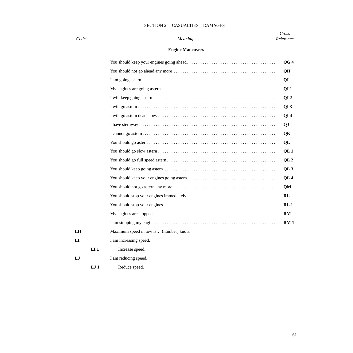### SECTION 2.—CASUALTIES—DAMAGES

### *Cross Code Meaning Reference*

### **Engine Maneuvers**

|                        |     |                                         | QG <sub>4</sub> |
|------------------------|-----|-----------------------------------------|-----------------|
|                        |     |                                         | QH              |
|                        |     |                                         | QI              |
|                        |     |                                         | QI <sub>1</sub> |
|                        |     |                                         | QI <sub>2</sub> |
|                        |     |                                         | QI <sub>3</sub> |
|                        |     |                                         | QI4             |
|                        |     |                                         | QJ              |
|                        |     |                                         | QK              |
|                        |     |                                         | QL              |
|                        |     |                                         | QL1             |
|                        |     |                                         | QL <sub>2</sub> |
|                        |     |                                         | QL <sub>3</sub> |
|                        |     |                                         | QL <sub>4</sub> |
|                        |     |                                         | <b>QM</b>       |
|                        |     |                                         | RL              |
|                        |     |                                         | RL <sub>1</sub> |
|                        |     |                                         | RM              |
|                        |     |                                         | RM <sub>1</sub> |
| LH                     |     | Maximum speed in tow is (number) knots. |                 |
| $\mathbf{L}\mathbf{I}$ |     | I am increasing speed.                  |                 |
|                        | LI  | Increase speed.                         |                 |
| LJ                     |     | I am reducing speed.                    |                 |
|                        | LJ1 | Reduce speed.                           |                 |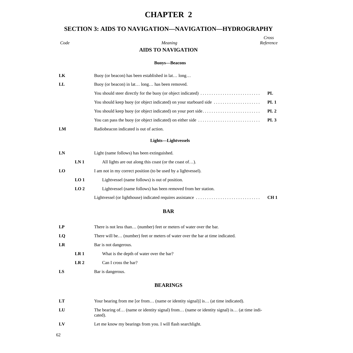# **CHAPTER 2**

# **SECTION 3: AIDS TO NAVIGATION—NAVIGATION—HYDROGRAPHY**

| Code           |                 | Meaning<br><b>AIDS TO NAVIGATION</b>                              | Cross<br>Reference |
|----------------|-----------------|-------------------------------------------------------------------|--------------------|
|                |                 | <b>Buoys-Beacons</b>                                              |                    |
| LK             |                 | Buoy (or beacon) has been established in lat long                 |                    |
| LL             |                 | Buoy (or beacon) in lat long has been removed.                    |                    |
|                |                 | You should steer directly for the buoy (or object indicated)      | PL                 |
|                |                 | You should keep buoy (or object indicated) on your starboard side | PL1                |
|                |                 | You should keep buoy (or object indicated) on your port side      | <b>PL 2</b>        |
|                |                 |                                                                   | <b>PL3</b>         |
| LM             |                 | Radiobeacon indicated is out of action.                           |                    |
|                |                 | Lights-Lightvessels                                               |                    |
| LN             |                 | Light (name follows) has been extinguished.                       |                    |
|                | LN <sub>1</sub> | All lights are out along this coast (or the coast of).            |                    |
| L <sub>0</sub> |                 | I am not in my correct position (to be used by a lightvessel).    |                    |
|                | LO <sub>1</sub> | Lightvessel (name follows) is out of position.                    |                    |
|                | LO <sub>2</sub> | Lightvessel (name follows) has been removed from her station.     |                    |
|                |                 |                                                                   | CH <sub>1</sub>    |

### **BAR**

| LP |                 | There is not less than (number) feet or meters of water over the bar.          |
|----|-----------------|--------------------------------------------------------------------------------|
| LQ |                 | There will be (number) feet or meters of water over the bar at time indicated. |
| LR |                 | Bar is not dangerous.                                                          |
|    | LR 1            | What is the depth of water over the bar?                                       |
|    | LR <sub>2</sub> | Can I cross the bar?                                                           |
| LS |                 | Bar is dangerous.                                                              |

## **BEARINGS**

| -LT | Your bearing from me [or from (name or identity signal)] is (at time indicated).                     |
|-----|------------------------------------------------------------------------------------------------------|
| -LU | The bearing of (name or identity signal) from (name or identity signal) is (at time indi-<br>cated). |
| LV  | Let me know my bearings from you. I will flash searchlight.                                          |

62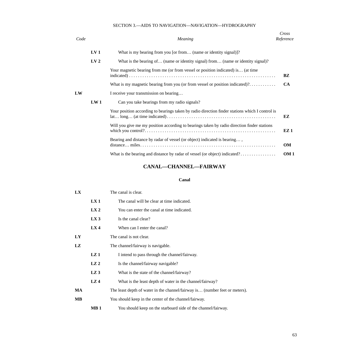### SECTION 3.—AIDS TO NAVIGATION—NAVIGATION—HYDROGRAPHY

| Code |                 | Meaning                                                                                         | Cross<br>Reference |
|------|-----------------|-------------------------------------------------------------------------------------------------|--------------------|
|      | LV <sub>1</sub> | What is my bearing from you [or from (name or identity signal)]?                                |                    |
|      | LV <sub>2</sub> | What is the bearing of (name or identity signal) from (name or identity signal)?                |                    |
|      |                 | Your magnetic bearing from me (or from vessel or position indicated) is (at time                | BZ                 |
|      |                 | What is my magnetic bearing from you (or from vessel or position indicated)?                    | <b>CA</b>          |
| LW   |                 | I receive your transmission on bearing                                                          |                    |
|      | LW1             | Can you take bearings from my radio signals?                                                    |                    |
|      |                 | Your position according to bearings taken by radio direction finder stations which I control is | EZ                 |
|      |                 | Will you give me my position according to bearings taken by radio direction finder stations     | EZ 1               |
|      |                 | Bearing and distance by radar of vessel (or object) indicated is bearing,                       | <b>OM</b>          |
|      |                 |                                                                                                 | <b>OM1</b>         |

# **CANAL—CHANNEL—FAIRWAY**

### **Canal**

| <b>LX</b> |                           | The canal is clear.                                                         |
|-----------|---------------------------|-----------------------------------------------------------------------------|
|           | LX 1                      | The canal will be clear at time indicated.                                  |
|           | LX <sub>2</sub>           | You can enter the canal at time indicated.                                  |
|           | $\mathbf{L} \mathbf{X}$ 3 | Is the canal clear?                                                         |
|           | LX4                       | When can I enter the canal?                                                 |
| LY        |                           | The canal is not clear.                                                     |
| LZ.       |                           | The channel/fairway is navigable.                                           |
|           | LZ1                       | I intend to pass through the channel/fairway.                               |
|           | LZ2                       | Is the channel/fairway navigable?                                           |
|           | LZ <sub>3</sub>           | What is the state of the channel/fairway?                                   |
|           | $LZ_4$                    | What is the least depth of water in the channel/fairway?                    |
| MA        |                           | The least depth of water in the channel/fairway is (number feet or meters). |
| MВ        |                           | You should keep in the center of the channel/fairway.                       |
|           | MB <sub>1</sub>           | You should keep on the starboard side of the channel/fairway.               |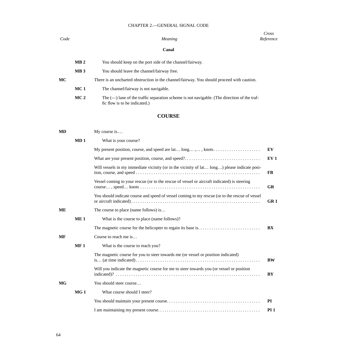### **Canal**

|    | MB <sub>2</sub> | You should keep on the port side of the channel/fairway.                                                                       |
|----|-----------------|--------------------------------------------------------------------------------------------------------------------------------|
|    | MB <sub>3</sub> | You should leave the channel/fairway free.                                                                                     |
| МC |                 | There is an uncharted obstruction in the channel/fairway. You should proceed with caution.                                     |
|    | MC 1            | The channel/fairway is not navigable.                                                                                          |
|    | MC <sub>2</sub> | The $(-)$ lane of the traffic separation scheme is not navigable. (The direction of the traf-<br>fic flow is to be indicated.) |

### **COURSE**

| <b>MD</b> |                 | My course is                                                                                   |                 |
|-----------|-----------------|------------------------------------------------------------------------------------------------|-----------------|
|           | MD <sub>1</sub> | What is your course?                                                                           |                 |
|           |                 |                                                                                                | EV              |
|           |                 |                                                                                                | EV <sub>1</sub> |
|           |                 | Will vessels in my immediate vicinity (or in the vicinity of lat long) please indicate posi-   | FB              |
|           |                 | Vessel coming to your rescue (or to the rescue of vessel or aircraft indicated) is steering    | <b>GR</b>       |
|           |                 | You should indicate course and speed of vessel coming to my rescue (or to the rescue of vessel | GR <sub>1</sub> |
| MЕ        |                 | The course to place (name follows) is                                                          |                 |
|           | ME <sub>1</sub> | What is the course to place (name follows)?                                                    |                 |
|           |                 |                                                                                                | BX              |
| МF        |                 | Course to reach me is                                                                          |                 |
|           | MF <sub>1</sub> | What is the course to reach you?                                                               |                 |
|           |                 | The magnetic course for you to steer towards me (or vessel or position indicated)              | <b>BW</b>       |
|           |                 | Will you indicate the magnetic course for me to steer towards you (or vessel or position       | BY              |
| MG        |                 | You should steer course                                                                        |                 |
|           | MG <sub>1</sub> | What course should I steer?                                                                    |                 |
|           |                 |                                                                                                | PI              |
|           |                 |                                                                                                | PI1             |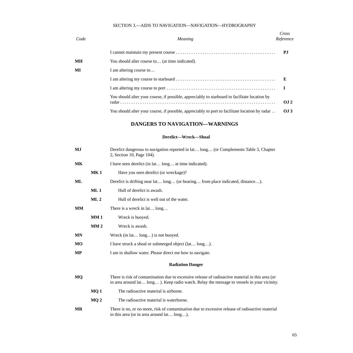### SECTION 3.—AIDS TO NAVIGATION—NAVIGATION—HYDROGRAPHY

| Code | Meaning                                                                                        | Cross<br>Reference |
|------|------------------------------------------------------------------------------------------------|--------------------|
|      |                                                                                                | P.I                |
| MН   | You should alter course to (at time indicated).                                                |                    |
| МI   | I am altering course to                                                                        |                    |
|      |                                                                                                | E                  |
|      |                                                                                                |                    |
|      | You should alter your course, if possible, appreciably to starboard to facilitate location by  | O <sub>J</sub> 2   |
|      | You should alter your course, if possible, appreciably to port to facilitate location by radar | 0.13               |

# **DANGERS TO NAVIGATION—WARNINGS**

### **Derelict—Wreck—Shoal**

| MJ             |                 | Derelict dangerous to navigation reported in lat long (or Complements Table 3, Chapter<br>2, Section 10, Page 104).                                                                            |
|----------------|-----------------|------------------------------------------------------------------------------------------------------------------------------------------------------------------------------------------------|
| MK             |                 | I have seen derelict (in lat long at time indicated).                                                                                                                                          |
|                | MK <sub>1</sub> | Have you seen derelict (or wreckage)?                                                                                                                                                          |
| ML             |                 | Derelict is drifting near lat long (or bearing from place indicated, distance).                                                                                                                |
|                | ML1             | Hull of derelict is awash.                                                                                                                                                                     |
|                | ML <sub>2</sub> | Hull of derelict is well out of the water.                                                                                                                                                     |
| MM             |                 | There is a wreck in lat long                                                                                                                                                                   |
|                | MM1             | Wreck is buoyed.                                                                                                                                                                               |
|                | MM <sub>2</sub> | Wreck is awash.                                                                                                                                                                                |
| <b>MN</b>      |                 | Wreck (in lat long) is not buoyed.                                                                                                                                                             |
| M <sub>O</sub> |                 | I have struck a shoal or submerged object (lat long).                                                                                                                                          |
| MP             |                 | I am in shallow water. Please direct me how to navigate.                                                                                                                                       |
|                |                 | <b>Radiation Danger</b>                                                                                                                                                                        |
| <b>MQ</b>      |                 | There is risk of contamination due to excessive release of radioactive material in this area (or<br>in area around lat long). Keep radio watch. Relay the message to vessels in your vicinity. |
|                | MQ <sub>1</sub> | The radioactive material is airborne.                                                                                                                                                          |
|                | MQ <sub>2</sub> | The radioactive material is waterborne.                                                                                                                                                        |
| <b>MR</b>      |                 | There is no, or no more, risk of contamination due to excessive release of radioactive material<br>in this area (or in area around lat long).                                                  |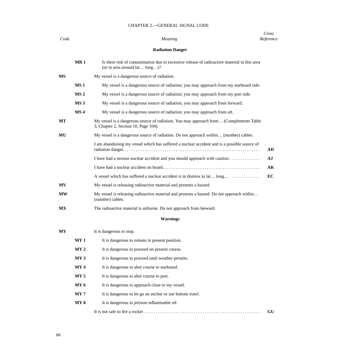| Code      |                 | Meaning                                                                                                                        | Cross<br>Reference |
|-----------|-----------------|--------------------------------------------------------------------------------------------------------------------------------|--------------------|
|           |                 | <b>Radiation Danger</b>                                                                                                        |                    |
|           | <b>MR1</b>      | Is there risk of contamination due to excessive release of radioactive material in this area<br>(or in area around lat long)?  |                    |
| MS        |                 | My vessel is a dangerous source of radiation.                                                                                  |                    |
|           | MS <sub>1</sub> | My vessel is a dangerous source of radiation; you may approach from my starboard side.                                         |                    |
|           | MS <sub>2</sub> | My vessel is a dangerous source of radiation; you may approach from my port side.                                              |                    |
|           | MS <sub>3</sub> | My vessel is a dangerous source of radiation; you may approach from forward.                                                   |                    |
|           | MS <sub>4</sub> | My vessel is a dangerous source of radiation; you may approach from aft.                                                       |                    |
| МT        |                 | My vessel is a dangerous source of radiation. You may approach from (Complements Table<br>3, Chapter 2, Section 10, Page 104). |                    |
| MU        |                 | My vessel is a dangerous source of radiation. Do not approach within (number) cables.                                          |                    |
|           |                 | I am abandoning my vessel which has suffered a nuclear accident and is a possible source of                                    | AD                 |
|           |                 | I have had a serious nuclear accident and you should approach with caution                                                     | AJ                 |
|           |                 |                                                                                                                                | AK                 |
|           |                 | A vessel which has suffered a nuclear accident is in distress in lat long                                                      | EC                 |
| <b>MV</b> |                 | My vessel is releasing radioactive material and presents a hazard.                                                             |                    |
| <b>MW</b> |                 | My vessel is releasing radioactive material and presents a hazard. Do not approach within<br>(number) cables.                  |                    |
| <b>MX</b> |                 | The radioactive material is airborne. Do not approach from leeward.                                                            |                    |
|           |                 | <b>Warnings</b>                                                                                                                |                    |
| <b>MY</b> |                 | It is dangerous to stop.                                                                                                       |                    |
|           | MY <sub>1</sub> | It is dangerous to remain in present position.                                                                                 |                    |
|           | MY <sub>2</sub> | It is dangerous to proceed on present course.                                                                                  |                    |
|           | MY <sub>3</sub> | It is dangerous to proceed until weather permits.                                                                              |                    |
|           | MY4             | It is dangerous to alter course to starboard.                                                                                  |                    |
|           | MY <sub>5</sub> | It is dangerous to alter course to port.                                                                                       |                    |
|           | <b>MY 6</b>     | It is dangerous to approach close to my vessel.                                                                                |                    |
|           | MY7             | It is dangerous to let go an anchor or use bottom trawl.                                                                       |                    |
|           | MY 8            | It is dangerous to jettison inflammable oil.                                                                                   |                    |
|           |                 |                                                                                                                                | GU                 |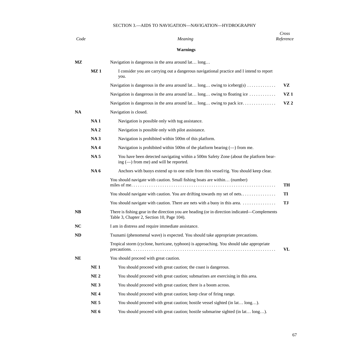### SECTION 3.—AIDS TO NAVIGATION—NAVIGATION—HYDROGRAPHY

| Code      |                 | Meaning                                                                                                                                     | Cross<br>Reference |
|-----------|-----------------|---------------------------------------------------------------------------------------------------------------------------------------------|--------------------|
|           |                 | <b>Warnings</b>                                                                                                                             |                    |
| МZ        |                 | Navigation is dangerous in the area around lat long                                                                                         |                    |
|           | MZ1             | I consider you are carrying out a dangerous navigational practice and I intend to report<br>you.                                            |                    |
|           |                 | Navigation is dangerous in the area around $lat$ long owing to iceberg(s)                                                                   | VZ                 |
|           |                 | Navigation is dangerous in the area around lat long owing to floating ice                                                                   | VZ1                |
|           |                 | Navigation is dangerous in the area around lat long owing to pack ice                                                                       | VZ <sub>2</sub>    |
| <b>NA</b> |                 | Navigation is closed.                                                                                                                       |                    |
|           | <b>NA1</b>      | Navigation is possible only with tug assistance.                                                                                            |                    |
|           | <b>NA2</b>      | Navigation is possible only with pilot assistance.                                                                                          |                    |
|           | <b>NA3</b>      | Navigation is prohibited within 500m of this platform.                                                                                      |                    |
|           | <b>NA4</b>      | Navigation is prohibited within 500m of the platform bearing $(-)$ from me.                                                                 |                    |
|           | <b>NA5</b>      | You have been detected navigating within a 500m Safety Zone (about the platform bear-<br>ing $(-)$ from me) and will be reported.           |                    |
|           | <b>NA 6</b>     | Anchors with buoys extend up to one mile from this vessel/rig. You should keep clear.                                                       |                    |
|           |                 | You should navigate with caution. Small fishing boats are within (number)                                                                   | <b>TH</b>          |
|           |                 | You should navigate with caution. You are drifting towards my set of nets                                                                   | TI                 |
|           |                 | You should navigate with caution. There are nets with a buoy in this area.                                                                  | <b>TJ</b>          |
| NB        |                 | There is fishing gear in the direction you are heading (or in direction indicated—Complements<br>Table 3, Chapter 2, Section 10, Page 104). |                    |
| NC        |                 | I am in distress and require immediate assistance.                                                                                          |                    |
| ND        |                 | Tsunami (phenomenal wave) is expected. You should take appropriate precautions.                                                             |                    |
|           |                 | Tropical storm (cyclone, hurricane, typhoon) is approaching. You should take appropriate                                                    | VL                 |
| NE        |                 | You should proceed with great caution.                                                                                                      |                    |
|           | NE <sub>1</sub> | You should proceed with great caution; the coast is dangerous.                                                                              |                    |
|           | NE <sub>2</sub> | You should proceed with great caution; submarines are exercising in this area.                                                              |                    |
|           | NE <sub>3</sub> | You should proceed with great caution; there is a boom across.                                                                              |                    |
|           | NE <sub>4</sub> | You should proceed with great caution; keep clear of firing range.                                                                          |                    |
|           | <b>NE5</b>      | You should proceed with great caution; hostile vessel sighted (in lat long).                                                                |                    |
|           | <b>NE 6</b>     | You should proceed with great caution; hostile submarine sighted (in lat long).                                                             |                    |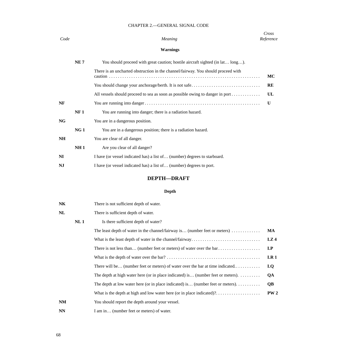| Code      |                 | Meaning                                                                           | Cross<br>Reference |
|-----------|-----------------|-----------------------------------------------------------------------------------|--------------------|
|           |                 | <b>Warnings</b>                                                                   |                    |
|           | NE <sub>7</sub> | You should proceed with great caution; hostile aircraft sighted (in lat long).    |                    |
|           |                 | There is an uncharted obstruction in the channel/fairway. You should proceed with | MC                 |
|           |                 | You should change your anchorage/berth. It is not safe                            | <b>RE</b>          |
|           |                 | All vessels should proceed to sea as soon as possible owing to danger in port     | UL                 |
| NF        |                 |                                                                                   | $\mathbf{U}$       |
|           | NF <sub>1</sub> | You are running into danger; there is a radiation hazard.                         |                    |
| <b>NG</b> |                 | You are in a dangerous position.                                                  |                    |
|           | NG <sub>1</sub> | You are in a dangerous position; there is a radiation hazard.                     |                    |
| <b>NH</b> |                 | You are clear of all danger.                                                      |                    |
|           | <b>NH1</b>      | Are you clear of all danger?                                                      |                    |
| NI        |                 | I have (or vessel indicated has) a list of (number) degrees to starboard.         |                    |
| NJ        |                 | I have (or vessel indicated has) a list of (number) degrees to port.              |                    |

### **DEPTH—DRAFT**

### **Depth**

| <b>NK</b> |                 | There is not sufficient depth of water.                                                           |                 |
|-----------|-----------------|---------------------------------------------------------------------------------------------------|-----------------|
| <b>NL</b> |                 | There is sufficient depth of water.                                                               |                 |
|           | NL <sub>1</sub> | Is there sufficient depth of water?                                                               |                 |
|           |                 | The least depth of water in the channel/fairway is (number feet or meters) $\dots\dots\dots\dots$ | MA              |
|           |                 |                                                                                                   | $LZ_4$          |
|           |                 | There is not less than (number feet or meters) of water over the bar                              | LP              |
|           |                 |                                                                                                   | LR <sub>1</sub> |
|           |                 | There will be (number feet or meters) of water over the bar at time indicated                     | LQ              |
|           |                 | The depth at high water here (or in place indicated) is (number feet or meters). $\dots$          | QA              |
|           |                 | The depth at low water here (or in place indicated) is (number feet or meters). $\dots$           | QB              |
|           |                 | What is the depth at high and low water here (or in place indicated)?                             | PW <sub>2</sub> |
| <b>NM</b> |                 | You should report the depth around your vessel.                                                   |                 |
| <b>NN</b> |                 | I am in (number feet or meters) of water.                                                         |                 |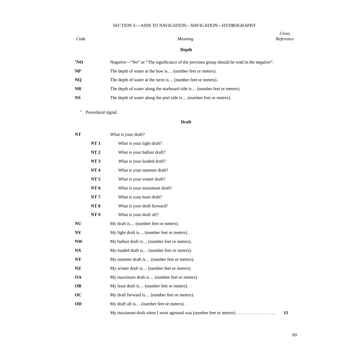### SECTION 3.—AIDS TO NAVIGATION—NAVIGATION—HYDROGRAPHY

*Cross Code Meaning Reference*

### **Depth**

| $^*$ NO        | Negative—"No" or "The significance of the previous group should be read in the negative". |
|----------------|-------------------------------------------------------------------------------------------|
| <b>NP</b>      | The depth of water at the bow is (number feet or meters).                                 |
| N <sub>O</sub> | The depth of water at the stern is (number feet or meters).                               |
| <b>NR</b>      | The depth of water along the starboard side is (number feet or meters).                   |
| <b>NS</b>      | The depth of water along the port side is (number feet or meters).                        |

\* Procedural signal.

### **Draft**

| NT                 |                 | What is your draft?                                                    |
|--------------------|-----------------|------------------------------------------------------------------------|
|                    | NT1             | What is your light draft?                                              |
|                    | NT <sub>2</sub> | What is your ballast draft?                                            |
|                    | NT <sub>3</sub> | What is your loaded draft?                                             |
|                    | NT4             | What is your summer draft?                                             |
|                    | NT <sub>5</sub> | What is your winter draft?                                             |
|                    | NT 6            | What is your maximum draft?                                            |
|                    | NT7             | What is your least draft?                                              |
|                    | NT <sub>8</sub> | What is your draft forward?                                            |
|                    | NT <sub>9</sub> | What is your draft aft?                                                |
| NU                 |                 | My draft is (number feet or meters).                                   |
| <b>NV</b>          |                 | My light draft is (number feet or meters).                             |
| <b>NW</b>          |                 | My ballast draft is (number feet or meters).                           |
| N X                |                 | My loaded draft is (number feet or meters).                            |
| $\bold{N}\bold{Y}$ |                 | My summer draft is (number feet or meters).                            |
| $\mathbf{NZ}$      |                 | My winter draft is (number feet or meters).                            |
| <b>OA</b>          |                 | My maximum draft is (number feet or meters).                           |
| <b>OB</b>          |                 | My least draft is (number feet or meters).                             |
| <b>OC</b>          |                 | My draft forward is (number feet or meters).                           |
| OD                 |                 | My draft aft is (number feet or meters).                               |
|                    |                 | My maximum draft when I went aground was (number feet or meters)<br>JJ |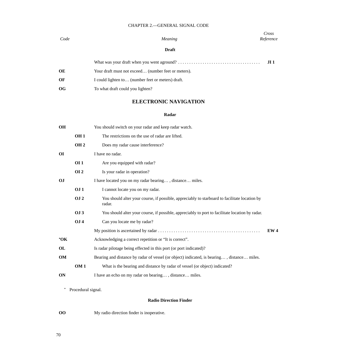| Code      | Meaning                                             | Cross<br>Reference |
|-----------|-----------------------------------------------------|--------------------|
|           | <b>Draft</b>                                        |                    |
|           |                                                     | JI 1               |
| <b>OE</b> | Your draft must not exceed (number feet or meters). |                    |
| OF        | I could lighten to (number feet or meters) draft.   |                    |
| <b>OG</b> | To what draft could you lighten?                    |                    |

### **ELECTRONIC NAVIGATION**

#### **Radar**

| <b>OH</b> |                 | You should switch on your radar and keep radar watch.                                                   |                 |
|-----------|-----------------|---------------------------------------------------------------------------------------------------------|-----------------|
|           | <b>OH1</b>      | The restrictions on the use of radar are lifted.                                                        |                 |
|           | OH <sub>2</sub> | Does my radar cause interference?                                                                       |                 |
| <b>OI</b> |                 | I have no radar.                                                                                        |                 |
|           | <b>OI</b> 1     | Are you equipped with radar?                                                                            |                 |
|           | <b>OI</b> 2     | Is your radar in operation?                                                                             |                 |
| OJ        |                 | I have located you on my radar bearing, distance miles.                                                 |                 |
|           | OJ <sub>1</sub> | I cannot locate you on my radar.                                                                        |                 |
|           | <b>OJ</b> 2     | You should alter your course, if possible, appreciably to starboard to facilitate location by<br>radar. |                 |
|           | OJ <sub>3</sub> | You should alter your course, if possible, appreciably to port to facilitate location by radar.         |                 |
|           | OJ <sub>4</sub> | Can you locate me by radar?                                                                             |                 |
|           |                 |                                                                                                         | EW <sub>4</sub> |
| $*$ OK    |                 | Acknowledging a correct repetition or "It is correct".                                                  |                 |
| <b>OL</b> |                 | Is radar pilotage being effected in this port (or port indicated)?                                      |                 |
| <b>OM</b> |                 | Bearing and distance by radar of vessel (or object) indicated, is bearing, distance miles.              |                 |
|           | <b>OM1</b>      | What is the bearing and distance by radar of vessel (or object) indicated?                              |                 |
| ON        |                 | I have an echo on my radar on bearing, distance miles.                                                  |                 |
|           |                 |                                                                                                         |                 |

\* Procedural signal.

#### **Radio Direction Finder**

**OO** My radio direction finder is inoperative.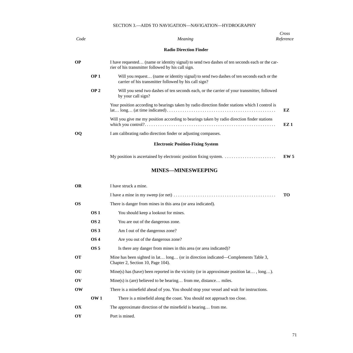#### SECTION 3.—AIDS TO NAVIGATION—NAVIGATION—HYDROGRAPHY

| Code      |                 | Meaning                                                                                                                                             | Cross<br>Reference |
|-----------|-----------------|-----------------------------------------------------------------------------------------------------------------------------------------------------|--------------------|
|           |                 | <b>Radio Direction Finder</b>                                                                                                                       |                    |
| <b>OP</b> |                 | I have requested (name or identity signal) to send two dashes of ten seconds each or the car-<br>rier of his transmitter followed by his call sign. |                    |
|           | OP1             | Will you request (name or identity signal) to send two dashes of ten seconds each or the<br>carrier of his transmitter followed by his call sign?   |                    |
|           | OP <sub>2</sub> | Will you send two dashes of ten seconds each, or the carrier of your transmitter, followed<br>by your call sign?                                    |                    |
|           |                 | Your position according to bearings taken by radio direction finder stations which I control is                                                     | EZ                 |
|           |                 | Will you give me my position according to bearings taken by radio direction finder stations                                                         | EZ 1               |
| OQ        |                 | I am calibrating radio direction finder or adjusting compasses.                                                                                     |                    |
|           |                 | <b>Electronic Position-Fixing System</b>                                                                                                            |                    |
|           |                 |                                                                                                                                                     | EW <sub>5</sub>    |

## **MINES—MINESWEEPING**

| <b>OR</b>               |                 | I have struck a mine.                                                                                                  |           |
|-------------------------|-----------------|------------------------------------------------------------------------------------------------------------------------|-----------|
|                         |                 |                                                                                                                        | <b>TO</b> |
| <b>OS</b>               |                 | There is danger from mines in this area (or area indicated).                                                           |           |
|                         | <b>OS1</b>      | You should keep a lookout for mines.                                                                                   |           |
|                         | OS <sub>2</sub> | You are out of the dangerous zone.                                                                                     |           |
|                         | OS <sub>3</sub> | Am I out of the dangerous zone?                                                                                        |           |
|                         | OS <sub>4</sub> | Are you out of the dangerous zone?                                                                                     |           |
|                         | OS <sub>5</sub> | Is there any danger from mines in this area (or area indicated)?                                                       |           |
| <b>OT</b>               |                 | Mine has been sighted in lat long (or in direction indicated—Complements Table 3,<br>Chapter 2, Section 10, Page 104). |           |
| OU                      |                 | Mine(s) has (have) been reported in the vicinity (or in approximate position $lat$ , $long$ ).                         |           |
| $\mathbf{O} \mathbf{V}$ |                 | $Mine(s)$ is (are) believed to be bearing from me, distance miles.                                                     |           |
| OW                      |                 | There is a minefield ahead of you. You should stop your vessel and wait for instructions.                              |           |
|                         | OW <sub>1</sub> | There is a minefield along the coast. You should not approach too close.                                               |           |
| OX                      |                 | The approximate direction of the minefield is bearing from me.                                                         |           |
| OY                      |                 | Port is mined.                                                                                                         |           |
|                         |                 |                                                                                                                        |           |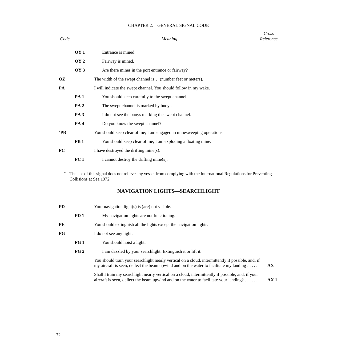| Code    |                 | Meaning                                                               | Cross<br>Reference |
|---------|-----------------|-----------------------------------------------------------------------|--------------------|
|         | OY <sub>1</sub> | Entrance is mined.                                                    |                    |
|         | OY <sub>2</sub> | Fairway is mined.                                                     |                    |
|         | OY <sub>3</sub> | Are there mines in the port entrance or fairway?                      |                    |
| OZ      |                 | The width of the swept channel is (number feet or meters).            |                    |
| PA      |                 | I will indicate the swept channel. You should follow in my wake.      |                    |
|         | PA <sub>1</sub> | You should keep carefully to the swept channel.                       |                    |
|         | PA <sub>2</sub> | The swept channel is marked by buoys.                                 |                    |
|         | PA <sub>3</sub> | I do not see the buoys marking the swept channel.                     |                    |
|         | <b>PA4</b>      | Do you know the swept channel?                                        |                    |
| $^*$ PB |                 | You should keep clear of me; I am engaged in minesweeping operations. |                    |
|         | <b>PB</b> 1     | You should keep clear of me; I am exploding a floating mine.          |                    |
| PC      |                 | I have destroyed the drifting mine(s).                                |                    |
|         | <b>PC1</b>      | I cannot destroy the drifting mine(s).                                |                    |

\* The use of this signal does not relieve any vessel from complying with the International Regulations for Preventing Collisions at Sea 1972.

### **NAVIGATION LIGHTS—SEARCHLIGHT**

| <b>PD</b> | Your navigation light(s) is (are) not visible. |                                                                                                                                                                                                           |    |
|-----------|------------------------------------------------|-----------------------------------------------------------------------------------------------------------------------------------------------------------------------------------------------------------|----|
|           | PD <sub>1</sub>                                | My navigation lights are not functioning.                                                                                                                                                                 |    |
| PE        |                                                | You should extinguish all the lights except the navigation lights.                                                                                                                                        |    |
| PG        | I do not see any light.                        |                                                                                                                                                                                                           |    |
|           | PG <sub>1</sub>                                | You should hoist a light.                                                                                                                                                                                 |    |
|           | PG <sub>2</sub>                                | I am dazzled by your searchlight. Extinguish it or lift it.                                                                                                                                               |    |
|           |                                                | You should train your searchlight nearly vertical on a cloud, intermittently if possible, and, if<br>my aircraft is seen, deflect the beam upwind and on the water to facilitate my landing $\dots \dots$ | AX |

Shall I train my searchlight nearly vertical on a cloud, intermittently if possible, and, if your aircraft is seen, deflect the beam upwind and on the water to facilitate your landing? . . . . . . . **AX 1**

72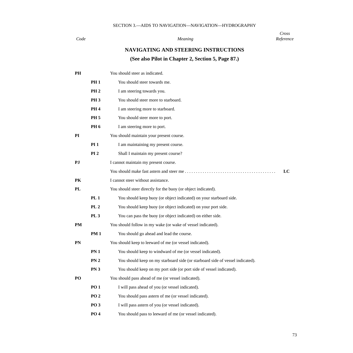<span id="page-75-0"></span>*Cross Code Meaning Reference*

## **NAVIGATING AND STEERING INSTRUCTIONS (See also Pilot in Chapter 2, Section 5, Page [87.](#page-89-0))**

| PH        |                 | You should steer as indicated.                                                |    |
|-----------|-----------------|-------------------------------------------------------------------------------|----|
|           | <b>PH1</b>      | You should steer towards me.                                                  |    |
|           | <b>PH2</b>      | I am steering towards you.                                                    |    |
|           | <b>PH3</b>      | You should steer more to starboard.                                           |    |
|           | <b>PH4</b>      | I am steering more to starboard.                                              |    |
|           | <b>PH 5</b>     | You should steer more to port.                                                |    |
|           | <b>PH6</b>      | I am steering more to port.                                                   |    |
| PI        |                 | You should maintain your present course.                                      |    |
|           | <b>PI1</b>      | I am maintaining my present course.                                           |    |
|           | <b>PI2</b>      | Shall I maintain my present course?                                           |    |
| PJ        |                 | I cannot maintain my present course.                                          |    |
|           |                 |                                                                               | LC |
| PK        |                 | I cannot steer without assistance.                                            |    |
| PL        |                 | You should steer directly for the buoy (or object indicated).                 |    |
|           | <b>PL1</b>      | You should keep buoy (or object indicated) on your starboard side.            |    |
|           | <b>PL 2</b>     | You should keep buoy (or object indicated) on your port side.                 |    |
|           | <b>PL3</b>      | You can pass the buoy (or object indicated) on either side.                   |    |
| <b>PM</b> |                 | You should follow in my wake (or wake of vessel indicated).                   |    |
|           | <b>PM1</b>      | You should go ahead and lead the course.                                      |    |
| <b>PN</b> |                 | You should keep to leeward of me (or vessel indicated).                       |    |
|           | PN <sub>1</sub> | You should keep to windward of me (or vessel indicated).                      |    |
|           | PN <sub>2</sub> | You should keep on my starboard side (or starboard side of vessel indicated). |    |
|           | <b>PN 3</b>     | You should keep on my port side (or port side of vessel indicated).           |    |
| PO        |                 | You should pass ahead of me (or vessel indicated).                            |    |
|           | <b>PO1</b>      | I will pass ahead of you (or vessel indicated).                               |    |
|           | PO <sub>2</sub> | You should pass astern of me (or vessel indicated).                           |    |
|           | <b>PO 3</b>     | I will pass astern of you (or vessel indicated).                              |    |
|           | <b>PO4</b>      | You should pass to leeward of me (or vessel indicated).                       |    |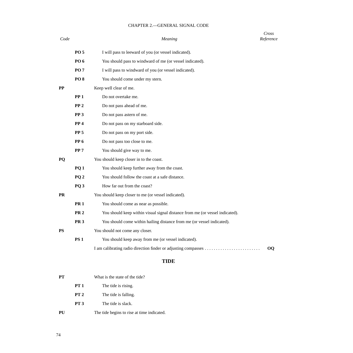| Code      |                 | Meaning                                                                      | Cross<br>Reference |
|-----------|-----------------|------------------------------------------------------------------------------|--------------------|
|           | <b>PO 5</b>     | I will pass to leeward of you (or vessel indicated).                         |                    |
|           | PO 6            | You should pass to windward of me (or vessel indicated).                     |                    |
|           | <b>PO</b> 7     | I will pass to windward of you (or vessel indicated).                        |                    |
|           | <b>PO 8</b>     | You should come under my stern.                                              |                    |
| PP        |                 | Keep well clear of me.                                                       |                    |
|           | PP1             | Do not overtake me.                                                          |                    |
|           | PP <sub>2</sub> | Do not pass ahead of me.                                                     |                    |
|           | <b>PP 3</b>     | Do not pass astern of me.                                                    |                    |
|           | PP <sub>4</sub> | Do not pass on my starboard side.                                            |                    |
|           | <b>PP 5</b>     | Do not pass on my port side.                                                 |                    |
|           | <b>PP 6</b>     | Do not pass too close to me.                                                 |                    |
|           | PP <sub>7</sub> | You should give way to me.                                                   |                    |
| PQ        |                 | You should keep closer in to the coast.                                      |                    |
|           | <b>PQ 1</b>     | You should keep further away from the coast.                                 |                    |
|           | PQ <sub>2</sub> | You should follow the coast at a safe distance.                              |                    |
|           | PQ <sub>3</sub> | How far out from the coast?                                                  |                    |
| <b>PR</b> |                 | You should keep closer to me (or vessel indicated).                          |                    |
|           | <b>PR1</b>      | You should come as near as possible.                                         |                    |
|           | <b>PR 2</b>     | You should keep within visual signal distance from me (or vessel indicated). |                    |
|           | <b>PR 3</b>     | You should come within hailing distance from me (or vessel indicated).       |                    |
| <b>PS</b> |                 | You should not come any closer.                                              |                    |
|           | <b>PS 1</b>     | You should keep away from me (or vessel indicated).                          |                    |
|           |                 |                                                                              | OQ                 |

#### **TIDE**

|    |             | What is the state of the tide?             |
|----|-------------|--------------------------------------------|
|    | <b>PT</b> 1 | The tide is rising.                        |
|    | PT2         | The tide is falling.                       |
|    | <b>PT 3</b> | The tide is slack.                         |
| PU |             | The tide begins to rise at time indicated. |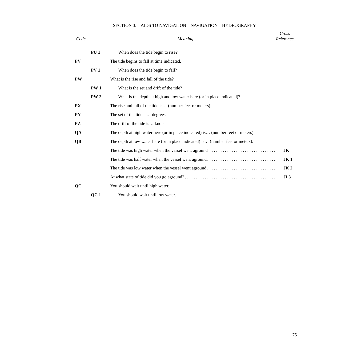#### SECTION 3.—AIDS TO NAVIGATION—NAVIGATION—HYDROGRAPHY

| Code                    |                 | Meaning                                                                          | Cross<br>Reference |
|-------------------------|-----------------|----------------------------------------------------------------------------------|--------------------|
|                         | PU1             | When does the tide begin to rise?                                                |                    |
| PV                      |                 | The tide begins to fall at time indicated.                                       |                    |
|                         | PV <sub>1</sub> | When does the tide begin to fall?                                                |                    |
| PW                      |                 | What is the rise and fall of the tide?                                           |                    |
|                         | <b>PW1</b>      | What is the set and drift of the tide?                                           |                    |
|                         | PW <sub>2</sub> | What is the depth at high and low water here (or in place indicated)?            |                    |
| PX                      |                 | The rise and fall of the tide is (number feet or meters).                        |                    |
| PY                      |                 | The set of the tide is degrees.                                                  |                    |
| $\mathbf{P} \mathbf{Z}$ |                 | The drift of the tide is knots.                                                  |                    |
| QA                      |                 | The depth at high water here (or in place indicated) is (number feet or meters). |                    |
| QB                      |                 | The depth at low water here (or in place indicated) is (number feet or meters).  |                    |
|                         |                 | The tide was high water when the vessel went aground                             | JK                 |
|                         |                 | The tide was half water when the vessel went aground                             | JK <sub>1</sub>    |
|                         |                 |                                                                                  | JK <sub>2</sub>    |
|                         |                 |                                                                                  | JI3                |
| <b>QC</b>               |                 | You should wait until high water.                                                |                    |
|                         | QC <sub>1</sub> | You should wait until low water.                                                 |                    |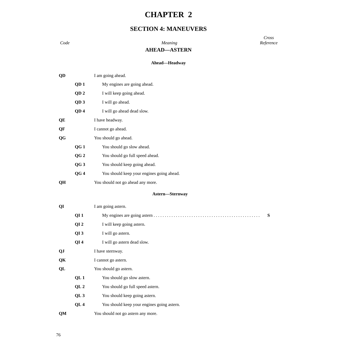## **SECTION 4: MANEUVERS**

*Code Meaning Reference*

*Cross*

## **AHEAD—ASTERN**

#### **Ahead—Headway**

| QD        |                 | I am going ahead.                          |
|-----------|-----------------|--------------------------------------------|
|           | QD <sub>1</sub> | My engines are going ahead.                |
|           | QD <sub>2</sub> | I will keep going ahead.                   |
|           | QD <sub>3</sub> | I will go ahead.                           |
|           | QD <sub>4</sub> | I will go ahead dead slow.                 |
| QE        |                 | I have headway.                            |
| QF        |                 | I cannot go ahead.                         |
| QG        |                 | You should go ahead.                       |
|           | QG <sub>1</sub> | You should go slow ahead.                  |
|           | QG <sub>2</sub> | You should go full speed ahead.            |
|           | QG <sub>3</sub> | You should keep going ahead.               |
|           | QG4             | You should keep your engines going ahead.  |
| QH        |                 | You should not go ahead any more.          |
|           |                 | Astern-Sternway                            |
| QI        |                 | I am going astern.                         |
|           | QI <sub>1</sub> | S                                          |
|           | QI <sub>2</sub> | I will keep going astern.                  |
|           | QI <sub>3</sub> | I will go astern.                          |
|           | QI <sub>4</sub> | I will go astern dead slow.                |
| QJ        |                 | I have sternway.                           |
| QK        |                 | I cannot go astern.                        |
| QL        |                 | You should go astern.                      |
|           | QL <sub>1</sub> | You should go slow astern.                 |
|           | QL <sub>2</sub> | You should go full speed astern.           |
|           | QL <sub>3</sub> | You should keep going astern.              |
|           | QL <sub>4</sub> | You should keep your engines going astern. |
| <b>QM</b> |                 | You should not go astern any more.         |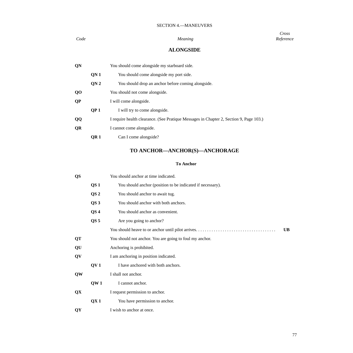#### SECTION 4.—MANEUVERS

*Cross Code Meaning Reference*

#### **ALONGSIDE**

| QN        |                 | You should come alongside my starboard side.                                           |  |
|-----------|-----------------|----------------------------------------------------------------------------------------|--|
|           | ON <sub>1</sub> | You should come alongside my port side.                                                |  |
|           | ON <sub>2</sub> | You should drop an anchor before coming alongside.                                     |  |
| QO        |                 | You should not come alongside.                                                         |  |
| <b>QP</b> |                 | I will come alongside.                                                                 |  |
|           | QP <sub>1</sub> | I will try to come alongside.                                                          |  |
| QQ        |                 | I require health clearance. (See Pratique Messages in Chapter 2, Section 9, Page 103.) |  |
| QR        |                 | I cannot come alongside.                                                               |  |
|           | QR <sub>1</sub> | Can I come alongside?                                                                  |  |

## **TO ANCHOR—ANCHOR(S)—ANCHORAGE**

#### **To Anchor**

| <b>QS</b> |                 | You should anchor at time indicated.                       |     |
|-----------|-----------------|------------------------------------------------------------|-----|
|           | QS <sub>1</sub> | You should anchor (position to be indicated if necessary). |     |
|           | QS <sub>2</sub> | You should anchor to await tug.                            |     |
|           | QS <sub>3</sub> | You should anchor with both anchors.                       |     |
|           | QS <sub>4</sub> | You should anchor as convenient.                           |     |
|           | QS <sub>5</sub> | Are you going to anchor?                                   |     |
|           |                 |                                                            | UB. |
| QT        |                 | You should not anchor. You are going to foul my anchor.    |     |
| QU        |                 | Anchoring is prohibited.                                   |     |
| QV        |                 | I am anchoring in position indicated.                      |     |
|           | QV1             | I have anchored with both anchors.                         |     |
| QW        |                 | I shall not anchor.                                        |     |
|           | QW <sub>1</sub> | I cannot anchor.                                           |     |
| <b>QX</b> |                 | I request permission to anchor.                            |     |
|           | QX1             | You have permission to anchor.                             |     |
| QY        |                 | I wish to anchor at once.                                  |     |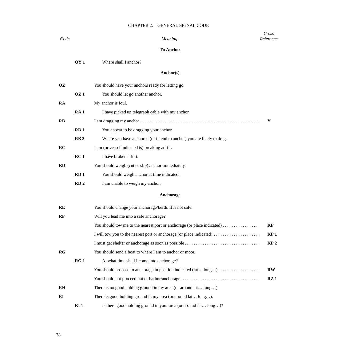| Code           |                 | Meaning                                                                 | Cross<br>Reference     |
|----------------|-----------------|-------------------------------------------------------------------------|------------------------|
|                |                 | <b>To Anchor</b>                                                        |                        |
|                | QY1             | Where shall I anchor?                                                   |                        |
|                |                 | Anchor(s)                                                               |                        |
| QZ             |                 | You should have your anchors ready for letting go.                      |                        |
|                | QZ <sub>1</sub> | You should let go another anchor.                                       |                        |
| RA             |                 | My anchor is foul.                                                      |                        |
|                | <b>RA1</b>      | I have picked up telegraph cable with my anchor.                        |                        |
| <b>RB</b>      |                 |                                                                         | Y                      |
|                | RB <sub>1</sub> | You appear to be dragging your anchor.                                  |                        |
|                | <b>RB2</b>      | Where you have anchored (or intend to anchor) you are likely to drag.   |                        |
| RC             |                 | I am (or vessel indicated is) breaking adrift.                          |                        |
|                | RC <sub>1</sub> | I have broken adrift.                                                   |                        |
| RD             |                 | You should weigh (cut or slip) anchor immediately.                      |                        |
|                | RD <sub>1</sub> | You should weigh anchor at time indicated.                              |                        |
|                | RD <sub>2</sub> | I am unable to weigh my anchor.                                         |                        |
|                |                 | Anchorage                                                               |                        |
| RE             |                 | You should change your anchorage/berth. It is not safe.                 |                        |
| RF             |                 | Will you lead me into a safe anchorage?                                 |                        |
|                |                 | You should tow me to the nearest port or anchorage (or place indicated) | KP                     |
|                |                 |                                                                         | KP <sub>1</sub>        |
|                |                 |                                                                         | KP <sub>2</sub>        |
| RG             |                 | You should send a boat to where I am to anchor or moor.                 |                        |
|                | RG <sub>1</sub> | At what time shall I come into anchorage?                               |                        |
|                |                 |                                                                         | $\mathbf{R}\mathbf{W}$ |
|                |                 | You should not proceed out of harbor/anchorage                          | RZ1                    |
| R <sub>H</sub> |                 | There is no good holding ground in my area (or around lat long).        |                        |
| RI             |                 | There is good holding ground in my area (or around lat long).           |                        |
|                | RI <sub>1</sub> | Is there good holding ground in your area (or around lat long)?         |                        |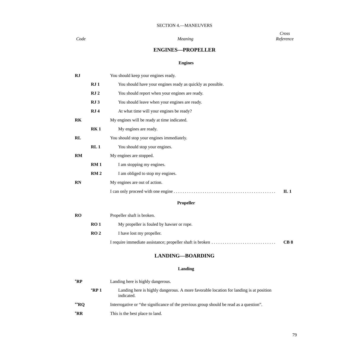#### SECTION 4.—MANEUVERS

<span id="page-81-0"></span>*Cross Code Meaning Reference*

### **ENGINES—PROPELLER**

#### **Engines**

| <b>RJ</b> |                 | You should keep your engines ready.                        |     |
|-----------|-----------------|------------------------------------------------------------|-----|
|           | RJ <sub>1</sub> | You should have your engines ready as quickly as possible. |     |
|           | RJ <sub>2</sub> | You should report when your engines are ready.             |     |
|           | RJ <sub>3</sub> | You should leave when your engines are ready.              |     |
|           | RJ <sub>4</sub> | At what time will your engines be ready?                   |     |
| RK        |                 | My engines will be ready at time indicated.                |     |
|           | RK <sub>1</sub> | My engines are ready.                                      |     |
| RL        |                 | You should stop your engines immediately.                  |     |
|           | RL <sub>1</sub> | You should stop your engines.                              |     |
| RM        |                 | My engines are stopped.                                    |     |
|           | RM <sub>1</sub> | I am stopping my engines.                                  |     |
|           | <b>RM2</b>      | I am obliged to stop my engines.                           |     |
| RN        |                 | My engines are out of action.                              |     |
|           |                 |                                                            | IL1 |
|           |                 | Propeller                                                  |     |
| RO        |                 | Propeller shaft is broken.                                 |     |
|           | RO <sub>1</sub> | My propeller is fouled by hawser or rope.                  |     |
|           | RO <sub>2</sub> | I have lost my propeller.                                  |     |

I require immediate assistance; propeller shaft is broken . . . . . . . . . . . . . . . . . . . . . . . . . . . . . **CB 8**

### **LANDING—BOARDING**

#### **Landing**

| *RP    |        | Landing here is highly dangerous.                                                                    |
|--------|--------|------------------------------------------------------------------------------------------------------|
|        | $*RP1$ | Landing here is highly dangerous. A more favorable location for landing is at position<br>indicated. |
| $*$ RO |        | Interrogative or "the significance of the previous group should be read as a question".              |
| *RR    |        | This is the best place to land.                                                                      |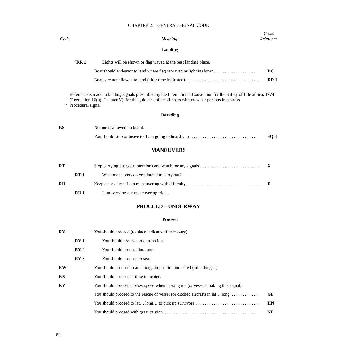| Code      |                    | Meaning                                                                                                                                                                                                                  | Cross<br>Reference |
|-----------|--------------------|--------------------------------------------------------------------------------------------------------------------------------------------------------------------------------------------------------------------------|--------------------|
|           |                    | Landing                                                                                                                                                                                                                  |                    |
|           | $*RR1$             | Lights will be shown or flag waved at the best landing place.                                                                                                                                                            |                    |
|           |                    | Boat should endeavor to land where flag is waved or light is shown                                                                                                                                                       | DC                 |
|           |                    |                                                                                                                                                                                                                          | DD <sub>1</sub>    |
|           | Procedural signal. | Reference is made to landing signals prescribed by the International Convention for the Safety of Life at Sea, 1974<br>(Regulation 16(b), Chapter V), for the guidance of small boats with crews or persons in distress. |                    |
|           |                    | <b>Boarding</b>                                                                                                                                                                                                          |                    |
| <b>RS</b> |                    | No one is allowed on board.                                                                                                                                                                                              |                    |
|           |                    |                                                                                                                                                                                                                          | SQ3                |
|           |                    | <b>MANEUVERS</b>                                                                                                                                                                                                         |                    |
| RT        |                    | Stop carrying out your intentions and watch for my signals                                                                                                                                                               | X                  |
|           | RT1                | What maneuvers do you intend to carry out?                                                                                                                                                                               |                    |
| <b>RU</b> |                    |                                                                                                                                                                                                                          | D                  |
|           | RU <sub>1</sub>    | I am carrying out maneuvering trials.                                                                                                                                                                                    |                    |
|           |                    | PROCEED-UNDERWAY                                                                                                                                                                                                         |                    |
|           |                    | <b>Proceed</b>                                                                                                                                                                                                           |                    |
| <b>RV</b> |                    | You should proceed (to place indicated if necessary).                                                                                                                                                                    |                    |
|           | RV <sub>1</sub>    | You should proceed to destination.                                                                                                                                                                                       |                    |
|           | RV <sub>2</sub>    | You should proceed into port.                                                                                                                                                                                            |                    |
|           | RV <sub>3</sub>    | You should proceed to sea.                                                                                                                                                                                               |                    |
| <b>RW</b> |                    | You should proceed to anchorage in position indicated (lat long).                                                                                                                                                        |                    |

**RX** You should proceed at time indicated.

| RY | You should proceed at slow speed when passing me (or vessels making this signal). |    |
|----|-----------------------------------------------------------------------------------|----|
|    | You should proceed to the rescue of vessel (or ditched aircraft) in lat long      | GP |
|    |                                                                                   | HN |
|    |                                                                                   | NE |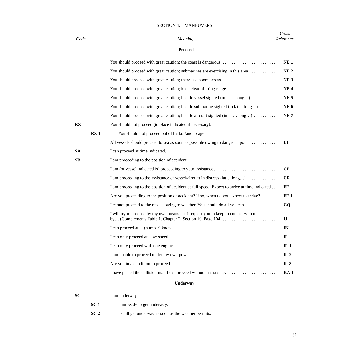#### SECTION 4.—MANEUVERS

| Code |     | Meaning                                                                                       | Cross<br>Reference |
|------|-----|-----------------------------------------------------------------------------------------------|--------------------|
|      |     | <b>Proceed</b>                                                                                |                    |
|      |     | You should proceed with great caution; the coast is dangerous                                 | NE <sub>1</sub>    |
|      |     | You should proceed with great caution; submarines are exercising in this area                 | NE <sub>2</sub>    |
|      |     |                                                                                               | <b>NE3</b>         |
|      |     |                                                                                               | NE <sub>4</sub>    |
|      |     | You should proceed with great caution; hostile vessel sighted (in lat long)                   | <b>NE5</b>         |
|      |     | You should proceed with great caution; hostile submarine sighted (in $lat$ long)              | <b>NE 6</b>        |
|      |     | You should proceed with great caution; hostile aircraft sighted (in lat long)                 | NE <sub>7</sub>    |
| RZ   |     | You should not proceed (to place indicated if necessary).                                     |                    |
|      | RZ1 | You should not proceed out of harbor/anchorage.                                               |                    |
|      |     | All vessels should proceed to sea as soon as possible owing to danger in port                 | UL                 |
| SA   |     | I can proceed at time indicated.                                                              |                    |
| SВ   |     | I am proceeding to the position of accident.                                                  |                    |
|      |     |                                                                                               | $\bf CP$           |
|      |     | I am proceeding to the assistance of vessel/aircraft in distress (lat long)                   | CR                 |
|      |     | I am proceeding to the position of accident at full speed. Expect to arrive at time indicated | FE                 |
|      |     | Are you proceeding to the position of accident? If so, when do you expect to arrive?          | FE <sub>1</sub>    |
|      |     | I cannot proceed to the rescue owing to weather. You should do all you can                    | GQ                 |
|      |     | I will try to proceed by my own means but I request you to keep in contact with me            | $I_{\rm J}$        |
|      |     |                                                                                               | IK                 |
|      |     |                                                                                               | $\mathbf{I}$       |
|      |     |                                                                                               | IL1                |
|      |     |                                                                                               | IL <sub>2</sub>    |
|      |     |                                                                                               | IL $3$             |
|      |     |                                                                                               | KA <sub>1</sub>    |
|      |     |                                                                                               |                    |

#### **Underway**

- **SC** I am underway.
	- **SC 1** I am ready to get underway.
	- **SC 2** I shall get underway as soon as the weather permits.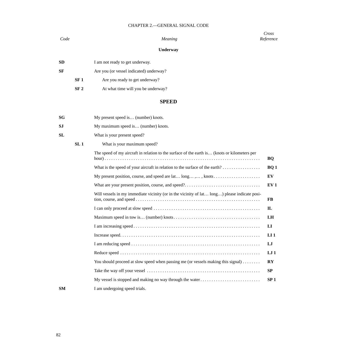| Code      |                 | Meaning                                                                                      | Cross<br>Reference     |
|-----------|-----------------|----------------------------------------------------------------------------------------------|------------------------|
|           |                 | Underway                                                                                     |                        |
| <b>SD</b> |                 | I am not ready to get underway.                                                              |                        |
| SF        |                 | Are you (or vessel indicated) underway?                                                      |                        |
|           | SF <sub>1</sub> | Are you ready to get underway?                                                               |                        |
|           | SF <sub>2</sub> | At what time will you be underway?                                                           |                        |
|           |                 | <b>SPEED</b>                                                                                 |                        |
| SG        |                 | My present speed is (number) knots.                                                          |                        |
| SJ        |                 | My maximum speed is (number) knots.                                                          |                        |
| <b>SL</b> |                 | What is your present speed?                                                                  |                        |
|           | SL <sub>1</sub> | What is your maximum speed?                                                                  |                        |
|           |                 | The speed of my aircraft in relation to the surface of the earth is (knots or kilometers per | BQ                     |
|           |                 |                                                                                              | BQ <sub>1</sub>        |
|           |                 | My present position, course, and speed are lat long,, knots                                  | EV                     |
|           |                 |                                                                                              | EV <sub>1</sub>        |
|           |                 | Will vessels in my immediate vicinity (or in the vicinity of lat long) please indicate posi- | FB                     |
|           |                 |                                                                                              | $\mathbf{I}$           |
|           |                 |                                                                                              | <b>LH</b>              |
|           |                 |                                                                                              | LI                     |
|           |                 |                                                                                              | LI                     |
|           |                 |                                                                                              | LJ                     |
|           |                 |                                                                                              | LJ1                    |
|           |                 | You should proceed at slow speed when passing me (or vessels making this signal)             | $\mathbf{R}\mathbf{Y}$ |
|           |                 |                                                                                              | SP                     |
|           |                 | My vessel is stopped and making no way through the water                                     | SP <sub>1</sub>        |
| <b>SM</b> |                 | I am undergoing speed trials.                                                                |                        |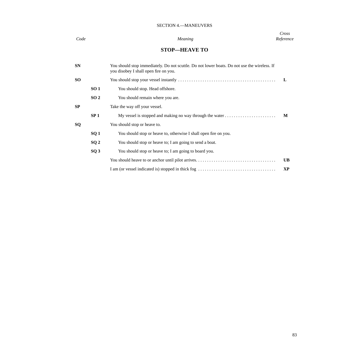#### SECTION 4.—MANEUVERS

### **STOP—HEAVE TO**

| SN            |                 | You should stop immediately. Do not scuttle. Do not lower boats. Do not use the wireless. If<br>you disobey I shall open fire on you. |    |
|---------------|-----------------|---------------------------------------------------------------------------------------------------------------------------------------|----|
| $\mathbf{SO}$ |                 |                                                                                                                                       | L  |
|               | SO <sub>1</sub> | You should stop. Head offshore.                                                                                                       |    |
|               | SO <sub>2</sub> | You should remain where you are.                                                                                                      |    |
| SP            |                 | Take the way off your vessel.                                                                                                         |    |
|               | SP <sub>1</sub> | My vessel is stopped and making no way through the water $\dots\dots\dots\dots\dots\dots\dots$                                        | M  |
| SQ            |                 | You should stop or heave to.                                                                                                          |    |
|               | SQ <sub>1</sub> | You should stop or heave to, otherwise I shall open fire on you.                                                                      |    |
|               | SQ <sub>2</sub> | You should stop or heave to; I am going to send a boat.                                                                               |    |
|               | SQ3             | You should stop or heave to; I am going to board you.                                                                                 |    |
|               |                 |                                                                                                                                       | UB |
|               |                 |                                                                                                                                       | XP |
|               |                 |                                                                                                                                       |    |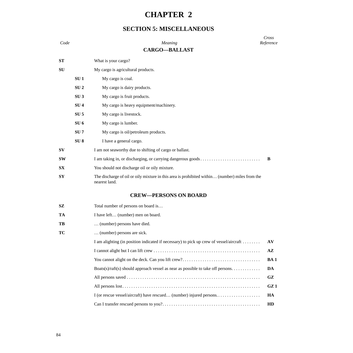## **SECTION 5: MISCELLANEOUS**

| Code      |                 | Meaning<br><b>CARGO-BALLAST</b>                                                                                 | Cross<br>Reference |
|-----------|-----------------|-----------------------------------------------------------------------------------------------------------------|--------------------|
| <b>ST</b> |                 | What is your cargo?                                                                                             |                    |
| <b>SU</b> |                 | My cargo is agricultural products.                                                                              |                    |
|           | SU <sub>1</sub> | My cargo is coal.                                                                                               |                    |
|           | SU <sub>2</sub> | My cargo is dairy products.                                                                                     |                    |
|           | SU <sub>3</sub> | My cargo is fruit products.                                                                                     |                    |
|           | SU <sub>4</sub> | My cargo is heavy equipment/machinery.                                                                          |                    |
|           | SU 5            | My cargo is livestock.                                                                                          |                    |
|           | SU <sub>6</sub> | My cargo is lumber.                                                                                             |                    |
|           | SU 7            | My cargo is oil/petroleum products.                                                                             |                    |
|           | SU <sub>8</sub> | I have a general cargo.                                                                                         |                    |
| <b>SV</b> |                 | I am not seaworthy due to shifting of cargo or ballast.                                                         |                    |
| <b>SW</b> |                 |                                                                                                                 | B                  |
| <b>SX</b> |                 | You should not discharge oil or oily mixture.                                                                   |                    |
| <b>SY</b> |                 | The discharge of oil or oily mixture in this area is prohibited within (number) miles from the<br>nearest land. |                    |

## **CREW—PERSONS ON BOARD**

| AV              |
|-----------------|
| ${\bf AZ}$      |
| BA <sub>1</sub> |
| DA              |
| GZ.             |
| GZ1             |
| HA              |
| HD              |
|                 |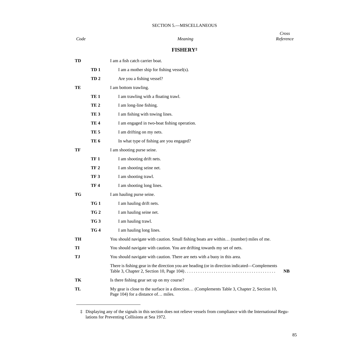#### SECTION 5.—MISCELLANEOUS

*Cross Code Meaning Reference*

#### **FISHERY‡**

| TD        |                 | I am a fish catch carrier boat.                                                                                                   |           |
|-----------|-----------------|-----------------------------------------------------------------------------------------------------------------------------------|-----------|
|           | TD <sub>1</sub> | I am a mother ship for fishing vessel(s).                                                                                         |           |
|           | TD <sub>2</sub> | Are you a fishing vessel?                                                                                                         |           |
| TE        |                 | I am bottom trawling.                                                                                                             |           |
|           | TE <sub>1</sub> | I am trawling with a floating trawl.                                                                                              |           |
|           | TE <sub>2</sub> | I am long-line fishing.                                                                                                           |           |
|           | TE <sub>3</sub> | I am fishing with towing lines.                                                                                                   |           |
|           | TE <sub>4</sub> | I am engaged in two-boat fishing operation.                                                                                       |           |
|           | TE <sub>5</sub> | I am drifting on my nets.                                                                                                         |           |
|           | TE <sub>6</sub> | In what type of fishing are you engaged?                                                                                          |           |
| TF        |                 | I am shooting purse seine.                                                                                                        |           |
|           | TF <sub>1</sub> | I am shooting drift nets.                                                                                                         |           |
|           | TF <sub>2</sub> | I am shooting seine net.                                                                                                          |           |
|           | TF <sub>3</sub> | I am shooting trawl.                                                                                                              |           |
|           | TF <sub>4</sub> | I am shooting long lines.                                                                                                         |           |
| <b>TG</b> |                 | I am hauling purse seine.                                                                                                         |           |
|           | TG <sub>1</sub> | I am hauling drift nets.                                                                                                          |           |
|           | TG <sub>2</sub> | I am hauling seine net.                                                                                                           |           |
|           | TG <sub>3</sub> | I am hauling trawl.                                                                                                               |           |
|           | TG <sub>4</sub> | I am hauling long lines.                                                                                                          |           |
| TH        |                 | You should navigate with caution. Small fishing boats are within (number) miles of me.                                            |           |
| TI        |                 | You should navigate with caution. You are drifting towards my set of nets.                                                        |           |
| TJ        |                 | You should navigate with caution. There are nets with a buoy in this area.                                                        |           |
|           |                 | There is fishing gear in the direction you are heading (or in direction indicated—Complements                                     | <b>NB</b> |
| TК        |                 | Is there fishing gear set up on my course?                                                                                        |           |
| TL        |                 | My gear is close to the surface in a direction (Complements Table 3, Chapter 2, Section 10,<br>Page 104) for a distance of miles. |           |

<sup>‡</sup> Displaying any of the signals in this section does not relieve vessels from compliance with the International Regulations for Preventing Collisions at Sea 1972.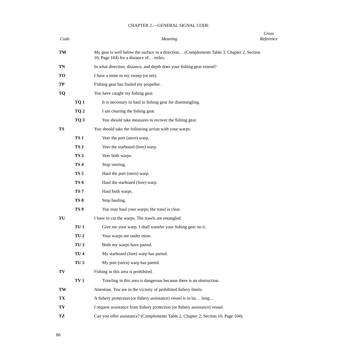| Code      |                 | Meaning                                                                                                                             | Cross<br>Reference |
|-----------|-----------------|-------------------------------------------------------------------------------------------------------------------------------------|--------------------|
| TM        |                 | My gear is well below the surface in a direction (Complements Table 3, Chapter 2, Section<br>10, Page 104) for a distance of miles. |                    |
| TN        |                 | In what direction, distance, and depth does your fishing gear extend?                                                               |                    |
| <b>TO</b> |                 | I have a mine in my sweep (or net).                                                                                                 |                    |
| TP        |                 | Fishing gear has fouled my propeller.                                                                                               |                    |
| <b>TQ</b> |                 | You have caught my fishing gear.                                                                                                    |                    |
|           | TQ <sub>1</sub> | It is necessary to haul in fishing gear for disentangling.                                                                          |                    |
|           | TQ <sub>2</sub> | I am clearing the fishing gear.                                                                                                     |                    |
|           | TQ <sub>3</sub> | You should take measures to recover the fishing gear.                                                                               |                    |
| TS        |                 | You should take the following action with your warps:                                                                               |                    |
|           | <b>TS1</b>      | Veer the port (stern) warp.                                                                                                         |                    |
|           | TS <sub>2</sub> | Veer the starboard (fore) warp.                                                                                                     |                    |
|           | TS <sub>3</sub> | Veer both warps.                                                                                                                    |                    |
|           | TS <sub>4</sub> | Stop veering.                                                                                                                       |                    |
|           | <b>TS5</b>      | Haul the port (stern) warp.                                                                                                         |                    |
|           | TS <sub>6</sub> | Haul the starboard (fore) warp.                                                                                                     |                    |
|           | TS <sub>7</sub> | Haul both warps.                                                                                                                    |                    |
|           | <b>TS 8</b>     | Stop hauling.                                                                                                                       |                    |
|           | TS <sub>9</sub> | You may haul your warps; the trawl is clear.                                                                                        |                    |
| TU        |                 | I have to cut the warps. The trawls are entangled.                                                                                  |                    |
|           | TU <sub>1</sub> | Give me your warp. I shall transfer your fishing gear on it.                                                                        |                    |
|           | TU <sub>2</sub> | Your warps are under mine.                                                                                                          |                    |
|           | TU <sub>3</sub> | Both my warps have parted.                                                                                                          |                    |
|           | TU <sub>4</sub> | My starboard (fore) warp has parted.                                                                                                |                    |
|           | TU <sub>5</sub> | My port (stern) warp has parted.                                                                                                    |                    |
| TV        |                 | Fishing in this area is prohibited.                                                                                                 |                    |
|           | TV <sub>1</sub> | Trawling in this area is dangerous because there is an obstruction.                                                                 |                    |
| TW        |                 | Attention. You are in the vicinity of prohibited fishery limits.                                                                    |                    |
| TX        |                 | A fishery protection (or fishery assistance) vessel is in lat long                                                                  |                    |
| TY        |                 | I request assistance from fishery protection (or fishery assistance) vessel.                                                        |                    |
| TZ        |                 | Can you offer assistance? (Complements Table 2, Chapter 2, Section 10, Page 104).                                                   |                    |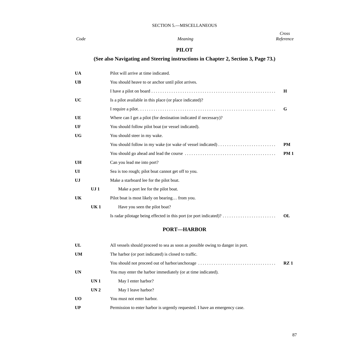#### SECTION 5.—MISCELLANEOUS

<span id="page-89-0"></span>*Cross Code Meaning Reference*

#### **PILOT**

#### **(See also Navigating and Steering instructions in Chapter 2, Section 3, Page [73.](#page-75-0))**

| <b>UA</b>    |                 | Pilot will arrive at time indicated.                              |            |
|--------------|-----------------|-------------------------------------------------------------------|------------|
| <b>UB</b>    |                 | You should heave to or anchor until pilot arrives.                |            |
|              |                 |                                                                   | H          |
| <b>UC</b>    |                 | Is a pilot available in this place (or place indicated)?          |            |
|              |                 |                                                                   | G          |
| UE           |                 | Where can I get a pilot (for destination indicated if necessary)? |            |
| UF           |                 | You should follow pilot boat (or vessel indicated).               |            |
| <b>UG</b>    |                 | You should steer in my wake.                                      |            |
|              |                 | You should follow in my wake (or wake of vessel indicated)        | <b>PM</b>  |
|              |                 |                                                                   | <b>PM1</b> |
| <b>UH</b>    |                 | Can you lead me into port?                                        |            |
| $\mathbf{U}$ |                 | Sea is too rough; pilot boat cannot get off to you.               |            |
| UJ           |                 | Make a starboard lee for the pilot boat.                          |            |
|              | UJ <sub>1</sub> | Make a port lee for the pilot boat.                               |            |
| UK           |                 | Pilot boat is most likely on bearing from you.                    |            |
|              | UK <sub>1</sub> | Have you seen the pilot boat?                                     |            |
|              |                 |                                                                   | <b>OL</b>  |

#### **PORT—HARBOR**

| UL        |                 | All vessels should proceed to sea as soon as possible owing to danger in port. |     |
|-----------|-----------------|--------------------------------------------------------------------------------|-----|
| <b>UM</b> |                 | The harbor (or port indicated) is closed to traffic.                           |     |
|           |                 | You should not proceed out of harbor/anchorage                                 | RZ1 |
| <b>UN</b> |                 | You may enter the harbor immediately (or at time indicated).                   |     |
|           | UN <sub>1</sub> | May I enter harbor?                                                            |     |
|           | UN2             | May I leave harbor?                                                            |     |
| UO        |                 | You must not enter harbor.                                                     |     |
| UP        |                 | Permission to enter harbor is urgently requested. I have an emergency case.    |     |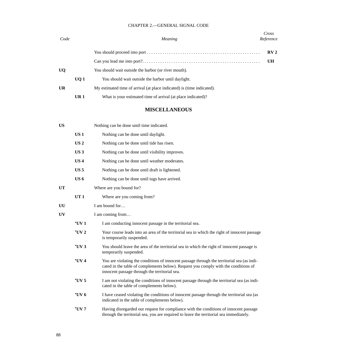<span id="page-90-0"></span>

| Code      |                 | Meaning                                                                | Cross<br>Reference |
|-----------|-----------------|------------------------------------------------------------------------|--------------------|
|           |                 |                                                                        | RV <sub>2</sub>    |
|           |                 |                                                                        | <b>UH</b>          |
| <b>UQ</b> |                 | You should wait outside the harbor (or river mouth).                   |                    |
|           | UQ1             | You should wait outside the harbor until daylight.                     |                    |
| <b>UR</b> |                 | My estimated time of arrival (at place indicated) is (time indicated). |                    |
|           | UR <sub>1</sub> | What is your estimated time of arrival (at place indicated)?           |                    |
|           |                 |                                                                        |                    |

## **MISCELLANEOUS**

| <b>US</b> |                 | Nothing can be done until time indicated.                                                                                                                                                                                          |
|-----------|-----------------|------------------------------------------------------------------------------------------------------------------------------------------------------------------------------------------------------------------------------------|
|           | US <sub>1</sub> | Nothing can be done until daylight.                                                                                                                                                                                                |
|           | US <sub>2</sub> | Nothing can be done until tide has risen.                                                                                                                                                                                          |
|           | US <sub>3</sub> | Nothing can be done until visibility improves.                                                                                                                                                                                     |
|           | US <sub>4</sub> | Nothing can be done until weather moderates.                                                                                                                                                                                       |
|           | <b>US 5</b>     | Nothing can be done until draft is lightened.                                                                                                                                                                                      |
|           | US <sub>6</sub> | Nothing can be done until tugs have arrived.                                                                                                                                                                                       |
| UT        |                 | Where are you bound for?                                                                                                                                                                                                           |
|           | UT1             | Where are you coming from?                                                                                                                                                                                                         |
| UU        |                 | I am bound for                                                                                                                                                                                                                     |
| <b>UV</b> |                 | I am coming from                                                                                                                                                                                                                   |
|           | $*$ UV 1        | I am conducting innocent passage in the territorial sea.                                                                                                                                                                           |
|           | $*UV2$          | Your course leads into an area of the territorial sea in which the right of innocent passage<br>is temporarily suspended.                                                                                                          |
|           | $*UV3$          | You should leave the area of the territorial sea in which the right of innocent passage is<br>temporarily suspended.                                                                                                               |
|           | $*UV4$          | You are violating the conditions of innocent passage through the territorial sea (as indi-<br>cated in the table of complements below). Request you comply with the conditions of<br>innocent passage through the territorial sea. |
|           | $*UV$ 5         | I am not violating the conditions of innocent passage through the territorial sea (as indi-<br>cated in the table of complements below).                                                                                           |
|           | $*UV6$          | I have ceased violating the conditions of innocent passage through the territorial sea (as<br>indicated in the table of complements below).                                                                                        |
|           | $^*$ UV 7       | Having disregarded our request for compliance with the conditions of innocent passage<br>through the territorial sea, you are required to leave the territorial sea immediately.                                                   |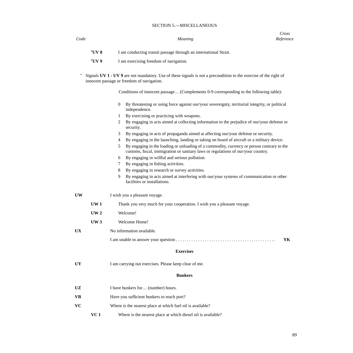#### SECTION 5.—MISCELLANEOUS

| Code      |                 | Meaning                                                                                                                                                                              | Cross<br>Reference |
|-----------|-----------------|--------------------------------------------------------------------------------------------------------------------------------------------------------------------------------------|--------------------|
|           | $^*UV8$         | I am conducting transit passage through an international Strait.                                                                                                                     |                    |
|           | $*UV9$          | I am exercising freedom of navigation.                                                                                                                                               |                    |
|           |                 | Signals UV 1 - UV 9 are not mandatory. Use of these signals is not a precondition to the exercise of the right of<br>innocent passage or freedom of navigation.                      |                    |
|           |                 | Conditions of innocent passage (Complements 0-9 corresponding to the following table):                                                                                               |                    |
|           |                 | By threatening or using force against our/your sovereignty, territorial integrity, or political<br>$\boldsymbol{0}$<br>independence.                                                 |                    |
|           |                 | By exercising or practicing with weapons.<br>1                                                                                                                                       |                    |
|           |                 | By engaging in acts aimed at collecting information to the prejudice of our/your defense or<br>2<br>security.                                                                        |                    |
|           |                 | By engaging in acts of propaganda aimed at affecting our/your defense or security.<br>3                                                                                              |                    |
|           |                 | By engaging in the launching, landing or taking on board of aircraft or a military device.<br>4                                                                                      |                    |
|           |                 | By engaging in the loading or unloading of a commodity, currency or person contrary to the<br>5<br>customs, fiscal, immigration or sanitary laws or regulations of our/your country. |                    |
|           |                 | By engaging in willful and serious pollution.<br>6                                                                                                                                   |                    |
|           |                 | By engaging in fishing activities.<br>7                                                                                                                                              |                    |
|           |                 | By engaging in research or survey activities.<br>8<br>By engaging in acts aimed at interfering with our/your systems of communication or other<br>9<br>facilities or installations.  |                    |
| <b>UW</b> |                 | I wish you a pleasant voyage.                                                                                                                                                        |                    |
|           | UV <sub>1</sub> | Thank you very much for your cooperation. I wish you a pleasant voyage.                                                                                                              |                    |
|           | UW <sub>2</sub> | Welcome!                                                                                                                                                                             |                    |
|           | UW3             | Welcome Home!                                                                                                                                                                        |                    |
| UX        |                 | No information available.                                                                                                                                                            |                    |
|           |                 |                                                                                                                                                                                      | YK                 |
|           |                 | <b>Exercises</b>                                                                                                                                                                     |                    |
| <b>UY</b> |                 | I am carrying out exercises. Please keep clear of me.                                                                                                                                |                    |
|           |                 | <b>Bunkers</b>                                                                                                                                                                       |                    |
| <b>UZ</b> |                 | I have bunkers for (number) hours.                                                                                                                                                   |                    |
| <b>VB</b> |                 | Have you sufficient bunkers to reach port?                                                                                                                                           |                    |
| <b>VC</b> |                 | Where is the nearest place at which fuel oil is available?                                                                                                                           |                    |
|           | VC1             | Where is the nearest place at which diesel oil is available?                                                                                                                         |                    |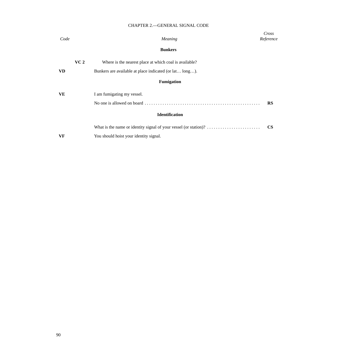| Code      |                 | Meaning                                                 | Cross<br>Reference |
|-----------|-----------------|---------------------------------------------------------|--------------------|
|           |                 | <b>Bunkers</b>                                          |                    |
|           | VC <sub>2</sub> | Where is the nearest place at which coal is available?  |                    |
| <b>VD</b> |                 | Bunkers are available at place indicated (or lat long). |                    |
|           |                 | Fumigation                                              |                    |
| VE        |                 | I am fumigating my vessel.                              |                    |
|           |                 |                                                         | <b>RS</b>          |
|           |                 | <b>Identification</b>                                   |                    |
|           |                 |                                                         | $\mathbf{CS}$      |
| <b>VF</b> |                 | You should hoist your identity signal.                  |                    |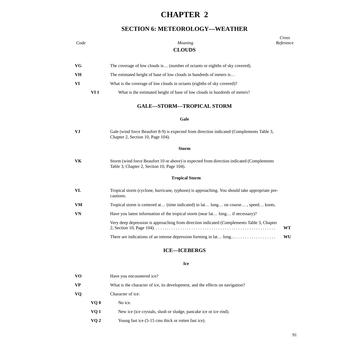## **SECTION 6: METEOROLOGY—WEATHER**

*Code Meaning Reference*

### **CLOUDS**

*Cross*

| VG.       | The coverage of low clouds is (number of octants or eighths of sky covered). |
|-----------|------------------------------------------------------------------------------|
| <b>VH</b> | The estimated height of base of low clouds in hundreds of meters is          |
| VI        | What is the coverage of low clouds in octants (eighths of sky covered)?      |
| VI 1      | What is the estimated height of base of low clouds in hundreds of meters?    |

#### **GALE—STORM—TROPICAL STORM**

**Gale**

**VJ** Gale (wind force Beaufort 8-9) is expected from direction indicated (Complements Table 3, Chapter 2, Section 10, Page [104\).](#page-106-0)

#### **Storm**

**VK** Storm (wind force Beaufort 10 or above) is expected from direction indicated (Complements Table 3, Chapter 2, Section 10, Page 1[04\).](#page-106-0)

#### **Tropical Storm**

**VL** Tropical storm (cyclone, hurricane, typhoon) is approaching. You should take appropriate precautions. **VM** Tropical storm is centered at... (time indicated) in lat... long... on course..., speed... knots. **VN** Have you latest information of the tropical storm (near lat... long... if necessary)? Very deep depression is approaching from direction indicated (Complements Table 3, Chapter 2, Section 10, Page [104\)](#page-106-0). . . . . . . . . . . . . . . . . . . . . . . . . . . . . . . . . . . . . . . . . . . . . . . . . . . . . . . **WT** There are indications of an intense depression forming in lat... long… . . . . . . . . . . . . . . . . . **WU** 

#### **ICE—ICEBERGS**

#### **Ice**

| VО |      | Have you encountered ice?                                                     |
|----|------|-------------------------------------------------------------------------------|
| VР |      | What is the character of ice, its development, and the effects on navigation? |
| VQ |      | Character of ice:                                                             |
|    | VO 0 | No ice.                                                                       |
|    | VO 1 | New ice (ice crystals, slush or sludge, pancake ice or ice rind).             |
|    | VQ 2 | Young fast ice (5-15 cms thick or rotten fast ice).                           |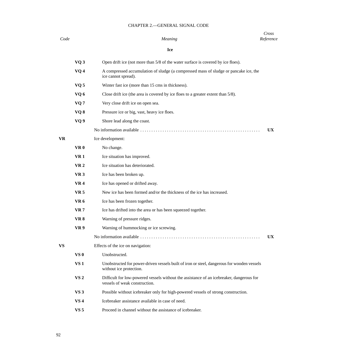| Code |                 | Meaning                                                                                                                   | Cross<br>Reference |
|------|-----------------|---------------------------------------------------------------------------------------------------------------------------|--------------------|
|      |                 | <b>Ice</b>                                                                                                                |                    |
|      | VQ 3            | Open drift ice (not more than 5/8 of the water surface is covered by ice floes).                                          |                    |
|      | VQ4             | A compressed accumulation of sludge (a compressed mass of sludge or pancake ice, the<br>ice cannot spread).               |                    |
|      | VQ <sub>5</sub> | Winter fast ice (more than 15 cms in thickness).                                                                          |                    |
|      | VQ 6            | Close drift ice (the area is covered by ice floes to a greater extent than 5/8).                                          |                    |
|      | VQ7             | Very close drift ice on open sea.                                                                                         |                    |
|      | VQ 8            | Pressure ice or big, vast, heavy ice floes.                                                                               |                    |
|      | VQ 9            | Shore lead along the coast.                                                                                               |                    |
|      |                 |                                                                                                                           | <b>UX</b>          |
| VR   |                 | Ice development:                                                                                                          |                    |
|      | VR <sub>0</sub> | No change.                                                                                                                |                    |
|      | VR 1            | Ice situation has improved.                                                                                               |                    |
|      | <b>VR2</b>      | Ice situation has deteriorated.                                                                                           |                    |
|      | VR <sub>3</sub> | Ice has been broken up.                                                                                                   |                    |
|      | <b>VR4</b>      | Ice has opened or drifted away.                                                                                           |                    |
|      | <b>VR 5</b>     | New ice has been formed and/or the thickness of the ice has increased.                                                    |                    |
|      | VR <sub>6</sub> | Ice has been frozen together.                                                                                             |                    |
|      | <b>VR7</b>      | Ice has drifted into the area or has been squeezed together.                                                              |                    |
|      | <b>VR8</b>      | Warning of pressure ridges.                                                                                               |                    |
|      | VR <sub>9</sub> | Warning of hummocking or ice screwing.                                                                                    |                    |
|      |                 |                                                                                                                           | <b>UX</b>          |
| VS   |                 | Effects of the ice on navigation:                                                                                         |                    |
|      | VS <sub>0</sub> | Unobstructed.                                                                                                             |                    |
|      | VS <sub>1</sub> | Unobstructed for power-driven vessels built of iron or steel, dangerous for wooden vessels<br>without ice protection.     |                    |
|      | VS <sub>2</sub> | Difficult for low-powered vessels without the assistance of an icebreaker, dangerous for<br>vessels of weak construction. |                    |
|      | VS <sub>3</sub> | Possible without icebreaker only for high-powered vessels of strong construction.                                         |                    |
|      | VS <sub>4</sub> | Icebreaker assistance available in case of need.                                                                          |                    |
|      | <b>VS 5</b>     | Proceed in channel without the assistance of icebreaker.                                                                  |                    |

**VR** Ice development: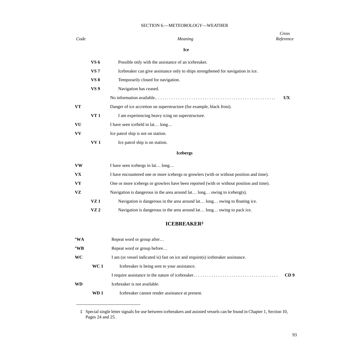#### SECTION 6.—METEOROLOGY—WEATHER

<span id="page-95-0"></span>

#### **Ice**

| <b>VS 6</b> | Possible only with the assistance of an icebreaker.                              |     |
|-------------|----------------------------------------------------------------------------------|-----|
| <b>VS 7</b> | Icebreaker can give assistance only to ships strengthened for navigation in ice. |     |
| <b>VS 8</b> | Temporarily closed for navigation.                                               |     |
| <b>VS 9</b> | Navigation has ceased.                                                           |     |
|             |                                                                                  | UX. |
|             | Danger of ice accretion on superstructure (for example, black frost).            |     |
| VT1         | I am experiencing heavy icing on superstructure.                                 |     |
|             | I have seen icefield in lat long                                                 |     |
|             | Ice patrol ship is not on station.                                               |     |
| VV1         | Ice patrol ship is on station.                                                   |     |
|             |                                                                                  |     |

#### **Icebergs**

| <b>VW</b> |      | I have seen icebergs in lat long                                                         |
|-----------|------|------------------------------------------------------------------------------------------|
| <b>VX</b> |      | I have encountered one or more icebergs or growlers (with or without position and time). |
| VY        |      | One or more icebergs or growlers have been reported (with or without position and time). |
| VZ.       |      | Navigation is dangerous in the area around $lat$ long owing to iceberg(s).               |
|           | VZ 1 | Navigation is dangerous in the area around lat long owing to floating ice.               |
|           | VZ 2 | Navigation is dangerous in the area around lat long owing to pack ice.                   |

#### **ICEBREAKER‡**

| $^*WA$       |      | Repeat word or group after                                                      |                 |
|--------------|------|---------------------------------------------------------------------------------|-----------------|
| $^*{\bf WB}$ |      | Repeat word or group before                                                     |                 |
| <b>WC</b>    |      | I am (or vessel indicated is) fast on ice and require(s) icebreaker assistance. |                 |
|              | WC 1 | Icebreaker is being sent to your assistance.                                    |                 |
|              |      |                                                                                 | CD <sub>9</sub> |
| <b>WD</b>    |      | Icebreaker is not available.                                                    |                 |
|              | WD 1 | Icebreaker cannot render assistance at present.                                 |                 |

<sup>‡</sup> Special single letter signals for use between icebreakers and assisted vessels can be found in Chapter 1, Section 10, Pages [24](#page-27-0) and [25.](#page-28-0)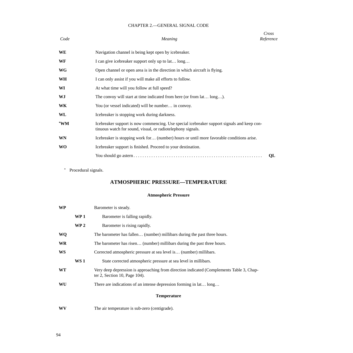| Code      | Meaning                                                                                                                                                   | Cross<br>Reference |
|-----------|-----------------------------------------------------------------------------------------------------------------------------------------------------------|--------------------|
| WE        | Navigation channel is being kept open by icebreaker.                                                                                                      |                    |
| WF        | I can give icebreaker support only up to lat long                                                                                                         |                    |
| <b>WG</b> | Open channel or open area is in the direction in which aircraft is flying.                                                                                |                    |
| WH        | I can only assist if you will make all efforts to follow.                                                                                                 |                    |
| WI        | At what time will you follow at full speed?                                                                                                               |                    |
| WJ        | The convoy will start at time indicated from here (or from lat long).                                                                                     |                    |
| <b>WK</b> | You (or vessel indicated) will be number in convoy.                                                                                                       |                    |
| WL        | Icebreaker is stopping work during darkness.                                                                                                              |                    |
| $*$ WM    | Icebreaker support is now commencing. Use special icebreaker support signals and keep con-<br>tinuous watch for sound, visual, or radiotelephony signals. |                    |
| WN        | Icebreaker is stopping work for (number) hours or until more favorable conditions arise.                                                                  |                    |
| <b>WO</b> | Icebreaker support is finished. Proceed to your destination.                                                                                              |                    |
|           |                                                                                                                                                           | QL                 |

\* Procedural signals.

### **ATMOSPHERIC PRESSURE—TEMPERATURE**

#### **Atmospheric Pressure**

| WP        |                 | Barometer is steady.                                                                                                         |
|-----------|-----------------|------------------------------------------------------------------------------------------------------------------------------|
|           | WP <sub>1</sub> | Barometer is falling rapidly.                                                                                                |
|           | WP <sub>2</sub> | Barometer is rising rapidly.                                                                                                 |
| WQ        |                 | The barometer has fallen (number) millibars during the past three hours.                                                     |
| <b>WR</b> |                 | The barometer has risen (number) millibars during the past three hours.                                                      |
| <b>WS</b> |                 | Corrected atmospheric pressure at sea level is (number) millibars.                                                           |
|           | WS 1            | State corrected atmospheric pressure at sea level in millibars.                                                              |
| WT        |                 | Very deep depression is approaching from direction indicated (Complements Table 3, Chap-<br>ter 2, Section 10, Page $104$ ). |
| WU        |                 | There are indications of an intense depression forming in lat long                                                           |
|           |                 | <b>Temperature</b>                                                                                                           |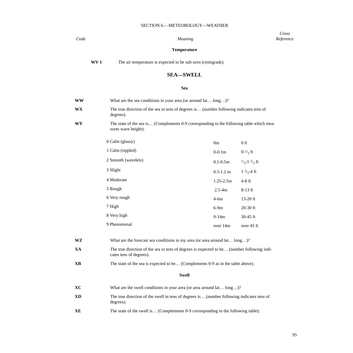#### SECTION 6.—METEOROLOGY—WEATHER

*Cross Code Meaning Reference*

#### **Temperature**

WV 1 The air temperature is expected to be sub-zero (centigrade).

### **SEA—SWELL**

#### **Sea**

| <b>WW</b> | What are the sea conditions in your area (or around lat long)?                                                        |                |                                   |
|-----------|-----------------------------------------------------------------------------------------------------------------------|----------------|-----------------------------------|
| <b>WX</b> | The true direction of the sea in tens of degrees is (number following indicates tens of<br>degrees).                  |                |                                   |
| WY        | The state of the sea is (Complements 0-9 corresponding to the following table which mea-<br>sures wave height):       |                |                                   |
|           | 0 Calm (glassy)                                                                                                       | 0 <sub>m</sub> | $0$ ft                            |
|           | 1 Calm (rippled)                                                                                                      | $0 - 0.1m$     | $0-1/3$ ft                        |
|           | 2 Smooth (wavelets)                                                                                                   | $0.1 - 0.5m$   | $\frac{1}{3}$ -1 $\frac{2}{3}$ ft |
|           | 3 Slight                                                                                                              | $0.5 - 1.2$ m  | $1\frac{2}{3}$ -4 ft              |
|           | 4 Moderate                                                                                                            | $1.25 - 2.5m$  | $4-8$ ft                          |
|           | 5 Rough                                                                                                               | $2.5 - 4m$     | $8-13$ ft                         |
|           | 6 Very rough                                                                                                          | $4-6m$         | 13-20 ft                          |
|           | 7 High                                                                                                                | $6-9m$         | 20-30 ft                          |
|           | 8 Very high                                                                                                           | $9-14m$        | 30-45 ft                          |
|           | 9 Phenomenal                                                                                                          | over 14m       | over 45 ft                        |
| WZ        | What are the forecast sea conditions in my area (or area around lat long)?                                            |                |                                   |
| XA        | The true direction of the sea in tens of degrees is expected to be (number following indi-<br>cates tens of degrees). |                |                                   |
| XB        | The state of the sea is expected to be (Complements 0-9 as in the table above).                                       |                |                                   |
|           | <b>Swell</b>                                                                                                          |                |                                   |
| XС        | What are the swell conditions in your area (or area around $lat$ long)?                                               |                |                                   |
| XD        | The true direction of the swell in tens of degrees is (number following indicates tens of<br>degrees).                |                |                                   |
| XЕ        | The state of the swell is (Complements 0-9 corresponding to the following table):                                     |                |                                   |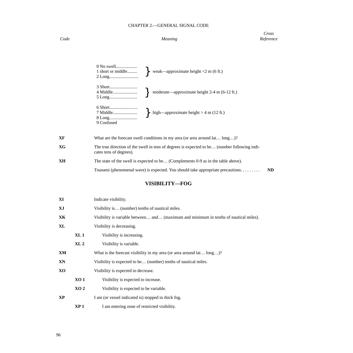#### 96

*Cross Code Meaning Reference*

|    | 0 No swell<br>1 short or middle<br>R weak—approximate height <2 m (6 ft.)                                               |
|----|-------------------------------------------------------------------------------------------------------------------------|
|    | moderate—approximate height $2-4$ m (6-12 ft.)                                                                          |
|    | high—approximate height > 4 m (12 ft.)<br>9 Confused                                                                    |
| XF | What are the forecast swell conditions in my area (or area around lat long)?                                            |
| XG | The true direction of the swell in tens of degrees is expected to be (number following indi-<br>cates tens of degrees). |

**XH** The state of the swell is expected to be... (Complements 0-9 as in the table above).

Tsunami (phenomenal wave) is expected. You should take appropriate precautions. . . . . . . . . **ND**

### **VISIBILITY—FOG**

| XI  |                 | Indicate visibility.                                                                  |
|-----|-----------------|---------------------------------------------------------------------------------------|
| XJ  |                 | Visibility is (number) tenths of nautical miles.                                      |
| XK. |                 | Visibility is variable between and (maximum and minimum in tenths of nautical miles). |
| XL  |                 | Visibility is decreasing.                                                             |
|     | XL 1            | Visibility is increasing.                                                             |
|     | $\mathbf{XL}$ 2 | Visibility is variable.                                                               |
| XM  |                 | What is the forecast visibility in my area (or area around $lat$ long)?               |
| XN  |                 | Visibility is expected to be (number) tenths of nautical miles.                       |
| XO  |                 | Visibility is expected to decrease.                                                   |
|     | XO 1            | Visibility is expected to increase.                                                   |
|     | XO <sub>2</sub> | Visibility is expected to be variable.                                                |
| XP  |                 | I am (or vessel indicated is) stopped in thick fog.                                   |
|     | XP 1            | I am entering zone of restricted visibility.                                          |
|     |                 |                                                                                       |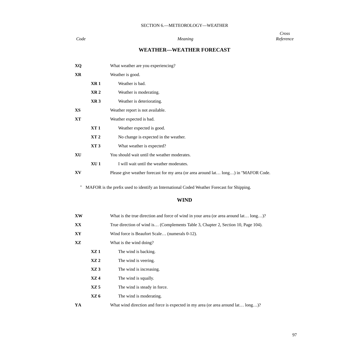#### SECTION 6.—METEOROLOGY—WEATHER

*Cross Code Meaning Reference*

## **WEATHER—WEATHER FORECAST**

| XQ        |                 | What weather are you experiencing?                                                 |
|-----------|-----------------|------------------------------------------------------------------------------------|
| <b>XR</b> |                 | Weather is good.                                                                   |
|           | XR 1            | Weather is bad.                                                                    |
|           | XR <sub>2</sub> | Weather is moderating.                                                             |
|           | XR <sub>3</sub> | Weather is deteriorating.                                                          |
| XS        |                 | Weather report is not available.                                                   |
| XT        |                 | Weather expected is bad.                                                           |
|           | XT 1            | Weather expected is good.                                                          |
|           | XT2             | No change is expected in the weather.                                              |
|           | XT3             | What weather is expected?                                                          |
| XU        |                 | You should wait until the weather moderates.                                       |
|           | $XU_1$          | I will wait until the weather moderates.                                           |
| XV        |                 | Please give weather forecast for my area (or area around lat long) in *MAFOR Code. |

\* MAFOR is the prefix used to identify an International Coded Weather Forecast for Shipping.

#### **WIND**

| XW  |      | What is the true direction and force of wind in your area (or area around lat long)? |  |
|-----|------|--------------------------------------------------------------------------------------|--|
| XX. |      | True direction of wind is (Complements Table 3, Chapter 2, Section 10, Page 104).    |  |
| XY  |      | Wind force is Beaufort Scale (numerals 0-12).                                        |  |
| XZ  |      | What is the wind doing?                                                              |  |
|     | XZ 1 | The wind is backing.                                                                 |  |
|     | XZ 2 | The wind is veering.                                                                 |  |
|     | XZ 3 | The wind is increasing.                                                              |  |
|     | XZ 4 | The wind is squally.                                                                 |  |
|     | XZ 5 | The wind is steady in force.                                                         |  |
|     | XZ 6 | The wind is moderating.                                                              |  |
| YA  |      | What wind direction and force is expected in my area (or area around lat long)?      |  |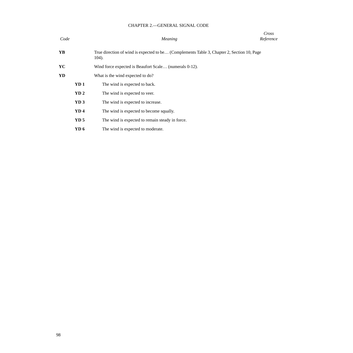| Code |                 | Meaning                                                                                             | Cross<br>Reference |
|------|-----------------|-----------------------------------------------------------------------------------------------------|--------------------|
| YB.  |                 | True direction of wind is expected to be (Complements Table 3, Chapter 2, Section 10, Page<br>104). |                    |
| YC   |                 | Wind force expected is Beaufort Scale (numerals 0-12).                                              |                    |
| YD   |                 | What is the wind expected to do?                                                                    |                    |
|      | YD1             | The wind is expected to back.                                                                       |                    |
|      | YD2             | The wind is expected to veer.                                                                       |                    |
|      | YD <sub>3</sub> | The wind is expected to increase.                                                                   |                    |
|      | YD4             | The wind is expected to become squally.                                                             |                    |
|      | YD <sub>5</sub> | The wind is expected to remain steady in force.                                                     |                    |
|      | YD <sub>6</sub> | The wind is expected to moderate.                                                                   |                    |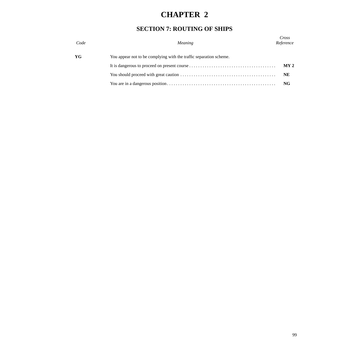## **SECTION 7: ROUTING OF SHIPS**

| Code | Meaning                                                            | Cross<br>Reference |
|------|--------------------------------------------------------------------|--------------------|
| YG   | You appear not to be complying with the traffic separation scheme. |                    |
|      |                                                                    | MY <sub>2</sub>    |
|      |                                                                    | <b>NE</b>          |
|      |                                                                    | NG.                |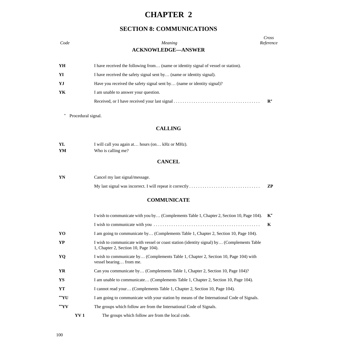## **SECTION 8: COMMUNICATIONS**

| Code     | Meaning<br><b>ACKNOWLEDGE-ANSWER</b>                                               | Cross<br>Reference     |
|----------|------------------------------------------------------------------------------------|------------------------|
| YH       | I have received the following from (name or identity signal of vessel or station). |                        |
| YI       | I have received the safety signal sent by (name or identity signal).               |                        |
| YJ       | Have you received the safety signal sent by (name or identity signal)?             |                        |
| YK       | I am unable to answer your question.                                               |                        |
|          |                                                                                    | ${\bf R}^*$            |
|          | Procedural signal.                                                                 |                        |
|          | <b>CALLING</b>                                                                     |                        |
| YL<br>YM | I will call you again at hours (on kHz or MHz).<br>Who is calling me?              |                        |
|          | <b>CANCEL</b>                                                                      |                        |
| YN       | Cancel my last signal/message.                                                     |                        |
|          |                                                                                    | $\mathbf{Z}\mathbf{P}$ |

## **COMMUNICATE**

|           |      | I wish to communicate with you by (Complements Table 1, Chapter 2, Section 10, Page 104).                                          | $K^*$ |
|-----------|------|------------------------------------------------------------------------------------------------------------------------------------|-------|
|           |      |                                                                                                                                    | K     |
| YO        |      | I am going to communicate by (Complements Table 1, Chapter 2, Section 10, Page 104).                                               |       |
| <b>YP</b> |      | I wish to communicate with vessel or coast station (identity signal) by (Complements Table<br>1, Chapter 2, Section 10, Page 104). |       |
| YQ        |      | I wish to communicate by (Complements Table 1, Chapter 2, Section 10, Page 104) with<br>vessel bearing from me.                    |       |
| <b>YR</b> |      | Can you communicate by (Complements Table 1, Chapter 2, Section 10, Page 104)?                                                     |       |
| <b>YS</b> |      | I am unable to communicate (Complements Table 1, Chapter 2, Section 10, Page 104).                                                 |       |
| YT        |      | I cannot read your (Complements Table 1, Chapter 2, Section 10, Page 104).                                                         |       |
| $*$ YU    |      | I am going to communicate with your station by means of the International Code of Signals.                                         |       |
| $*$ YV    |      | The groups which follow are from the International Code of Signals.                                                                |       |
|           | YV 1 | The groups which follow are from the local code.                                                                                   |       |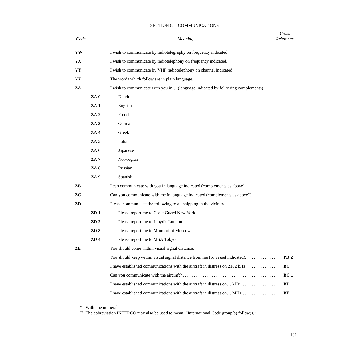#### SECTION 8.—COMMUNICATIONS

| Code |                 | Meaning                                                                          | Cross<br>Reference |
|------|-----------------|----------------------------------------------------------------------------------|--------------------|
| YW   |                 | I wish to communicate by radiotelegraphy on frequency indicated.                 |                    |
| YX   |                 | I wish to communicate by radiotelephony on frequency indicated.                  |                    |
| YY   |                 | I wish to communicate by VHF radiotelephony on channel indicated.                |                    |
| YZ   |                 | The words which follow are in plain language.                                    |                    |
| ZA   |                 | I wish to communicate with you in (language indicated by following complements). |                    |
|      | ZA <sub>0</sub> | Dutch                                                                            |                    |
|      | ZA <sub>1</sub> | English                                                                          |                    |
|      | ZA <sub>2</sub> | French                                                                           |                    |
|      | ZA <sub>3</sub> | German                                                                           |                    |
|      | ZA4             | Greek                                                                            |                    |
|      | ZA <sub>5</sub> | Italian                                                                          |                    |
|      | ZA 6            | Japanese                                                                         |                    |
|      | ZA <sub>7</sub> | Norwegian                                                                        |                    |
|      | ZA <sub>8</sub> | Russian                                                                          |                    |
|      | ZA <sub>9</sub> | Spanish                                                                          |                    |
| ZB   |                 | I can communicate with you in language indicated (complements as above).         |                    |
| ZС   |                 | Can you communicate with me in language indicated (complements as above)?        |                    |
| ZD   |                 | Please communicate the following to all shipping in the vicinity.                |                    |
|      | ZD1             | Please report me to Coast Guard New York.                                        |                    |
|      | ZD <sub>2</sub> | Please report me to Lloyd's London.                                              |                    |
|      | ZD <sub>3</sub> | Please report me to Minmorflot Moscow.                                           |                    |
|      | ZD4             | Please report me to MSA Tokyo.                                                   |                    |
| ZE   |                 | You should come within visual signal distance.                                   |                    |
|      |                 | You should keep within visual signal distance from me (or vessel indicated).     | <b>PR 2</b>        |
|      |                 | I have established communications with the aircraft in distress on 2182 kHz      | BC                 |
|      |                 |                                                                                  | BC <sub>1</sub>    |
|      |                 | I have established communications with the aircraft in distress on kHz           | <b>BD</b>          |
|      |                 | I have established communications with the aircraft in distress on MHz           | BE                 |

\* With one numeral.

\*\* The abbreviation INTERCO may also be used to mean: "International Code group(s) follow(s)".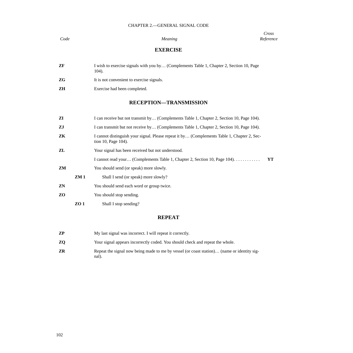| Code |                              | Meaning                                                                                                            | Cross<br>Reference |
|------|------------------------------|--------------------------------------------------------------------------------------------------------------------|--------------------|
|      |                              | <b>EXERCISE</b>                                                                                                    |                    |
| ZF   |                              | I wish to exercise signals with you by (Complements Table 1, Chapter 2, Section 10, Page<br>$104$ ).               |                    |
| ZG   |                              | It is not convenient to exercise signals.                                                                          |                    |
| ZH   | Exercise had been completed. |                                                                                                                    |                    |
|      |                              | <b>RECEPTION-TRANSMISSION</b>                                                                                      |                    |
| ZI   |                              | I can receive but not transmit by (Complements Table 1, Chapter 2, Section 10, Page 104).                          |                    |
| ZJ   |                              | I can transmit but not receive by (Complements Table 1, Chapter 2, Section 10, Page 104).                          |                    |
| ZK   |                              | I cannot distinguish your signal. Please repeat it by (Complements Table 1, Chapter 2, Sec-<br>tion 10, Page 104). |                    |
| ZL   |                              | Your signal has been received but not understood.                                                                  |                    |
|      |                              | I cannot read your (Complements Table 1, Chapter 2, Section 10, Page 104).                                         | YT                 |
| ZM   |                              | You should send (or speak) more slowly.                                                                            |                    |
|      | ZM1                          | Shall I send (or speak) more slowly?                                                                               |                    |
| ZN   |                              | You should send each word or group twice.                                                                          |                    |
| ZO   |                              | You should stop sending.                                                                                           |                    |
|      | ZO <sub>1</sub>              | Shall I stop sending?                                                                                              |                    |

## **REPEAT**

| ZР | My last signal was incorrect. I will repeat it correctly.                                           |
|----|-----------------------------------------------------------------------------------------------------|
| ZQ | Your signal appears incorrectly coded. You should check and repeat the whole.                       |
| ZR | Repeat the signal now being made to me by vessel (or coast station) (name or identity sig-<br>nal). |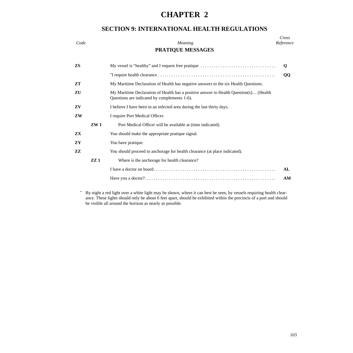## **SECTION 9: INTERNATIONAL HEALTH REGULATIONS**

<span id="page-105-0"></span>

| Code      |                           | Meaning<br>PRATIQUE MESSAGES                                                                                                          | Cross<br>Reference |
|-----------|---------------------------|---------------------------------------------------------------------------------------------------------------------------------------|--------------------|
| <b>ZS</b> |                           |                                                                                                                                       | Q                  |
|           |                           |                                                                                                                                       | QQ                 |
| ZT        |                           | My Maritime Declaration of Health has negative answers to the six Health Questions.                                                   |                    |
| ZU        |                           | My Maritime Declaration of Health has a positive answer to Health Question(s) (Health<br>Questions are indicated by complements 1-6). |                    |
| ZV        |                           | I believe I have been in an infected area during the last thirty days.                                                                |                    |
| ZW        |                           | I require Port Medical Officer.                                                                                                       |                    |
|           | ZW1                       | Port Medical Officer will be available at (time indicated).                                                                           |                    |
| ZX        |                           | You should make the appropriate pratique signal.                                                                                      |                    |
| ZY        |                           | You have pratique.                                                                                                                    |                    |
| ZZ        |                           | You should proceed to anchorage for health clearance (at place indicated).                                                            |                    |
|           | $\mathbf{Z} \mathbf{Z}$ 1 | Where is the anchorage for health clearance?                                                                                          |                    |
|           |                           |                                                                                                                                       | AL                 |
|           |                           |                                                                                                                                       | AM                 |

\* By night a red light over a white light may be shown, where it can best be seen, by vessels requiring health clearance. These lights should only be about 6 feet apart, should be exhibited within the precincts of a port and should be visible all around the horizon as nearly as possible.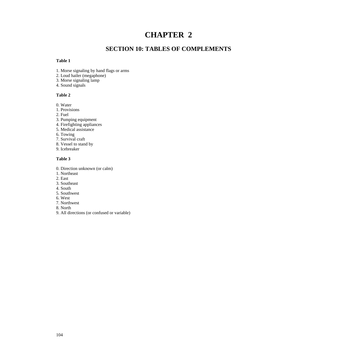## **SECTION 10: TABLES OF COMPLEMENTS**

#### <span id="page-106-0"></span>**Table 1**

- 1. Morse signaling by hand flags or arms
- 2. Loud hailer (megaphone)
- 3. Morse signaling lamp
- 4. Sound signals

#### **Table 2**

- 0. Water
- 1. Provisions
- 2. Fuel
- 3. Pumping equipment
- 4. Firefighting appliances
- 5. Medical assistance
- 6. Towing
- 7. Survival craft
- 8. Vessel to stand by
- 9. Icebreaker

#### **Table 3**

- 0. Direction unknown (or calm)
- 1. Northeast
- 2. East
- 3. Southeast
- 4. South
- 5. Southwest
- 6. West
- 7. Northwest
- 8. North
- 9. All directions (or confused or variable)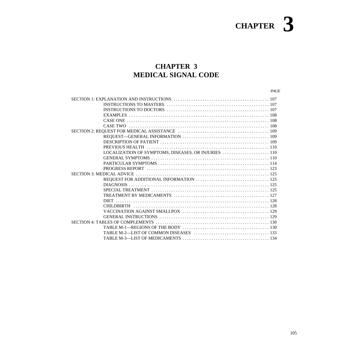## **CHAPTER 3 MEDICAL SIGNAL CODE**

|                                                                                         | PAGE |
|-----------------------------------------------------------------------------------------|------|
|                                                                                         |      |
| INSTRUCTIONS TO MASTERS (1) [107] INSTRUCTIONS TO MASTERS (107] INSTRUCTIONS TO MASTERS |      |
|                                                                                         |      |
|                                                                                         |      |
|                                                                                         |      |
|                                                                                         |      |
|                                                                                         |      |
|                                                                                         |      |
|                                                                                         |      |
|                                                                                         |      |
|                                                                                         |      |
|                                                                                         |      |
|                                                                                         |      |
|                                                                                         |      |
|                                                                                         |      |
|                                                                                         |      |
|                                                                                         |      |
|                                                                                         |      |
|                                                                                         |      |
|                                                                                         |      |
|                                                                                         |      |
| VACCINATION AGAINST SMALLPOX (1) Exercise the contract of the 129                       |      |
|                                                                                         |      |
|                                                                                         |      |
|                                                                                         |      |
|                                                                                         |      |
|                                                                                         |      |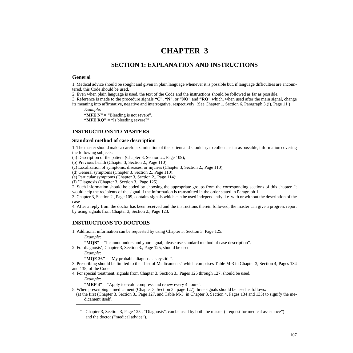# **CHAPTER 3**

## **SECTION 1: EXPLANATION AND INSTRUCTIONS**

#### **General**

1. Medical advice should be sought and given in plain language whenever it is possible but, if language difficulties are encountered, this Code should be used.

2. Even when plain language is used, the text of the Code and the instructions should be followed as far as possible.

3. Reference is made to the procedure signals **"C", "N"**, or "**NO"** and **"RQ"** which, when used after the main signal, change its meaning into affirmative, negative and interrogative, respectively. (See Chapter 1, Section 6, Paragraph 3.(j), Page 11.[\)](#page-14-0)

*Example:*

**"MFE N"** = "Bleeding is not severe". **"MFE RQ"** = "Is bleeding severe?"

### **INSTRUCTIONS TO MASTERS**

#### **Standard method of case description**

1. The master should make a careful examination of the patient and should try to collect, as far as possible, information covering the following subjects:

(a) Description of the patient (Chapter 3, Section 2., Page 10[9\);](#page-110-0)

(b) Previous health (Chapter 3, Section 2., Page 11[0\);](#page-111-0)

(c) Localization of symptoms, diseases, or injuries (Chapter 3, Section 2., Page 110[\);](#page-111-0)

(d) General symptoms (Chapter 3, Section 2., Page 11[0\);](#page-111-0)

(e) Particular symptoms (Chapter 3, Section 2., Page 11[4\);](#page-115-0)

(f) \*Diagnosis (Chapter 3, Section 3., Page 1[25\).](#page-126-0)

2. Such information should be coded by choosing the appropriate groups from the corresponding sections of this chapter. It would help the recipients of the signal if the information is transmitted in the order stated in Paragraph 1.

3. Chapter 3, Section 2., Page [109,](#page-110-0) contains signals which can be used independently, i.e. with or without the description of the case.

4. After a reply from the doctor has been received and the instructions therein followed, the master can give a progress report by using signals from Chapter 3, Section 2., Page 12[3.](#page-124-0)

### **INSTRUCTIONS TO DOCTORS**

1. Additional information can be requested by using Chapter 3, Section 3, Page 12[5.](#page-126-0)

*Example:*

"MQB" = "I cannot understand your signal, please use standard method of case description".

2. For diagnosis\*, Chapter 3, Section 3., Page 1[25, sh](#page-126-0)ould be used.

*Example:*

**"MQE 26"** = "My probable diagnosis is cystitis".

3. Prescribing should be limited to the "List of Medicaments" which comprises Table M-3 in Chapter 3, Section 4, Pages [134](#page-135-0) and [135,](#page-136-0) of the Code.

4. For special treatment, signals from Chapter 3, Section 3., Pages 125 [thro](#page-126-0)ugh 127, [shou](#page-128-0)ld be used.

*Example:*

**"MRP 4"** = "Apply ice-cold compress and renew every 4 hours".

5. When prescribing a medicament (Chapter 3, Section 3., page 1[27\) th](#page-128-0)ree signals should be used as follows:

(a) the first (Chapter 3, Section 3., Page [127,](#page-128-0) and Table M-3 in Chapter 3, Section 4, Pages [134](#page-135-0) and [135](#page-136-0)) to signify the medicament itself.

<sup>\*</sup> Chapter 3, Section 3, Page [125](#page-126-0) , "Diagnosis", can be used by both the master ("request for medical assistance") and the doctor ("medical advice").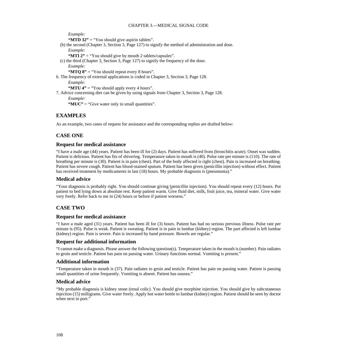*Example:*

**"MTD 32"** = "You should give aspirin tablets".

(b) the second (Chapter 3, Section 3, Page 1[27\) t](#page-128-0)o signify the method of administration and dose. *Example:*

"**MTI 2"** = "You should give by mouth 2 tablets/capsules".

(c) the third (Chapter 3, Section 3, Page 12[7\) to](#page-128-0) signify the frequency of the dose.

*Example:*

"**MTQ 8**" = "You should repeat every 8 hours".

6. The frequency of external applications is coded in Chapter 3, Section 3, Page 12[8.](#page-129-0)

*Example:*

"**MTU 4"** = "You should apply every 4 hours".

7. Advice concerning diet can be given by using signals from Chapter 3, Section 3, Page 12[8.](#page-129-0)

*Example:*

**"MUC"** = "Give water only in small quantities".

### **EXAMPLES**

As an example, two cases of request for assistance and the corresponding replies are drafted below:

### **CASE ONE**

#### **Request for medical assistance**

"I have a male age (44) years. Patient has been ill for (2) days. Patient has suffered from (bronchitis acute). Onset was sudden. Patient is delirious. Patient has fits of shivering. Temperature taken in mouth is (40). Pulse rate per minute is (110). The rate of breathing per minute is (30). Patient is in pain (chest). Part of the body affected is right (chest). Pain is increased on breathing. Patient has severe cough. Patient has blood-stained sputum. Patient has been given (penicillin injection) without effect. Patient has received treatment by medicaments in last (18) hours. My probable diagnosis is (pneumonia)."

#### **Medical advice**

"Your diagnosis is probably right. You should continue giving (penicillin injection). You should repeat every (12) hours. Put patient to bed lying down at absolute rest. Keep patient warm. Give fluid diet, milk, fruit juice, tea, mineral water. Give water very freely. Refer back to me in (24) hours or before if patient worsens."

### **CASE TWO**

#### **Request for medical assistance**

"I have a male aged (31) years. Patient has been ill for (3) hours. Patient has had no serious previous illness. Pulse rate per minute is (95). Pulse is weak. Patient is sweating. Patient is in pain in lumbar (kidney) region. The part affected is left lumbar (kidney) region. Pain is severe. Pain is increased by hand pressure. Bowels are regular."

#### **Request for additional information**

"I cannot make a diagnosis. Please answer the following question(s). Temperature taken in the mouth is (number). Pain radiates to groin and testicle. Patient has pain on passing water. Urinary functions normal. Vomiting is present."

#### **Additional information**

"Temperature taken in mouth is (37). Pain radiates to groin and testicle. Patient has pain on passing water. Patient is passing small quantities of urine frequently. Vomiting is absent. Patient has nausea."

#### **Medical advice**

"My probable diagnosis is kidney stone (renal colic). You should give morphine injection. You should give by subcutaneous injection (15) milligrams. Give water freely. Apply hot water bottle to lumbar (kidney) region. Patient should be seen by doctor when next in port."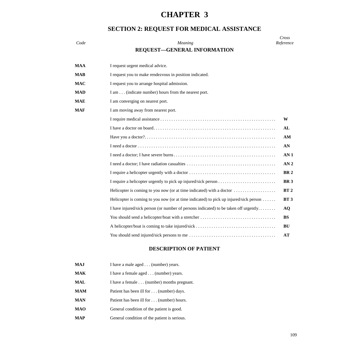# **CHAPTER 3**

# **SECTION 2: REQUEST FOR MEDICAL ASSISTANCE**

<span id="page-110-0"></span>*Cross Code Meaning Reference*

## **REQUEST—GENERAL INFORMATION**

| <b>MAA</b> | I request urgent medical advice.                                                                    |                 |
|------------|-----------------------------------------------------------------------------------------------------|-----------------|
| MAB        | I request you to make rendezvous in position indicated.                                             |                 |
| MAC        | I request you to arrange hospital admission.                                                        |                 |
| <b>MAD</b> | I am (indicate number) hours from the nearest port.                                                 |                 |
| MAE        | I am converging on nearest port.                                                                    |                 |
| MAF        | I am moving away from nearest port.                                                                 |                 |
|            |                                                                                                     | W               |
|            |                                                                                                     | AL              |
|            |                                                                                                     | AM              |
|            |                                                                                                     | AN              |
|            |                                                                                                     | AN <sub>1</sub> |
|            |                                                                                                     | AN <sub>2</sub> |
|            |                                                                                                     | <b>BR2</b>      |
|            |                                                                                                     | BR <sub>3</sub> |
|            | Helicopter is coming to you now (or at time indicated) with a doctor                                | BT <sub>2</sub> |
|            | Helicopter is coming to you now (or at time indicated) to pick up injured/sick person $\dots \dots$ | BT <sub>3</sub> |
|            | I have injured/sick person (or number of persons indicated) to be taken off urgently                | <b>AQ</b>       |
|            |                                                                                                     | <b>BS</b>       |
|            |                                                                                                     | BU              |
|            |                                                                                                     | AT              |

## **DESCRIPTION OF PATIENT**

| MAJ        | I have a male aged (number) years.           |
|------------|----------------------------------------------|
| <b>MAK</b> | I have a female aged (number) years.         |
| <b>MAL</b> | I have a female (number) months pregnant.    |
| MAM        | Patient has been ill for (number) days.      |
| <b>MAN</b> | Patient has been ill for (number) hours.     |
| MAO        | General condition of the patient is good.    |
| MAP        | General condition of the patient is serious. |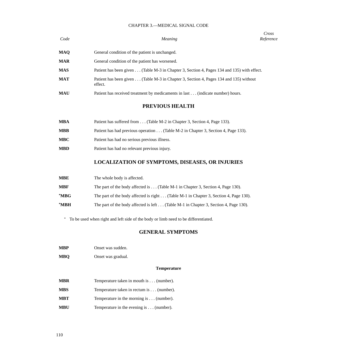<span id="page-111-0"></span>

| Code       | Meaning                                                                                          | Cross<br>Reference |
|------------|--------------------------------------------------------------------------------------------------|--------------------|
| <b>MAQ</b> | General condition of the patient is unchanged.                                                   |                    |
| <b>MAR</b> | General condition of the patient has worsened.                                                   |                    |
| <b>MAS</b> | Patient has been given (Table M-3 in Chapter 3, Section 4, Pages 134 and 135) with effect.       |                    |
| <b>MAT</b> | Patient has been given (Table M-3 in Chapter 3, Section 4, Pages 134 and 135) without<br>effect. |                    |
| <b>MAU</b> | Patient has received treatment by medicaments in last (indicate number) hours.                   |                    |
|            | PREVIOUS HEALTH                                                                                  |                    |
| <b>MBA</b> | Patient has suffered from (Table M-2 in Chapter 3, Section 4, Page 133).                         |                    |
| <b>MBB</b> | Patient has had previous operation (Table M-2 in Chapter 3, Section 4, Page 133).                |                    |
| <b>MBC</b> | Patient has had no serious previous illness.                                                     |                    |
| <b>MBD</b> | Patient has had no relevant previous injury.                                                     |                    |
|            |                                                                                                  |                    |

## **LOCALIZATION OF SYMPTOMS, DISEASES, OR INJURIES**

| <b>MBE</b> | The whole body is affected.                                                             |
|------------|-----------------------------------------------------------------------------------------|
| <b>MBF</b> | The part of the body affected is $\dots$ (Table M-1 in Chapter 3, Section 4, Page 130). |
| *MBG       | The part of the body affected is right (Table M-1 in Chapter 3, Section 4, Page 130).   |
| *MBH       | The part of the body affected is left (Table M-1 in Chapter 3, Section 4, Page 130).    |

\* To be used when right and left side of the body or limb need to be differentiated.

## **GENERAL SYMPTOMS**

- **MBP** Onset was sudden.
- **MBQ** Onset was gradual.

#### **Temperature**

| <b>MBR</b> | Temperature taken in mouth is $\dots$ (number). |
|------------|-------------------------------------------------|
| <b>MBS</b> | Temperature taken in rectum is (number).        |
| <b>MBT</b> | Temperature in the morning is $\dots$ (number). |
| MBU        | Temperature in the evening is $\dots$ (number). |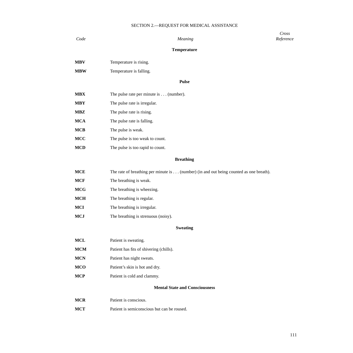*Cross Code Meaning Reference*

#### **Temperature**

| MBV | Temperature is rising. |  |
|-----|------------------------|--|
|     |                        |  |

**MBW** Temperature is falling.

#### **Pulse**

| <b>MBX</b> | The pulse rate per minute is $\dots$ (number). |
|------------|------------------------------------------------|
| <b>MBY</b> | The pulse rate is irregular.                   |
| MBZ        | The pulse rate is rising.                      |
| <b>MCA</b> | The pulse rate is falling.                     |
| <b>MCB</b> | The pulse is weak.                             |
| MCC        | The pulse is too weak to count.                |

**MCD** The pulse is too rapid to count.

#### **Breathing**

| <b>MCE</b> | The rate of breathing per minute is (number) (in and out being counted as one breath). |
|------------|----------------------------------------------------------------------------------------|
| <b>MCF</b> | The breathing is weak.                                                                 |
| <b>MCG</b> | The breathing is wheezing.                                                             |
| <b>MCH</b> | The breathing is regular.                                                              |
| <b>MCI</b> | The breathing is irregular.                                                            |
| <b>MCJ</b> | The breathing is strenuous (noisy).                                                    |
|            |                                                                                        |

## **Sweating**

| <b>MCL</b> | Patient is sweating.                    |
|------------|-----------------------------------------|
| <b>MCM</b> | Patient has fits of shivering (chills). |
| <b>MCN</b> | Patient has night sweats.               |
| <b>MCO</b> | Patient's skin is hot and dry.          |
| <b>MCP</b> | Patient is cold and clammy.             |
|            |                                         |

#### **Mental State and Consciousness**

| <b>MCR</b> | Patient is conscious.                       |
|------------|---------------------------------------------|
| MCT        | Patient is semiconscious but can be roused. |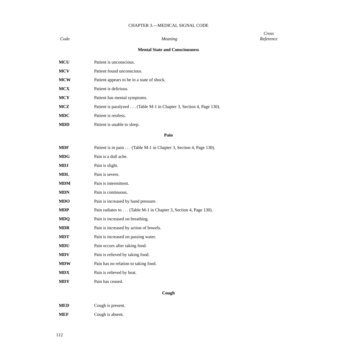*Cross*

| Code       | Meaning                                                             | Reference |
|------------|---------------------------------------------------------------------|-----------|
|            | <b>Mental State and Consciousness</b>                               |           |
| <b>MCU</b> | Patient is unconscious.                                             |           |
| <b>MCV</b> | Patient found unconscious.                                          |           |
| <b>MCW</b> | Patient appears to be in a state of shock.                          |           |
| <b>MCX</b> | Patient is delirious.                                               |           |
| <b>MCY</b> | Patient has mental symptoms.                                        |           |
| <b>MCZ</b> | Patient is paralyzed (Table M-1 in Chapter 3, Section 4, Page 130). |           |
| <b>MDC</b> | Patient is restless.                                                |           |
| <b>MDD</b> | Patient is unable to sleep.                                         |           |
|            | Pain                                                                |           |
| <b>MDF</b> | Patient is in pain (Table M-1 in Chapter 3, Section 4, Page 130).   |           |
| <b>MDG</b> | Pain is a dull ache.                                                |           |
| <b>MDJ</b> | Pain is slight.                                                     |           |
| <b>MDL</b> | Pain is severe.                                                     |           |
| <b>MDM</b> | Pain is intermittent.                                               |           |
| <b>MDN</b> | Pain is continuous.                                                 |           |
| <b>MDO</b> | Pain is increased by hand pressure.                                 |           |
| <b>MDP</b> | Pain radiates to (Table M-1 in Chapter 3, Section 4, Page 130).     |           |
| <b>MDQ</b> | Pain is increased on breathing.                                     |           |
| <b>MDR</b> | Pain is increased by action of bowels.                              |           |
| <b>MDT</b> | Pain is increased on passing water.                                 |           |
| <b>MDU</b> | Pain occurs after taking food.                                      |           |
| <b>MDV</b> | Pain is relieved by taking food.                                    |           |
| <b>MDW</b> | Pain has no relation to taking food.                                |           |
| <b>MDX</b> | Pain is relieved by heat.                                           |           |
| <b>MDY</b> | Pain has ceased.                                                    |           |
| Cough      |                                                                     |           |

**MED** Cough is present.

**MEF** Cough is absent.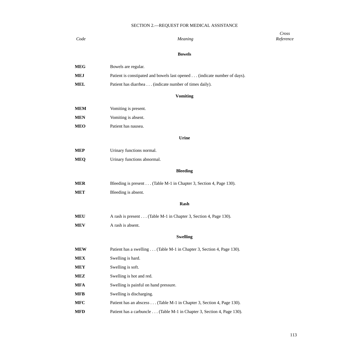*Cross Code Meaning Reference*

#### **Bowels**

| MEG        | Bowels are regular.                                                      |
|------------|--------------------------------------------------------------------------|
| MEJ        | Patient is constipated and bowels last opened (indicate number of days). |
| MEL        | Patient has diarrhea (indicate number of times daily).                   |
|            | <b>Vomiting</b>                                                          |
| MEM        | Vomiting is present.                                                     |
| MEN        | Vomiting is absent.                                                      |
| MEO        | Patient has nausea.                                                      |
|            | <b>Urine</b>                                                             |
| MEP        | Urinary functions normal.                                                |
| <b>MEQ</b> | Urinary functions abnormal.                                              |
|            | <b>Bleeding</b>                                                          |
| MER        | Bleeding is present (Table M-1 in Chapter 3, Section 4, Page 130).       |
| MET        | Bleeding is absent.                                                      |
|            | Rash                                                                     |
| <b>MEU</b> | A rash is present (Table M-1 in Chapter 3, Section 4, Page 130).         |
| MEV        | A rash is absent.                                                        |
|            | <b>Swelling</b>                                                          |
| <b>MEW</b> | Patient has a swelling (Table M-1 in Chapter 3, Section 4, Page 130).    |
| MEX        | Swelling is hard.                                                        |
| MEY        | Swelling is soft.                                                        |
| MEZ        | Swelling is hot and red.                                                 |
| MFA        | Swelling is painful on hand pressure.                                    |
| MFB        | Swelling is discharging.                                                 |
| MFC        | Patient has an abscess (Table M-1 in Chapter 3, Section 4, Page 130).    |
| MFD        | Patient has a carbuncle (Table M-1 in Chapter 3, Section 4, Page 130).   |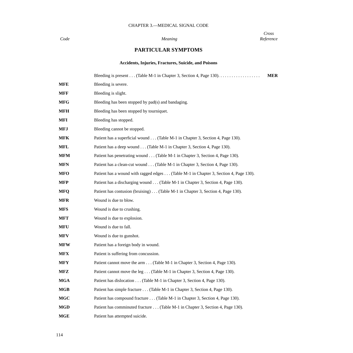<span id="page-115-0"></span>*Cross Code Meaning Reference*

## **PARTICULAR SYMPTOMS**

#### **Accidents, Injuries, Fractures, Suicide, and Poisons**

|            | <b>MER</b>                                                                           |
|------------|--------------------------------------------------------------------------------------|
| <b>MFE</b> | Bleeding is severe.                                                                  |
| <b>MFF</b> | Bleeding is slight.                                                                  |
| <b>MFG</b> | Bleeding has been stopped by pad(s) and bandaging.                                   |
| <b>MFH</b> | Bleeding has been stopped by tourniquet.                                             |
| <b>MFI</b> | Bleeding has stopped.                                                                |
| <b>MFJ</b> | Bleeding cannot be stopped.                                                          |
| <b>MFK</b> | Patient has a superficial wound (Table M-1 in Chapter 3, Section 4, Page 130).       |
| <b>MFL</b> | Patient has a deep wound (Table M-1 in Chapter 3, Section 4, Page 130).              |
| <b>MFM</b> | Patient has penetrating wound (Table M-1 in Chapter 3, Section 4, Page 130).         |
| <b>MFN</b> | Patient has a clean-cut wound (Table M-1 in Chapter 3, Section 4, Page 130).         |
| <b>MFO</b> | Patient has a wound with ragged edges (Table M-1 in Chapter 3, Section 4, Page 130). |
| <b>MFP</b> | Patient has a discharging wound (Table M-1 in Chapter 3, Section 4, Page 130).       |
| <b>MFQ</b> | Patient has contusion (bruising) (Table M-1 in Chapter 3, Section 4, Page 130).      |
| <b>MFR</b> | Wound is due to blow.                                                                |
| <b>MFS</b> | Wound is due to crushing.                                                            |
| <b>MFT</b> | Wound is due to explosion.                                                           |
| <b>MFU</b> | Wound is due to fall.                                                                |
| <b>MFV</b> | Wound is due to gunshot.                                                             |
| <b>MFW</b> | Patient has a foreign body in wound.                                                 |
| <b>MFX</b> | Patient is suffering from concussion.                                                |
| <b>MFY</b> | Patient cannot move the arm (Table M-1 in Chapter 3, Section 4, Page 130).           |
| <b>MFZ</b> | Patient cannot move the leg (Table M-1 in Chapter 3, Section 4, Page 130).           |
| <b>MGA</b> | Patient has dislocation (Table M-1 in Chapter 3, Section 4, Page 130).               |
| <b>MGB</b> | Patient has simple fracture (Table M-1 in Chapter 3, Section 4, Page 130).           |
| <b>MGC</b> | Patient has compound fracture (Table M-1 in Chapter 3, Section 4, Page 130).         |
| <b>MGD</b> | Patient has comminuted fracture (Table M-1 in Chapter 3, Section 4, Page 130).       |
| <b>MGE</b> | Patient has attempted suicide.                                                       |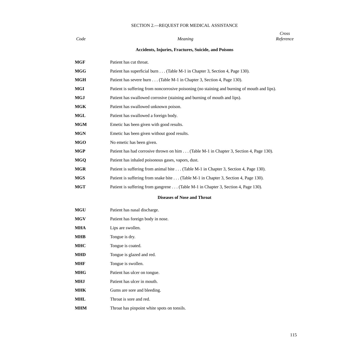#### **Accidents, Injuries, Fractures, Suicide, and Poisons**

| <b>MGF</b> | Patient has cut throat.                                                                       |
|------------|-----------------------------------------------------------------------------------------------|
| <b>MGG</b> | Patient has superficial burn (Table M-1 in Chapter 3, Section 4, Page 130).                   |
| <b>MGH</b> | Patient has severe burn (Table M-1 in Chapter 3, Section 4, Page 130).                        |
| <b>MGI</b> | Patient is suffering from noncorrosive poisoning (no staining and burning of mouth and lips). |
| <b>MGJ</b> | Patient has swallowed corrosive (staining and burning of mouth and lips).                     |
| <b>MGK</b> | Patient has swallowed unknown poison.                                                         |
| <b>MGL</b> | Patient has swallowed a foreign body.                                                         |
| <b>MGM</b> | Emetic has been given with good results.                                                      |
| <b>MGN</b> | Emetic has been given without good results.                                                   |
| <b>MGO</b> | No emetic has been given.                                                                     |
| <b>MGP</b> | Patient has had corrosive thrown on him (Table M-1 in Chapter 3, Section 4, Page 130).        |
| <b>MGQ</b> | Patient has inhaled poisonous gases, vapors, dust.                                            |
| <b>MGR</b> | Patient is suffering from animal bite (Table M-1 in Chapter 3, Section 4, Page 130).          |
| <b>MGS</b> | Patient is suffering from snake bite (Table M-1 in Chapter 3, Section 4, Page 130).           |
| <b>MGT</b> | Patient is suffering from gangrene (Table M-1 in Chapter 3, Section 4, Page 130).             |
|            | <b>Diseases of Nose and Throat</b>                                                            |
| <b>MGU</b> | Patient has nasal discharge.                                                                  |
| <b>MGV</b> | Patient has foreign body in nose.                                                             |
| <b>MHA</b> | Lips are swollen.                                                                             |
| <b>MHB</b> | Tongue is dry.                                                                                |
| <b>MHC</b> | Tongue is coated.                                                                             |
| <b>MHD</b> | Tongue is glazed and red.                                                                     |
| <b>MHF</b> | Tongue is swollen.                                                                            |
| <b>MHG</b> | Patient has ulcer on tongue.                                                                  |
| <b>MHJ</b> | Patient has ulcer in mouth.                                                                   |
| <b>MHK</b> | Gums are sore and bleeding.                                                                   |
| <b>MHL</b> | Throat is sore and red.                                                                       |
| <b>MHM</b> | Throat has pinpoint white spots on tonsils.                                                   |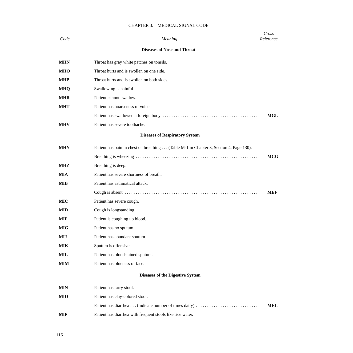| Code       | Meaning                                                                               | Cross<br>Reference |
|------------|---------------------------------------------------------------------------------------|--------------------|
|            | <b>Diseases of Nose and Throat</b>                                                    |                    |
| <b>MHN</b> | Throat has gray white patches on tonsils.                                             |                    |
| <b>MHO</b> | Throat hurts and is swollen on one side.                                              |                    |
| <b>MHP</b> | Throat hurts and is swollen on both sides.                                            |                    |
| <b>MHQ</b> | Swallowing is painful.                                                                |                    |
| <b>MHR</b> | Patient cannot swallow.                                                               |                    |
| <b>MHT</b> | Patient has hoarseness of voice.                                                      |                    |
|            |                                                                                       | <b>MGL</b>         |
| <b>MHV</b> | Patient has severe toothache.                                                         |                    |
|            | <b>Diseases of Respiratory System</b>                                                 |                    |
| <b>MHY</b> | Patient has pain in chest on breathing (Table M-1 in Chapter 3, Section 4, Page 130). |                    |
|            |                                                                                       | <b>MCG</b>         |
| <b>MHZ</b> | Breathing is deep.                                                                    |                    |
| <b>MIA</b> | Patient has severe shortness of breath.                                               |                    |
| <b>MIB</b> | Patient has asthmatical attack.                                                       |                    |
|            |                                                                                       | <b>MEF</b>         |
| <b>MIC</b> | Patient has severe cough.                                                             |                    |
| <b>MID</b> | Cough is longstanding.                                                                |                    |
| MIF        | Patient is coughing up blood.                                                         |                    |
| <b>MIG</b> | Patient has no sputum.                                                                |                    |
| <b>MIJ</b> | Patient has abundant sputum.                                                          |                    |
| <b>MIK</b> | Sputum is offensive.                                                                  |                    |
| <b>MIL</b> | Patient has bloodstained sputum.                                                      |                    |
| <b>MIM</b> | Patient has blueness of face.                                                         |                    |
|            | <b>Diseases of the Digestive System</b>                                               |                    |
| <b>MIN</b> | Patient has tarry stool.                                                              |                    |
| <b>MIO</b> | Patient has clay-colored stool.                                                       |                    |
|            |                                                                                       | <b>MEL</b>         |
| <b>MIP</b> | Patient has diarrhea with frequent stools like rice water.                            |                    |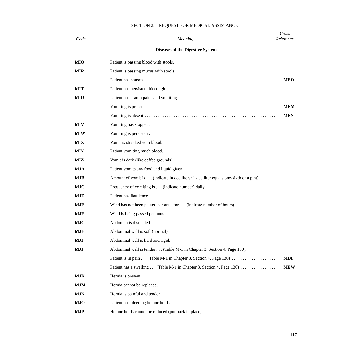| Code       | Meaning                                                                              | Cross<br>Reference |
|------------|--------------------------------------------------------------------------------------|--------------------|
|            | <b>Diseases of the Digestive System</b>                                              |                    |
| <b>MIQ</b> | Patient is passing blood with stools.                                                |                    |
| <b>MIR</b> | Patient is passing mucus with stools.                                                |                    |
|            |                                                                                      | <b>MEO</b>         |
| <b>MIT</b> | Patient has persistent hiccough.                                                     |                    |
| <b>MIU</b> | Patient has cramp pains and vomiting.                                                |                    |
|            |                                                                                      | <b>MEM</b>         |
|            |                                                                                      | <b>MEN</b>         |
| <b>MIV</b> | Vomiting has stopped.                                                                |                    |
| <b>MIW</b> | Vomiting is persistent.                                                              |                    |
| <b>MIX</b> | Vomit is streaked with blood.                                                        |                    |
| <b>MIY</b> | Patient vomiting much blood.                                                         |                    |
| MIZ        | Vomit is dark (like coffee grounds).                                                 |                    |
| <b>MJA</b> | Patient vomits any food and liquid given.                                            |                    |
| <b>MJB</b> | Amount of vomit is (indicate in deciliters: 1 deciliter equals one-sixth of a pint). |                    |
| <b>MJC</b> | Frequency of vomiting is (indicate number) daily.                                    |                    |
| <b>MJD</b> | Patient has flatulence.                                                              |                    |
| <b>MJE</b> | Wind has not been passed per anus for (indicate number of hours).                    |                    |
| <b>MJF</b> | Wind is being passed per anus.                                                       |                    |
| <b>MJG</b> | Abdomen is distended.                                                                |                    |
| MJH        | Abdominal wall is soft (normal).                                                     |                    |
| <b>MJI</b> | Abdominal wall is hard and rigid.                                                    |                    |
| <b>MJJ</b> | Abdominal wall is tender (Table M-1 in Chapter 3, Section 4, Page 130).              |                    |
|            |                                                                                      | <b>MDF</b>         |
|            | Patient has a swelling (Table M-1 in Chapter 3, Section 4, Page 130)                 | <b>MEW</b>         |
| <b>MJK</b> | Hernia is present.                                                                   |                    |
| MJM        | Hernia cannot be replaced.                                                           |                    |
| <b>MJN</b> | Hernia is painful and tender.                                                        |                    |
| <b>MJO</b> | Patient has bleeding hemorrhoids.                                                    |                    |
| <b>MJP</b> | Hemorrhoids cannot be reduced (put back in place).                                   |                    |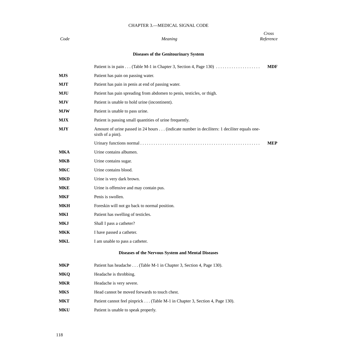| Code       | Meaning                                                                                                         | Cross<br>Reference |
|------------|-----------------------------------------------------------------------------------------------------------------|--------------------|
|            | <b>Diseases of the Genitourinary System</b>                                                                     |                    |
|            |                                                                                                                 | <b>MDF</b>         |
| <b>MJS</b> | Patient has pain on passing water.                                                                              |                    |
| <b>MJT</b> | Patient has pain in penis at end of passing water.                                                              |                    |
| <b>MJU</b> | Patient has pain spreading from abdomen to penis, testicles, or thigh.                                          |                    |
| <b>MJV</b> | Patient is unable to hold urine (incontinent).                                                                  |                    |
| <b>MJW</b> | Patient is unable to pass urine.                                                                                |                    |
| <b>MJX</b> | Patient is passing small quantities of urine frequently.                                                        |                    |
| <b>MJY</b> | Amount of urine passed in 24 hours (indicate number in deciliters: 1 deciliter equals one-<br>sixth of a pint). |                    |
|            |                                                                                                                 | <b>MEP</b>         |
| <b>MKA</b> | Urine contains albumen.                                                                                         |                    |
| <b>MKB</b> | Urine contains sugar.                                                                                           |                    |
| <b>MKC</b> | Urine contains blood.                                                                                           |                    |
| <b>MKD</b> | Urine is very dark brown.                                                                                       |                    |
| <b>MKE</b> | Urine is offensive and may contain pus.                                                                         |                    |
| <b>MKF</b> | Penis is swollen.                                                                                               |                    |
| <b>MKH</b> | Foreskin will not go back to normal position.                                                                   |                    |
| MKI        | Patient has swelling of testicles.                                                                              |                    |
| <b>MKJ</b> | Shall I pass a catheter?                                                                                        |                    |
| <b>MKK</b> | I have passed a catheter.                                                                                       |                    |
| <b>MKL</b> | I am unable to pass a catheter.                                                                                 |                    |
|            | Diseases of the Nervous System and Mental Diseases                                                              |                    |
| <b>MKP</b> | Patient has headache (Table M-1 in Chapter 3, Section 4, Page 130).                                             |                    |
| <b>MKQ</b> | Headache is throbbing.                                                                                          |                    |
| <b>MKR</b> | Headache is very severe.                                                                                        |                    |
| <b>MKS</b> | Head cannot be moved forwards to touch chest.                                                                   |                    |
| <b>MKT</b> | Patient cannot feel pinprick (Table M-1 in Chapter 3, Section 4, Page 130).                                     |                    |
| <b>MKU</b> | Patient is unable to speak properly.                                                                            |                    |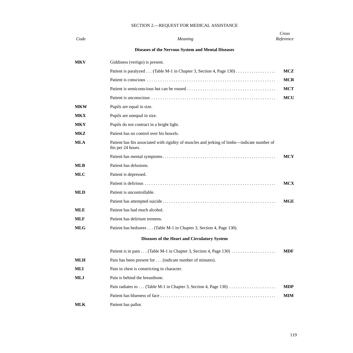| Code       | Meaning                                                                                                            | Cross<br>Reference |
|------------|--------------------------------------------------------------------------------------------------------------------|--------------------|
|            | Diseases of the Nervous System and Mental Diseases                                                                 |                    |
| <b>MKV</b> | Giddiness (vertigo) is present.                                                                                    |                    |
|            |                                                                                                                    | <b>MCZ</b>         |
|            |                                                                                                                    | <b>MCR</b>         |
|            |                                                                                                                    | <b>MCT</b>         |
|            |                                                                                                                    | <b>MCU</b>         |
| <b>MKW</b> | Pupils are equal in size.                                                                                          |                    |
| <b>MKX</b> | Pupils are unequal in size.                                                                                        |                    |
| <b>MKY</b> | Pupils do not contract in a bright light.                                                                          |                    |
| <b>MKZ</b> | Patient has no control over his bowels.                                                                            |                    |
| <b>MLA</b> | Patient has fits associated with rigidity of muscles and jerking of limbs—indicate number of<br>fits per 24 hours. |                    |
|            |                                                                                                                    | <b>MCY</b>         |
| <b>MLB</b> | Patient has delusions.                                                                                             |                    |
| <b>MLC</b> | Patient is depressed.                                                                                              |                    |
|            |                                                                                                                    | <b>MCX</b>         |
| <b>MLD</b> | Patient is uncontrollable.                                                                                         |                    |
|            |                                                                                                                    | <b>MGE</b>         |
| <b>MLE</b> | Patient has had much alcohol.                                                                                      |                    |
| <b>MLF</b> | Patient has delirium tremens.                                                                                      |                    |
| <b>MLG</b> | Patient has bedsores (Table M-1 in Chapter 3, Section 4, Page 130).                                                |                    |
|            | Diseases of the Heart and Circulatory System                                                                       |                    |
|            |                                                                                                                    | <b>MDF</b>         |
| $MLH$      | Pain has been present for (indicate number of minutes).                                                            |                    |
| <b>MLI</b> | Pain in chest is constricting in character.                                                                        |                    |
| <b>MLJ</b> | Pain is behind the breastbone.                                                                                     |                    |
|            |                                                                                                                    | <b>MDP</b>         |
|            |                                                                                                                    | <b>MIM</b>         |
| <b>MLK</b> | Patient has pallor.                                                                                                |                    |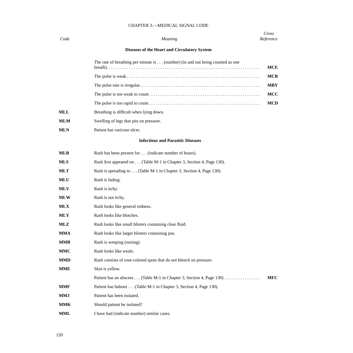<span id="page-121-0"></span>

|      |                | Cross     |
|------|----------------|-----------|
| Code | <b>Meaning</b> | Reference |

## **Diseases of the Heart and Circulatory System**

|            | The rate of breathing per minute is $\dots$ (number) (in and out being counted as one | <b>MCE</b> |
|------------|---------------------------------------------------------------------------------------|------------|
|            |                                                                                       | <b>MCB</b> |
|            |                                                                                       | <b>MBY</b> |
|            |                                                                                       | <b>MCC</b> |
|            |                                                                                       | <b>MCD</b> |
| <b>MLL</b> | Breathing is difficult when lying down.                                               |            |
| <b>MLM</b> | Swelling of legs that pits on pressure.                                               |            |
| <b>MLN</b> | Patient has varicose ulcer.                                                           |            |
|            | <b>Infectious and Parasitic Diseases</b>                                              |            |
| <b>MLR</b> | Rash has been present for (indicate number of hours).                                 |            |
| <b>MLS</b> | Rash first appeared on (Table M-1 in Chapter 3, Section 4, Page 130).                 |            |
| <b>MLT</b> | Rash is spreading to (Table M-1 in Chapter 3, Section 4, Page 130).                   |            |
| <b>MLU</b> | Rash is fading.                                                                       |            |
| <b>MLV</b> | Rash is itchy.                                                                        |            |
| <b>MLW</b> | Rash is not itchy.                                                                    |            |
| <b>MLX</b> | Rash looks like general redness.                                                      |            |
| <b>MLY</b> | Rash looks like blotches.                                                             |            |
| <b>MLZ</b> | Rash looks like small blisters containing clear fluid.                                |            |
| <b>MMA</b> | Rash looks like larger blisters containing pus.                                       |            |
| <b>MMB</b> | Rash is weeping (oozing).                                                             |            |
| <b>MMC</b> | Rash looks like weals.                                                                |            |
| <b>MMD</b> | Rash consists of rose-colored spots that do not blench on pressure.                   |            |
| <b>MME</b> | Skin is yellow.                                                                       |            |
|            | Patient has an abscess (Table M-1 in Chapter 3, Section 4, Page 130)                  | <b>MFC</b> |
| <b>MMF</b> | Patient has buboes (Table M-1 in Chapter 3, Section 4, Page 130).                     |            |
| <b>MMJ</b> | Patient has been isolated.                                                            |            |
| <b>MMK</b> | Should patient be isolated?                                                           |            |
| <b>MML</b> | I have had (indicate number) similar cases.                                           |            |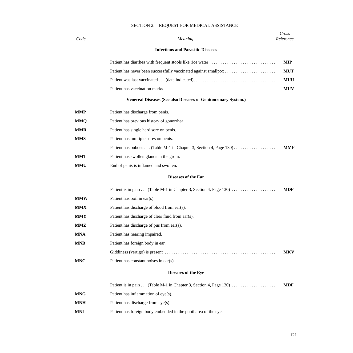| Code       | Meaning                                                               | Cross<br>Reference |
|------------|-----------------------------------------------------------------------|--------------------|
|            | <b>Infectious and Parasitic Diseases</b>                              |                    |
|            |                                                                       | <b>MIP</b>         |
|            |                                                                       | <b>MUT</b>         |
|            |                                                                       | <b>MUU</b>         |
|            |                                                                       | <b>MUV</b>         |
|            | <b>Venereal Diseases (See also Diseases of Genitourinary System.)</b> |                    |
| <b>MMP</b> | Patient has discharge from penis.                                     |                    |
| <b>MMQ</b> | Patient has previous history of gonorrhea.                            |                    |
| <b>MMR</b> | Patient has single hard sore on penis.                                |                    |
| <b>MMS</b> | Patient has multiple sores on penis.                                  |                    |
|            |                                                                       | <b>MMF</b>         |
| <b>MMT</b> | Patient has swollen glands in the groin.                              |                    |
| <b>MMU</b> | End of penis is inflamed and swollen.                                 |                    |
|            | <b>Diseases of the Ear</b>                                            |                    |
|            |                                                                       | <b>MDF</b>         |
| <b>MMW</b> | Patient has boil in ear(s).                                           |                    |
| <b>MMX</b> | Patient has discharge of blood from ear(s).                           |                    |
| <b>MMY</b> | Patient has discharge of clear fluid from ear(s).                     |                    |
| <b>MMZ</b> | Patient has discharge of pus from ear(s).                             |                    |
| <b>MNA</b> | Patient has hearing impaired.                                         |                    |
| <b>MNB</b> | Patient has foreign body in ear.                                      |                    |
|            |                                                                       | <b>MKV</b>         |
| <b>MNC</b> | Patient has constant noises in ear(s).                                |                    |
|            | Diseases of the Eye                                                   |                    |
|            |                                                                       | <b>MDF</b>         |
| <b>MNG</b> | Patient has inflammation of eye(s).                                   |                    |
| <b>MNH</b> | Patient has discharge from eye(s).                                    |                    |
| <b>MNI</b> | Patient has foreign body embedded in the pupil area of the eye.       |                    |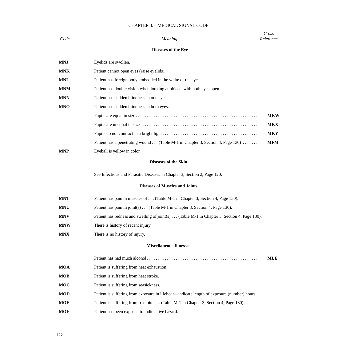| Code       | Meaning                                                                                     | Cross<br>Reference |
|------------|---------------------------------------------------------------------------------------------|--------------------|
|            | Diseases of the Eye                                                                         |                    |
| <b>MNJ</b> | Eyelids are swollen.                                                                        |                    |
| <b>MNK</b> | Patient cannot open eyes (raise eyelids).                                                   |                    |
| <b>MNL</b> | Patient has foreign body embedded in the white of the eye.                                  |                    |
| <b>MNM</b> | Patient has double vision when looking at objects with both eyes open.                      |                    |
| <b>MNN</b> | Patient has sudden blindness in one eye.                                                    |                    |
| <b>MNO</b> | Patient has sudden blindness in both eyes.                                                  |                    |
|            |                                                                                             | <b>MKW</b>         |
|            |                                                                                             | <b>MKX</b>         |
|            |                                                                                             | <b>MKY</b>         |
|            | Patient has a penetrating wound (Table M-1 in Chapter 3, Section 4, Page 130)               | <b>MFM</b>         |
| <b>MNP</b> | Eyeball is yellow in color.                                                                 |                    |
|            | <b>Diseases of the Skin</b>                                                                 |                    |
|            | See Infectious and Parasitic Diseases in Chapter 3, Section 2, Page 120.                    |                    |
|            | <b>Diseases of Muscles and Joints</b>                                                       |                    |
| <b>MNT</b> | Patient has pain in muscles of (Table M-1 in Chapter 3, Section 4, Page 130).               |                    |
| <b>MNU</b> | Patient has pain in joint(s) (Table M-1 in Chapter 3, Section 4, Page 130).                 |                    |
| <b>MNV</b> | Patient has redness and swelling of joint(s) (Table M-1 in Chapter 3, Section 4, Page 130). |                    |
| <b>MNW</b> | There is history of recent injury.                                                          |                    |
| <b>MNX</b> | There is no history of injury.                                                              |                    |
|            | <b>Miscellaneous Illnesses</b>                                                              |                    |
|            |                                                                                             | <b>MLE</b>         |
| <b>MOA</b> | Patient is suffering from heat exhaustion.                                                  |                    |
| <b>MOB</b> | Patient is suffering from heat stroke.                                                      |                    |
| <b>MOC</b> | Patient is suffering from seasickness.                                                      |                    |
| <b>MOD</b> | Patient is suffering from exposure in lifeboat—indicate length of exposure (number) hours.  |                    |
| <b>MOE</b> | Patient is suffering from frostbite (Table M-1 in Chapter 3, Section 4, Page 130).          |                    |
| <b>MOF</b> | Patient has been exposed to radioactive hazard.                                             |                    |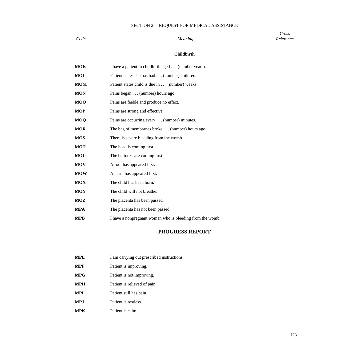<span id="page-124-0"></span>*Cross Code Meaning Reference*

#### **Childbirth**

| <b>MOK</b> | I have a patient in child birth aged (number years).      |
|------------|-----------------------------------------------------------|
| <b>MOL</b> | Patient states she has had (number) children.             |
| <b>MOM</b> | Patient states child is due in (number) weeks.            |
| <b>MON</b> | Pains began (number) hours ago.                           |
| <b>MOO</b> | Pains are feeble and produce no effect.                   |
| <b>MOP</b> | Pains are strong and effective.                           |
| <b>MOQ</b> | Pains are occurring every (number) minutes.               |
| <b>MOR</b> | The bag of membranes broke (number) hours ago.            |
| <b>MOS</b> | There is severe bleeding from the womb.                   |
| <b>MOT</b> | The head is coming first.                                 |
| <b>MOU</b> | The buttocks are coming first.                            |
| <b>MOV</b> | A foot has appeared first.                                |
| <b>MOW</b> | An arm has appeared first.                                |
| <b>MOX</b> | The child has been born.                                  |
| <b>MOY</b> | The child will not breathe.                               |
| MOZ        | The placenta has been passed.                             |
| <b>MPA</b> | The placenta has not been passed.                         |
| <b>MPB</b> | I have a nonpregnant woman who is bleeding from the womb. |

## **PROGRESS REPORT**

| <b>MPE</b> | I am carrying out prescribed instructions. |
|------------|--------------------------------------------|
| <b>MPF</b> | Patient is improving.                      |
| <b>MPG</b> | Patient is not improving.                  |
| <b>MPH</b> | Patient is relieved of pain.               |
| <b>MPI</b> | Patient still has pain.                    |
| <b>MPJ</b> | Patient is restless.                       |
| MPK        | Patient is calm.                           |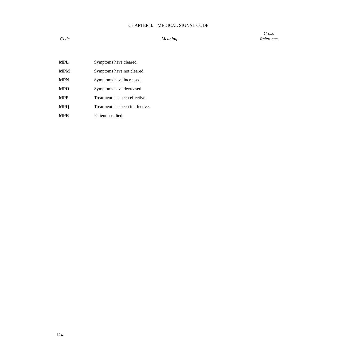*Cross Code Meaning Reference*

| MPL        | Symptoms have cleared.          |
|------------|---------------------------------|
| <b>MPM</b> | Symptoms have not cleared.      |
| <b>MPN</b> | Symptoms have increased.        |
| MPO        | Symptoms have decreased.        |
| <b>MPP</b> | Treatment has been effective.   |
| <b>MPO</b> | Treatment has been ineffective. |
|            | Patient has died.               |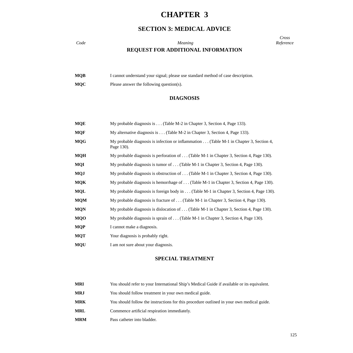# **CHAPTER 3**

# **SECTION 3: MEDICAL ADVICE**

<span id="page-126-0"></span>

*Cross*

### *Code Meaning Reference* **REQUEST FOR ADDITIONAL INFORMATION**

| <b>MQB</b> | I cannot understand your signal; please use standard method of case description. |
|------------|----------------------------------------------------------------------------------|
|            |                                                                                  |

**MQC** Please answer the following question(s).

### **DIAGNOSIS**

| <b>MQE</b> | My probable diagnosis is (Table M-2 in Chapter 3, Section 4, Page 133).                              |
|------------|------------------------------------------------------------------------------------------------------|
| <b>MQF</b> | My alternative diagnosis is $\dots$ (Table M-2 in Chapter 3, Section 4, Page 133).                   |
| <b>MQG</b> | My probable diagnosis is infection or inflammation (Table M-1 in Chapter 3, Section 4,<br>Page 130). |
| <b>MQH</b> | My probable diagnosis is perforation of $\dots$ (Table M-1 in Chapter 3, Section 4, Page 130).       |
| <b>MQI</b> | My probable diagnosis is tumor of $\dots$ (Table M-1 in Chapter 3, Section 4, Page 130).             |
| <b>MQJ</b> | My probable diagnosis is obstruction of $\dots$ (Table M-1 in Chapter 3, Section 4, Page 130).       |
| <b>MQK</b> | My probable diagnosis is hemorrhage of  (Table M-1 in Chapter 3, Section 4, Page 130).               |
| <b>MQL</b> | My probable diagnosis is foreign body in $\dots$ (Table M-1 in Chapter 3, Section 4, Page 130).      |
| <b>MQM</b> | My probable diagnosis is fracture of  (Table M-1 in Chapter 3, Section 4, Page 130).                 |
| <b>MQN</b> | My probable diagnosis is dislocation of $\dots$ (Table M-1 in Chapter 3, Section 4, Page 130).       |
| <b>MQO</b> | My probable diagnosis is sprain of (Table M-1 in Chapter 3, Section 4, Page 130).                    |
| <b>MQP</b> | I cannot make a diagnosis.                                                                           |
| <b>MQT</b> | Your diagnosis is probably right.                                                                    |
| <b>MQU</b> | I am not sure about your diagnosis.                                                                  |

## **SPECIAL TREATMENT**

| MRI | You should refer to your International Ship's Medical Guide if available or its equivalent. |
|-----|---------------------------------------------------------------------------------------------|
| MRJ | You should follow treatment in your own medical guide.                                      |
| MRK | You should follow the instructions for this procedure outlined in your own medical guide.   |
| MRL | Commence artificial respiration immediately.                                                |
| MRM | Pass catheter into bladder.                                                                 |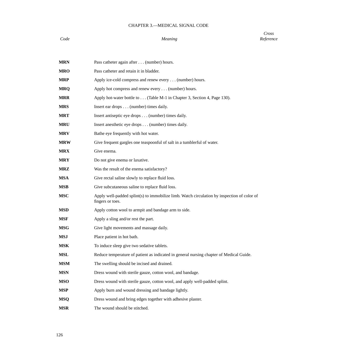*Cross Code Meaning Reference*

| <b>MRN</b> | Pass catheter again after (number) hours.                                                                       |
|------------|-----------------------------------------------------------------------------------------------------------------|
| <b>MRO</b> | Pass catheter and retain it in bladder.                                                                         |
| <b>MRP</b> | Apply ice-cold compress and renew every (number) hours.                                                         |
| <b>MRQ</b> | Apply hot compress and renew every (number) hours.                                                              |
| <b>MRR</b> | Apply hot-water bottle to (Table M-1 in Chapter 3, Section 4, Page 130).                                        |
| <b>MRS</b> | Insert ear drops (number) times daily.                                                                          |
| <b>MRT</b> | Insert antiseptic eye drops (number) times daily.                                                               |
| <b>MRU</b> | Insert anesthetic eye drops (number) times daily.                                                               |
| <b>MRV</b> | Bathe eye frequently with hot water.                                                                            |
| <b>MRW</b> | Give frequent gargles one teaspoonful of salt in a tumblerful of water.                                         |
| <b>MRX</b> | Give enema.                                                                                                     |
| <b>MRY</b> | Do not give enema or laxative.                                                                                  |
| <b>MRZ</b> | Was the result of the enema satisfactory?                                                                       |
| <b>MSA</b> | Give rectal saline slowly to replace fluid loss.                                                                |
| <b>MSB</b> | Give subcutaneous saline to replace fluid loss.                                                                 |
| <b>MSC</b> | Apply well-padded splint(s) to immobilize limb. Watch circulation by inspection of color of<br>fingers or toes. |
| <b>MSD</b> | Apply cotton wool to armpit and bandage arm to side.                                                            |
| <b>MSF</b> | Apply a sling and/or rest the part.                                                                             |
| <b>MSG</b> | Give light movements and massage daily.                                                                         |
| <b>MSJ</b> | Place patient in hot bath.                                                                                      |
| <b>MSK</b> | To induce sleep give two sedative tablets.                                                                      |
| <b>MSL</b> | Reduce temperature of patient as indicated in general nursing chapter of Medical Guide.                         |
| <b>MSM</b> | The swelling should be incised and drained.                                                                     |
| <b>MSN</b> | Dress wound with sterile gauze, cotton wool, and bandage.                                                       |
| <b>MSO</b> | Dress wound with sterile gauze, cotton wool, and apply well-padded splint.                                      |
| <b>MSP</b> | Apply burn and wound dressing and bandage lightly.                                                              |
| <b>MSQ</b> | Dress wound and bring edges together with adhesive plaster.                                                     |
| <b>MSR</b> | The wound should be stitched.                                                                                   |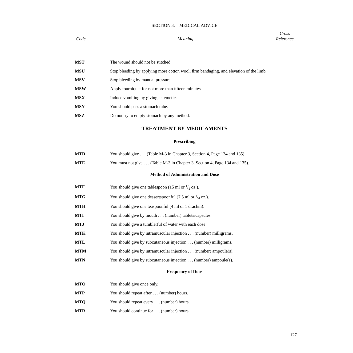#### SECTION 3.—MEDICAL ADVICE

<span id="page-128-0"></span>*Cross Code Meaning Reference*

| <b>MST</b> | The wound should not be stitched.                                                      |
|------------|----------------------------------------------------------------------------------------|
| <b>MSU</b> | Stop bleeding by applying more cotton wool, firm bandaging, and elevation of the limb. |
| <b>MSV</b> | Stop bleeding by manual pressure.                                                      |
| <b>MSW</b> | Apply tourniquet for not more than fifteen minutes.                                    |
| <b>MSX</b> | Induce vomiting by giving an emetic.                                                   |
| <b>MSY</b> | You should pass a stomach tube.                                                        |
| MSZ        | Do not try to empty stomach by any method.                                             |

## **TREATMENT BY MEDICAMENTS**

#### **Prescribing**

| <b>MTD</b> | You should give $\dots$ (Table M-3 in Chapter 3, Section 4, Page 134 and 135). |
|------------|--------------------------------------------------------------------------------|
| <b>MTE</b> | You must not give (Table M-3 in Chapter 3, Section 4, Page 134 and 135).       |

#### **Method of Administration and Dose**

| <b>MTF</b> | You should give one tablespoon (15 ml or $\frac{1}{2}$ oz.).            |
|------------|-------------------------------------------------------------------------|
| <b>MTG</b> | You should give one desserts poonful (7.5 ml or $\frac{1}{4}$ oz.).     |
| <b>MTH</b> | You should give one teaspoonful (4 ml or 1 drachm).                     |
| MTI        | You should give by mouth (number) tablets/capsules.                     |
| MTJ        | You should give a tumblerful of water with each dose.                   |
| <b>MTK</b> | You should give by intramuscular injection (number) milligrams.         |
| MTL        | You should give by subcutaneous injection (number) milligrams.          |
| MTM        | You should give by intramuscular injection $\dots$ (number) ampoule(s). |
| MTN        | You should give by subcutaneous injection (number) ampoule(s).          |

#### **Frequency of Dose**

| MTO        | You should give once only.              |
|------------|-----------------------------------------|
| <b>MTP</b> | You should repeat after (number) hours. |
| MTO        | You should repeat every (number) hours. |
| <b>MTR</b> | You should continue for (number) hours. |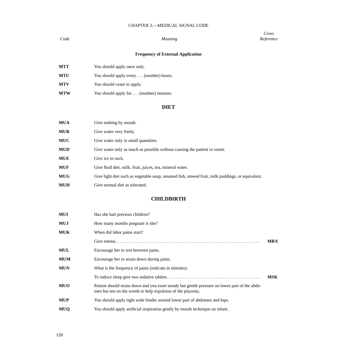<span id="page-129-0"></span>*Cross Code Meaning Reference*

#### **Frequency of External Application**

- **MTT** You should apply once only.
- **MTU** You should apply every . . . (number) hours.
- **MTV** You should cease to apply.
- **MTW** You should apply for . . . (number) minutes.

#### **DIET**

| <b>MUA</b> | Give nothing by mouth.                                                                            |
|------------|---------------------------------------------------------------------------------------------------|
| <b>MUB</b> | Give water very freely.                                                                           |
| <b>MUC</b> | Give water only in small quantities.                                                              |
| <b>MUD</b> | Give water only as much as possible without causing the patient to vomit.                         |
| <b>MUE</b> | Give ice to suck.                                                                                 |
| <b>MUF</b> | Give fluid diet, milk, fruit, juices, tea, mineral water.                                         |
| <b>MUG</b> | Give light diet such as vegetable soup, steamed fish, stewed fruit, milk puddings, or equivalent. |
| <b>MUH</b> | Give normal diet as tolerated.                                                                    |

### **CHILDBIRTH**

| <b>MUI</b> | Has she had previous children?                                                                                                                               |            |
|------------|--------------------------------------------------------------------------------------------------------------------------------------------------------------|------------|
| <b>MUJ</b> | How many months pregnant is she?                                                                                                                             |            |
| <b>MUK</b> | When did labor pains start?                                                                                                                                  |            |
|            |                                                                                                                                                              | <b>MRX</b> |
| <b>MUL</b> | Encourage her to rest between pains.                                                                                                                         |            |
| <b>MUM</b> | Encourage her to strain down during pains.                                                                                                                   |            |
| <b>MUN</b> | What is the frequency of pains (indicate in minutes).                                                                                                        |            |
|            |                                                                                                                                                              | <b>MSK</b> |
| <b>MUO</b> | Patient should strain down and you exert steady but gentle pressure on lower part of the abdo-<br>men but not on the womb to help expulsion of the placenta. |            |
| <b>MUP</b> | You should apply tight wide binder around lower part of abdomen and hips.                                                                                    |            |
| <b>MUQ</b> | You should apply artificial respiration gently by mouth technique on infant.                                                                                 |            |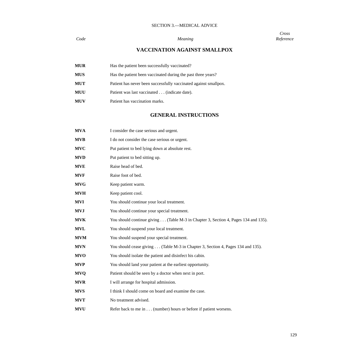#### SECTION 3.—MEDICAL ADVICE

*Cross Code Meaning Reference*

## **VACCINATION AGAINST SMALLPOX**

| <b>MUR</b> | Has the patient been successfully vaccinated?                    |
|------------|------------------------------------------------------------------|
| <b>MUS</b> | Has the patient been vaccinated during the past three years?     |
| <b>MUT</b> | Patient has never been successfully vaccinated against smallpox. |
| <b>MUU</b> | Patient was last vaccinated (indicate date).                     |
| <b>MUV</b> | Patient has vaccination marks.                                   |

## **GENERAL INSTRUCTIONS**

| <b>MVA</b> | I consider the case serious and urgent.                                            |
|------------|------------------------------------------------------------------------------------|
| <b>MVB</b> | I do not consider the case serious or urgent.                                      |
| <b>MVC</b> | Put patient to bed lying down at absolute rest.                                    |
| <b>MVD</b> | Put patient to bed sitting up.                                                     |
| <b>MVE</b> | Raise head of bed.                                                                 |
| <b>MVF</b> | Raise foot of bed.                                                                 |
| <b>MVG</b> | Keep patient warm.                                                                 |
| <b>MVH</b> | Keep patient cool.                                                                 |
| <b>MVI</b> | You should continue your local treatment.                                          |
| <b>MVJ</b> | You should continue your special treatment.                                        |
| <b>MVK</b> | You should continue giving (Table M-3 in Chapter 3, Section 4, Pages 134 and 135). |
| <b>MVL</b> | You should suspend your local treatment.                                           |
| <b>MVM</b> | You should suspend your special treatment.                                         |
| <b>MVN</b> | You should cease giving (Table M-3 in Chapter 3, Section 4, Pages 134 and 135).    |
| <b>MVO</b> | You should isolate the patient and disinfect his cabin.                            |
| <b>MVP</b> | You should land your patient at the earliest opportunity.                          |
| <b>MVQ</b> | Patient should be seen by a doctor when next in port.                              |
| <b>MVR</b> | I will arrange for hospital admission.                                             |
| <b>MVS</b> | I think I should come on board and examine the case.                               |
| <b>MVT</b> | No treatment advised.                                                              |
| <b>MVU</b> | Refer back to me in (number) hours or before if patient worsens.                   |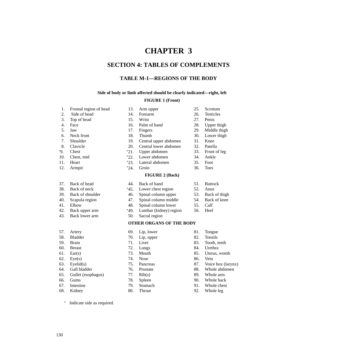# **CHAPTER 3**

## <span id="page-131-0"></span>**SECTION 4: TABLES OF COMPLEMENTS**

#### **TABLE M-1—REGIONS OF THE BODY**

### **Side of body or limb affected should be clearly indicated—right, left**

#### **FIGURE 1 (Front)**

1. Frontal region of head 13. Arm upper 25. Scrotum

| 2.  | Side of head       | 14.    | Forearm                         | 26. | <b>Testicles</b>   |
|-----|--------------------|--------|---------------------------------|-----|--------------------|
| 3.  | Top of head        | 15.    | Wrist                           | 27. | Penis              |
| 4.  | Face               | 16.    | Palm of hand                    | 28. | Upper thigh        |
| 5.  | Jaw                | 17.    | Fingers                         | 29. | Middle thigh       |
| 6.  | Neck front         | 18.    | Thumb                           | 30. | Lower thigh        |
| 7.  | Shoulder           | 19.    | Central upper abdomen           | 31. | Knee               |
| 8.  | Clavicle           | 20.    | Central lower abdomen           | 32. | Patella            |
| *9. | Chest              | 21.    | Upper abdomen                   | 33. | Front of leg       |
| 10. | Chest, mid         | $*22.$ | Lower abdomen                   | 34. | Ankle              |
| 11. | Heart              | $*23.$ | Lateral abdomen                 | 35. | Foot               |
| 12. | Armpit             | $*24.$ | Groin                           | 36. | <b>Toes</b>        |
|     |                    |        | <b>FIGURE 2 (Back)</b>          |     |                    |
| 37. | Back of head       | 44.    | Back of hand                    | 51. | <b>Buttock</b>     |
| 38. | Back of neck       | $*45.$ | Lower chest region              | 52. | Anus               |
| 39. | Back of shoulder   | 46.    | Spinal column upper             | 53. | Back of thigh      |
| 40. | Scapula region     | 47.    | Spinal column middle            | 54. | Back of knee       |
| 41. | Elbow              | 48.    | Spinal column lower             | 55. | Calf               |
| 42. | Back upper arm     | $*49.$ | Lumbar (kidney) region          | 56. | Heel               |
| 43. | Back lower arm     | 50.    | Sacral region                   |     |                    |
|     |                    |        | <b>OTHER ORGANS OF THE BODY</b> |     |                    |
| 57. | Artery             | 69.    | Lip, lower                      | 81. | Tongue             |
| 58. | Bladder            | 70.    | Lip, upper                      | 82. | Tonsils            |
| 59. | <b>Brain</b>       | 71.    | Liver                           | 83. | Tooth, teeth       |
| 60. | <b>Breast</b>      | 72.    | Lungs                           | 84. | Urethra            |
| 61. | Ear(s)             | 73.    | Mouth                           | 85. | Uterus, womb       |
| 62. | Eye(s)             | 74.    | <b>Nose</b>                     | 86. | Vein               |
| 63. | Eyield(s)          | 75.    | Pancreas                        | 87. | Voice box (larynx) |
| 64. | Gall bladder       | 76.    | Prostate                        | 88. | Whole abdomen      |
| 65. | Gullet (esophagus) | 77.    | Rib(s)                          | 89. | Whole arm          |
| 66. | Gums               | 78.    | Spleen                          | 90. | Whole back         |
| 67. | Intestine          | 79.    | Stomach                         | 91. | Whole chest        |
| 68. | Kidney             | 80.    | Throat                          | 92. | Whole leg          |

\* Indicate side as required.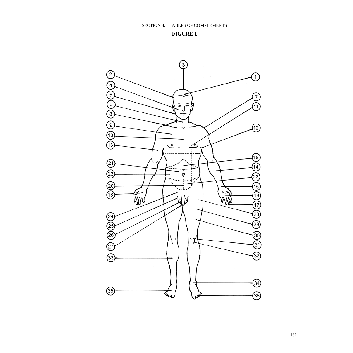

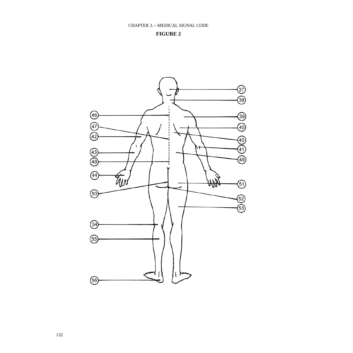## **FIGURE 2**

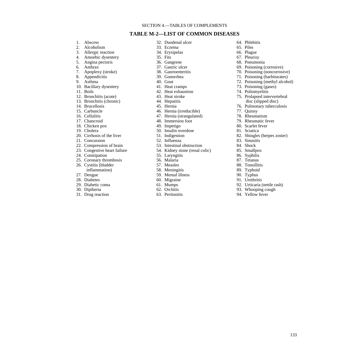#### **TABLE M-2—LIST OF COMMON DISEASES**

- <span id="page-134-0"></span>1. Abscess
- 2. Alcoholism
- 3. Allergic reaction
- 4. Amoebic dysentery
- 5. Angina pectoris
- 6. Anthrax
- 7. Apoplexy (stroke)
- 8. Appendicitis
- 9. Asthma
- 10. Bacillary dysentery
- 11. Boils
- 12. Bronchitis (acute)
- 13. Bronchitis (chronic)
- 14. Brucellosis
- 15. Carbuncle
- 16. Cellulitis
- 17. Chancroid
- 18. Chicken pox
- 19. Cholera
- 20. Cirrhosis of the liver
- 21. Concussion
- 22. Compression of brain
- 23. Congestive heart failure
- 24. Constipation
- 25. Coronary thrombosis
- 26. Cystitis (bladder
- inflammation)
- 27. Dengue
- 28. Diabetes
- 29. Diabetic coma
- 30. Diptheria
- 31. Drug reaction
- 32. Duodenal ulcer
- 33. Eczema
- 34. Erysipelas
- 35. Fits
- 36. Gangrene
- 37. Gastric ulcer
- 38. Gastroenteritis
- 39. Gonorrhea
- 40. Gout
- 41. Heat cramps
- 42. Heat exhaustion
- 43. Heat stroke
- 44. Hepatitis
- 45. Hernia
- 46. Hernia (irreducible)
- 47. Hernia (strangulated)
- 48. Immersion foot
- 49. Impetigo
- 50. Insulin overdose
- 51. Indigestion
- 52. Influenza
- 53. Intestinal obstruction
- 54. Kidney stone (renal colic)
- 55. Laryngitis
- 56. Malaria
- 57. Measles
- 58. Meningitis
- 59. Mental illness
- 60. Migraine
- 61. Mumps
- 62. Orchitis
- 
- 63. Peritonitis
- 64. Phlebitis
- 65. Piles
- 66. Plague
- 67. Pleurisy
- 68. Pneumonia
- 69. Poisoning (corrosive)
- 70. Poisoning (noncorrosive)
- 71. Poisoning (barbiturates)
- 72. Poisoning (methyl alcohol)
- 73. Poisoning (gases)
- 
- 74. Poliomyelitis
- 75. Prolapsed intervertebral disc (slipped disc)
- 76. Pulmonary tuberculosis
- 77. Quinsy
- 78. Rheumatism
- 79. Rheumatic fever
- 80. Scarlet fever
- 81. Sciatica
- 82. Shingles (herpes zoster)
- 83. Sinusitis
- 84. Shock
- 85. Smallpox
- 86. Syphilis
- 87. Tetanus
- 88. Tonsillitis
- 89. Typhoid
- 90. Typhus
- 91. Urethritis
- 92. Urticaria (nettle rash)
- 93. Whooping cough
- 94. Yellow fever

133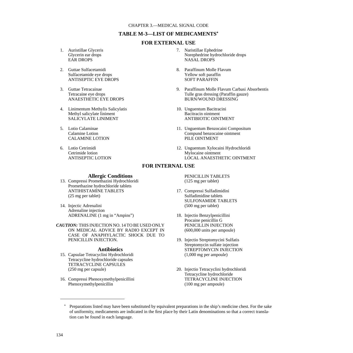#### **TABLE M-3—LIST OF MEDICAMENTS\***

#### **FOR EXTERNAL USE**

- <span id="page-135-0"></span>1. Auristillae Glyceris Glycerin ear drops EAR DROPS
- 2. Guttae Sulfacetamidi Sulfacetamide eye drops ANTISEPTIC EYE DROPS
- 3. Guttae Tetracainae Tetracaine eye drops ANAESTHETIC EYE DROPS
- 4. Linimentum Methylis Salicylatis Methyl salicylate liniment SALICYLATE LINIMENT
- 5. Lotio Calaminae Calamine Lotion CALAMINE LOTION
- 6. Lotio Cetrimidi Cetrimide lotion ANTISEPTIC LOTION

#### **Allergic Conditions**

- 13. Compressi Promethazini Hydrochloridi Promethazine hydrochloride tablets ANTIHISTAMINE TABLETS (25 mg per tablet)
- 14. Injectic Adrenalini Adrenaline injection ADRENALINE (1 mg in "Ampins")
- *CAUTION:* THIS INJECTION NO. 14 TO BE USED ONLY ON MEDICAL ADVICE BY RADIO EXCEPT IN CASE OF ANAPHYLACTIC SHOCK DUE TO PENICILLIN INJECTION.

#### **Antibiotics**

- 15. Capsulae Tetracyclini Hydrochloridi Tetracycline hydrochloride capsules TETRACYCLINE CAPSULES (250 mg per capsule)
- 16. Compressi Phenoxymethylpenicillini Phenoxymethylpenicillin
- 7. Naristillae Ephedrine Norephedrine hydrochloride drops NASAL DROPS
- 8. Paraffinum Molle Flavum Yellow soft paraffin SOFT PARAFFIN
- 9. Paraffinum Molle Flavum Carbasi Absorbentis Tulle gras dressing (Paraffin gauze) BURN/WOUND DRESSING
- 10. Unguentum Bacitracini Bacitracin ointment ANTIBIOTIC OINTMENT
- 11. Unguentum Benzocaini Compositum Compund benzocaine ointment PILE OINTMENT
- 12. Unguentum Xylocaini Hydrochloridi Mylocaine ointment LOCAL ANAESTHETIC OINTMENT

#### **FOR INTERNAL USE**

PENICILLIN TABLETS (125 mg per tablet)

- 17. Compressi Sulfadimidini Sulfadimidine tablets SULFONAMIDE TABLETS (500 mg per tablet)
- 18. Injectio Benzylpenicillini Procaine penicillin G PENICILLIN INJECTION (600,000 units per ampoule)
- 19. Injectio Streptomycini Sulfatis Streptomycin sulfate injection STREPTOMYCIN INJECTION (1,000 mg per ampoule)
- 20. Injectio Tetracyclini hydrochloridi Tetracycline hydrochloride TETRACYCLINE INJECTION (100 mg per ampoule)

Preparations listed may have been substituted by equivalent preparations in the ship's medicine chest. For the sake of uniformity, medicaments are indicated in the first place by their Latin denominations so that a correct translation can be found in each language.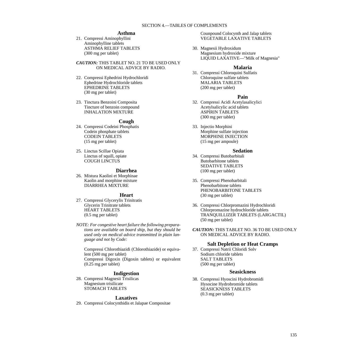#### **Asthma**

<span id="page-136-0"></span>21. Compressi Aminophyllini Aminophylline tablets ASTHMA RELIEF TABLETS (300 mg per tablet)

*CAUTION:* THIS TABLET NO. 21 TO BE USED ONLY ON MEDICAL ADVICE BY RADIO.

- 22. Compressi Ephedrini Hydrochloridi Ephedrine Hydrochloride tablets EPHEDRINE TABLETS (30 mg per tablet)
- 23. Tinctura Benzoini Composita Tincture of benzoin compound INHALATION MIXTURE

#### **Cough**

- 24. Compressi Codeini Phosphatis Codein phosphate tablets CODEIN TABLETS (15 mg per tablet)
- 25. Linctus Scillae Opiata Linctus of squill, opiate COUGH LINCTUS

#### **Diarrhea**

26. Mistura Kaolini et Morphinae Kaolin and morphine mixture DIARRHEA MIXTURE

#### **Heart**

- 27. Compressi Glycerylis Trinitratis Glycerin Trinitrate tablets HEART TABLETS (0.5 mg per tablet)
- *NOTE: For congestive heart failure the following preparations are available on board ship, but they should be used only on medical advice transmitted in plain language and not by Code:*

Compressi Chlorothiazidi (Chlorothiazide) or equivalent (500 mg per tablet) Compressi Digoxin (Digoxin tablets) or equivalent (0.25 mg per tablet)

#### **Indigestion**

28. Compressi Magnesii Trisilicas Magnesium trisilicate STOMACH TABLETS

#### **Laxatives**

29. Compressi Colocynthidis et Jalapae Compositae

Counpound Colocynth and Jalap tablets VEGETABLE LAXATIVE TABLETS

30. Magnesii Hydroxidum Magnesium hydroxide mixture LIQUID LAXATIVE—"Milk of Magnesia"

#### **Malaria**

31. Compressi Chloroquini Sulfatis Chloroquine sulfate tablets MALARIA TABLETS (200 mg per tablet)

#### **Pain**

- 32. Compressi Acidi Acetylasalicylici Acetylsalicylic acid tablets ASPIRIN TABLETS (300 mg per tablet)
- 33. Injectio Morphini Morphine sulfate injection MORPHINE INJECTION (15 mg per ampoule)

#### **Sedation**

- 34. Compressi Butobarbitali Butobarbitone tablets SEDATIVE TABLETS (100 mg per tablet)
- 35. Compressi Phenobarbitali Phenobarbitone tablets PHENOBARBITONE TABLETS (30 mg per tablet)
- 36. Compressi Chlorpromazini Hydrochloridi Chlorpromazine hydrochloride tablets TRANQUILLIZER TABLETS (LARGACTIL) (50 mg per tablet)
- *CAUTION:* THIS TABLET NO. 36 TO BE USED ONLY ON MEDICAL ADVICE BY RADIO.

#### **Salt Depletion or Heat Cramps**

37. Compressi Natrii Chloridi Solv Sodium chloride tablets SALT TABLETS (500 mg per tablet)

#### **Seasickness**

38. Compressi Hyoscini Hydrobromidi Hysocine Hydrobromide tablets SEASICKNESS TABLETS (0.3 mg per tablet)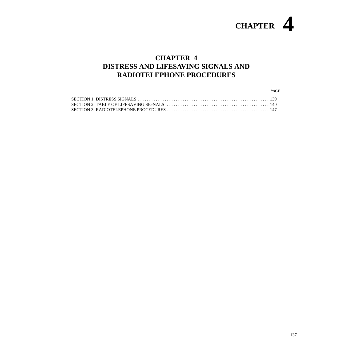

# **CHAPTER 4 DISTRESS AND LIFESAVING SIGNALS AND RADIOTELEPHONE PROCEDURES**

*PAGE*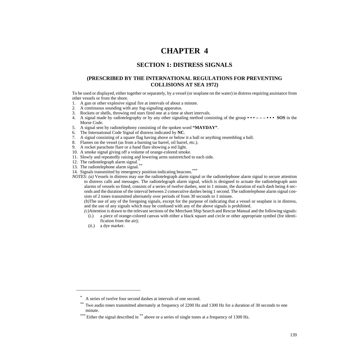# **CHAPTER 4**

## **SECTION 1: DISTRESS SIGNALS**

### <span id="page-138-0"></span>**(PRESCRIBED BY THE INTERNATIONAL REGULATIONS FOR PREVENTING COLLISIONS AT SEA 1972)**

To be used or displayed, either together or separately, by a vessel (or seaplane on the water) in distress requiring assistance from other vessels or from the shore.

- 1. A gun or other explosive signal fire at intervals of about a minute.
- 2. A continuous sounding with any fog-signaling apparatus.
- 3. Rockets or shells, throwing red stars fired one at a time at short intervals.
- 4. A signal made by radiotelegraphy or by any other signaling method consisting of the group  **• – – • SOS** in the Morse Code.
- 5. A signal sent by radiotelephony consisting of the spoken word **"MAYDAY"**.
- 6. The International Code Signal of distress indicated by **NC**.
- 7. A signal consisting of a square flag having above or below it a ball or anything resembling a ball.
- 8. Flames on the vessel (as from a burning tar barrel, oil barrel, etc.).
- 9. A rocket parachute flare or a hand flare showing a red light.
- 10. A smoke signal giving off a volume of orange-colored smoke.
- 11. Slowly and repeatedly raising and lowering arms outstretched to each side.
- 12. The radiotelegraph alarm signal.<sup>\*</sup>
- 13. The radiotelephone alarm signal.\*\*
- 14. Signals transmitted by emergency position-indicating beacons.\*\*\*

*NOTES: (a)* Vessels in distress may use the radiotelegraph alarm signal or the radiotelephone alarm signal to secure attention to distress calls and messages. The radiotelegraph alarm signal, which is designed to actuate the radiotelegraph auto alarms of vessels so fitted, consists of a series of twelve dashes, sent in 1 minute, the duration of each dash being 4 seconds and the duration of the interval between 2 consecutive dashes being 1 second. The radiotelephone alarm signal consists of 2 tones transmitted alternately over periods of from 30 seconds to 1 minute.

*(b)*The use of any of the foregoing signals, except for the purpose of indicating that a vessel or seaplane is in distress, and the use of any signals which may be confused with any of the above signals is prohibited.

- *(c)*Attention is drawn to the relevant sections of the Merchant Ship Search and Rescue Manual and the following signals: (i.) a piece of orange-colored canvas with either a black square and circle or other appropriate symbol (for identification from the air);
	- (ii.) a dye marker.

A series of twelve four second dashes at intervals of one second.

Two audio tones transmitted alternately at frequency of 2200 Hz and 1300 Hz for a duration of 30 seconds to one minute.

<sup>\*\*\*</sup> Either the signal described in <sup>\*\*</sup> above or a series of single tones at a frequency of 1300 Hz.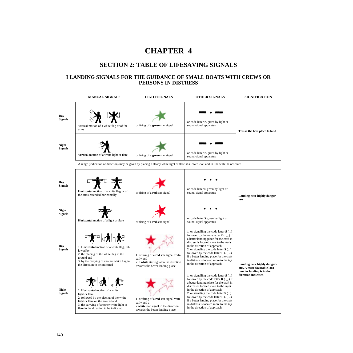# **CHAPTER 4**

## **SECTION 2: TABLE OF LIFESAVING SIGNALS**

### <span id="page-139-0"></span>**I LANDING SIGNALS FOR THE GUIDANCE OF SMALL BOATS WITH CREWS OR PERSONS IN DISTRESS**

|                                | <b>MANUAL SIGNALS</b>                                                                                                                                                                                                | <b>LIGHT SIGNALS</b>                                                                                                               | <b>OTHER SIGNALS</b>                                                                                                                                                                                                                                                                                                                                                                                                         | <b>SIGNIFICATION</b>                                       |
|--------------------------------|----------------------------------------------------------------------------------------------------------------------------------------------------------------------------------------------------------------------|------------------------------------------------------------------------------------------------------------------------------------|------------------------------------------------------------------------------------------------------------------------------------------------------------------------------------------------------------------------------------------------------------------------------------------------------------------------------------------------------------------------------------------------------------------------------|------------------------------------------------------------|
| Day<br><b>Signals</b>          | Vertical motion of a white flag or of the<br>arms                                                                                                                                                                    | or code letter $K$ given by light or<br>or firing of a <b>green</b> star signal<br>sound-signal apparatus                          |                                                                                                                                                                                                                                                                                                                                                                                                                              | This is the best place to land                             |
| <b>Night</b><br><b>Signals</b> | <b>Vertical</b> motion of a white light or flare                                                                                                                                                                     | or firing of a <b>green</b> star signal                                                                                            | or code letter $K$ given by light or<br>sound-signal apparatus                                                                                                                                                                                                                                                                                                                                                               |                                                            |
|                                | A range (indication of direction) may be given by placing a steady white light or flare at a lower level and in line with the observer                                                                               |                                                                                                                                    |                                                                                                                                                                                                                                                                                                                                                                                                                              |                                                            |
| Day<br><b>Signals</b>          | <b>Horizontal</b> motion of a white flag or of<br>the arms extended horizontally                                                                                                                                     | or firing of a <b>red</b> star signal                                                                                              | or code letter S given by light or<br>sound-signal apparatus                                                                                                                                                                                                                                                                                                                                                                 | Landing here highly danger-<br>ous                         |
| <b>Night</b><br><b>Signals</b> | <b>Horizontal</b> motion of a light or flare                                                                                                                                                                         | or firing of a red star signal                                                                                                     | or code letter S given by light or<br>sound-signal apparatus                                                                                                                                                                                                                                                                                                                                                                 |                                                            |
| Day<br><b>Signals</b>          | 1 Horizontal motion of a white flag, fol-<br>lowed by<br>2 the placing of the white flag in the<br>ground and<br>3 by the carrying of another white flag in<br>the direction to be indicated                         | 1 or firing of a red star signal verti-<br>cally and<br>2 a white star signal in the direction<br>towards the better landing place | 1 or signalling the code letter $S$ ()<br>followed by the code letter $\mathbf{R}$ (. _ .) if<br>a better landing place for the craft in<br>distress is located more to the right<br>in the direction of approach<br>2 or signaling the code letter $S$ ()<br>followed by the code letter $L(.)$<br>if a better landing place for the craft<br>in distress is located more to the left<br>in the direction of approach       | Landing here highly danger-<br>ous. A more favorable loca- |
| <b>Night</b><br><b>Signals</b> | 1 Horizontal motion of a white<br>light or flare<br>2 followed by the placing of the white<br>light or flare on the ground and<br>3 the carrying of another white light or<br>flare in the direction to be indicated | 1 or firing of a red star signal verti-<br>cally and a<br>2 white star signal in the direction<br>towards the better landing place | 1 or signalling the code letter $S$ ()<br>followed by the code letter $\mathbf{R}$ (. _.) if<br>a better landing place for the craft in<br>distress is located more to the right<br>in the direction of approach<br>2 or signaling the code letter $S$ ()<br>followed by the code letter $L$ (. $\_$ )<br>if a better landing place for the craft<br>in distress is located more to the left<br>in the direction of approach | tion for landing is in the<br>direction indicated          |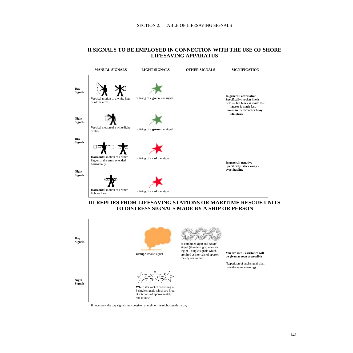### **II SIGNALS TO BE EMPLOYED IN CONNECTION WITH THE USE OF SHORE LIFESAVING APPARATUS**

|                                | <b>MANUAL SIGNALS</b>                                                               | <b>LIGHT SIGNALS</b>             | <b>OTHER SIGNALS</b> | <b>SIGNIFICATION</b>                                                                      |  |
|--------------------------------|-------------------------------------------------------------------------------------|----------------------------------|----------------------|-------------------------------------------------------------------------------------------|--|
| Day<br><b>Signals</b>          | Vertical motion of a white flag<br>or of the arms                                   | or firing of a green star signal |                      | In general: affirmative<br>Specifically: rocket line is<br>held — tail block is made fast |  |
| <b>Night</b><br><b>Signals</b> | Vertical motion of a white light<br>or flare                                        | or firing of a green star signal |                      | - hawser is made fast<br>man is in the breeches buoy<br>— haul away                       |  |
| Day<br><b>Signals</b>          | <b>Horizontal</b> motion of a white<br>flag or of the arms extended<br>horizontally | or firing of a red star signal   |                      | In general: negative<br>Specifically: slack away -                                        |  |
| <b>Night</b><br><b>Signals</b> | Horizontal motion of a white<br>light or flare                                      | or firing of a red star signal   |                      | avast hauling                                                                             |  |

#### **III REPLIES FROM LIFESAVING STATIONS OR MARITIME RESCUE UNITS TO DISTRESS SIGNALS MADE BY A SHIP OR PERSON**

| Day<br><b>Signals</b>          | <b>Orange</b> smoke signal                                                                                                  | or combined light and sound<br>signal (thunder-light) consist-<br>ing of 3 single signals which<br>are fired at intervals of approxi-<br>mately one minute | You are seen - assistance will<br>be given as soon as possible |
|--------------------------------|-----------------------------------------------------------------------------------------------------------------------------|------------------------------------------------------------------------------------------------------------------------------------------------------------|----------------------------------------------------------------|
| <b>Night</b><br><b>Signals</b> | I min<br>White star rocket consisting of<br>3 single signals which are fired<br>at intervals of approximately<br>one minute |                                                                                                                                                            | (Repetition of such signal shall<br>have the same meaning)     |

If necessary, the day signals may be given at night or the night signals by day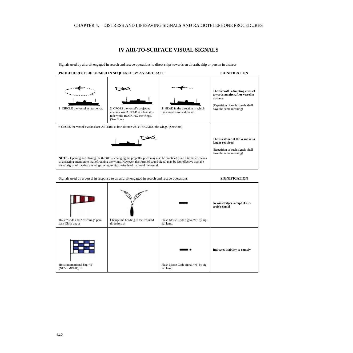#### CHAPTER 4.—DISTRESS AND LIFESAVING SIGNALS AND RADIOTELEPHONE PROCEDURES

### **IV AIR-TO-SURFACE VISUAL SIGNALS**

Signals used by aircraft engaged in search and rescue operations to direct ships towards an aircraft, ship or person in distress

#### PROCEDURES PERFORMED IN SEQUENCE BY AN AIRCRAFT SIGNIFICATION



Signals used by a vessel in response to an aircraft engaged in search and rescue operations **SIGNIFICATION**

|                                                      |                                                     |                                                  | Acknowledges receipt of air-<br>craft's signal |
|------------------------------------------------------|-----------------------------------------------------|--------------------------------------------------|------------------------------------------------|
| Hoist "Code and Answering" pen-<br>dant Close up; or | Change the heading to the required<br>direction; or | Flash Morse Code signal "T" by sig-<br>nal lamp. |                                                |
| Hoist international flag "N"<br>(NOVEMBER); or       |                                                     | Flash Morse Code signal "N" by sig-<br>nal lamp. | Indicates inability to comply                  |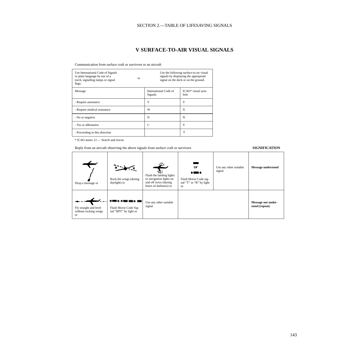## **V SURFACE-TO-AIR VISUAL SIGNALS**

Communication from surface craft or survivors to an aircraft

| Use International Code of Signals<br>or plain language by use of a<br>$\alpha$<br>torch, signalling lamps or signal<br>flags. | Use the following surface-to-air visual<br>signals by displaying the appropriate<br>signal on the deck or on the ground. |                           |
|-------------------------------------------------------------------------------------------------------------------------------|--------------------------------------------------------------------------------------------------------------------------|---------------------------|
| Message                                                                                                                       | International Code of<br>Signals                                                                                         | ICAO* visual sym-<br>bols |
| - Require assistance                                                                                                          | v                                                                                                                        | v                         |
| - Require medical assistance                                                                                                  | W                                                                                                                        | X                         |
| - No or negative                                                                                                              | N                                                                                                                        | N                         |
| - Yes or affirmative                                                                                                          | C                                                                                                                        | Y                         |
| - Proceeding in this direction                                                                                                |                                                                                                                          |                           |

\* ICAO annex 12 — Search and rescue

Reply from an aircraft observing the above signals from surface craft or survivors **SIGNIFICATION** 

| Drop a message or                                                | Rock the wings (during<br>daylight) or         | Flash the landing lights<br>or navigation lights on<br>and off twice (during)<br>hours of darkness) or | or<br>Flash Morse Code sig-<br>nal "T" or "R" by light<br><sub>or</sub> | Use any other suitable<br>signal | <b>Message understood</b>            |
|------------------------------------------------------------------|------------------------------------------------|--------------------------------------------------------------------------------------------------------|-------------------------------------------------------------------------|----------------------------------|--------------------------------------|
| Fly straight and level<br>without rocking wings<br><sub>or</sub> | Flash Morse Code Sig-<br>nal "RPT" by light or | Use any other suitable<br>signal                                                                       |                                                                         |                                  | Message not under-<br>stood (repeat) |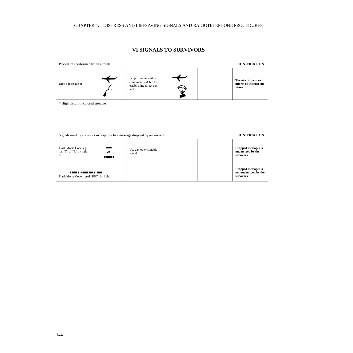#### CHAPTER 4.—DISTRESS AND LIFESAVING SIGNALS AND RADIOTELEPHONE PROCEDURES

## **VI SIGNALS TO SURVIVORS**

Procedures performed by an aircraft **SIGNIFICATION** 





\* High visibility colored streamer

#### Signals used by survivors in response to a message dropped by an aircraft **SIGNIFICATION**

| Flash Morse Code sig-<br>nal "T" or "R" by light<br>or<br><sub>or</sub><br>$\bullet$ and $\bullet$ | Use any other suitable<br>signal | Dropped messages is<br>understood by the<br>survivors     |
|----------------------------------------------------------------------------------------------------|----------------------------------|-----------------------------------------------------------|
| Flash Morse Code signal "RPT" by light                                                             |                                  | Dropped messages is<br>not understood by the<br>survivors |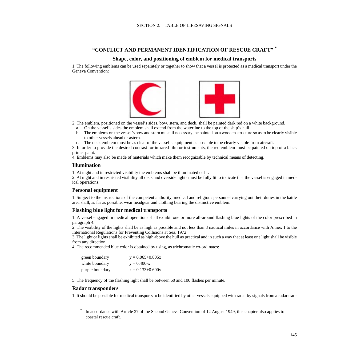# **"CONFLICT AND PERMANENT IDENTIFICATION OF RESCUE CRAFT" \***

# **Shape, color, and positioning of emblem for medical transports**

1. The following emblems can be used separately or together to show that a vessel is protected as a medical transport under the Geneva Convention:



2. The emblem, positioned on the vessel's sides, bow, stern, and deck, shall be painted dark red on a white background.

- a. On the vessel's sides the emblem shall extend from the waterline to the top of the ship's hull.
- b. The emblems on the vessel's bow and stern must, if necessary, be painted on a wooden structure so as to be clearly visible to other vessels ahead or astern.
- c. The deck emblem must be as clear of the vessel's equipment as possible to be clearly visible from aircraft.

3. In order to provide the desired contrast for infrared film or instruments, the red emblem must be painted on top of a black primer paint.

4. Emblems may also be made of materials which make them recognizable by technical means of detecting.

# **Illumination**

1. At night and in restricted visibility the emblems shall be illuminated or lit.

2. At night and in restricted visibility all deck and overside lights must be fully lit to indicate that the vessel is engaged in medical operations.

# **Personal equipment**

1. Subject to the instructions of the competent authority, medical and religious personnel carrying out their duties in the battle area shall, as far as possible, wear headgear and clothing bearing the distinctive emblem.

# **Flashing blue light for medical transports**

1. A vessel engaged in medical operations shall exhibit one or more all-around flashing blue lights of the color prescribed in paragraph 4.

2. The visibility of the lights shall be as high as possible and not less than 3 nautical miles in accordance with Annex 1 to the International Regulations for Preventing Collisions at Sea, 1972.

3. The light or lights shall be exhibited as high above the hull as practical and in such a way that at least one light shall be visible from any direction.

4. The recommended blue color is obtained by using, as trichromatic co-ordinates:

| green boundary  | $y = 0.065 + 0.805x$ |
|-----------------|----------------------|
| white boundary  | $y = 0.400 - x$      |
| purple boundary | $x = 0.133 + 0.600y$ |

5. The frequency of the flashing light shall be between 60 and 100 flashes per minute.

#### **Radar transponders**

1. It should be possible for medical transports to be identified by other vessels equipped with radar by signals from a radar tran-

<sup>\*</sup> In accordance with Article 27 of the Second Geneva Convention of 12 August 1949, this chapter also applies to coastal rescue craft.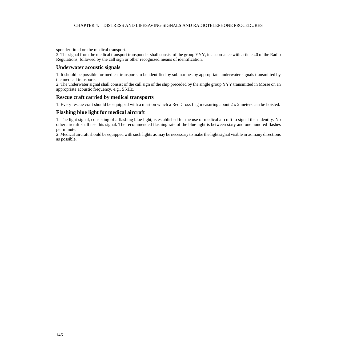sponder fitted on the medical transport.

2. The signal from the medical transport transponder shall consist of the group YYY, in accordance with article 40 of the Radio Regulations, followed by the call sign or other recognized means of identification.

### **Underwater acoustic signals**

1. It should be possible for medical transports to be identified by submarines by appropriate underwater signals transmitted by the medical transports.

2. The underwater signal shall consist of the call sign of the ship preceded by the single group YYY transmitted in Morse on an appropriate acoustic frequency, e.g., 5 kHz.

### **Rescue craft carried by medical transports**

1. Every rescue craft should be equipped with a mast on which a Red Cross flag measuring about 2 x 2 meters can be hoisted.

# **Flashing blue light for medical aircraft**

1. The light signal, consisting of a flashing blue light, is established for the use of medical aircraft to signal their identity. No other aircraft shall use this signal. The recommended flashing rate of the blue light is between sixty and one hundred flashes per minute.

2. Medical aircraft should be equipped with such lights as may be necessary to make the light signal visible in as many directions as possible.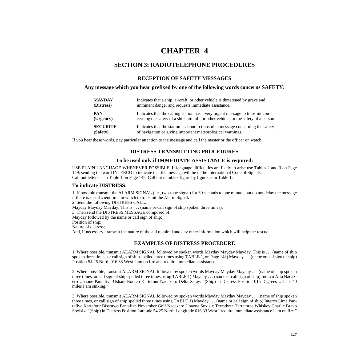# **CHAPTER 4**

# **SECTION 3: RADIOTELEPHONE PROCEDURES**

# **RECEPTION OF SAFETY MESSAGES**

# **Any message which you hear prefixed by one of the following words concerns SAFETY:**

| <b>MAYDAY</b>   | Indicates that a ship, aircraft, or other vehicle is threatened by grave and         |
|-----------------|--------------------------------------------------------------------------------------|
| (Distress)      | imminent danger and requests immediate assistance.                                   |
| PAN             | Indicates that the calling station has a very urgent message to transmit con-        |
| (Urgency)       | cerning the safety of a ship, aircraft, or other vehicle, or the safety of a person. |
| <b>SECURITE</b> | Indicates that the station is about to transmit a message concerning the safety      |
| (Safety)        | of navigation or giving important meteorological warnings.                           |

If you hear these words, pay particular attention to the message and call the master or the officer on watch.

# **DISTRESS TRANSMITTING PROCEDURES**

# **To be used only if IMMEDIATE ASSISTANCE is required:**

USE PLAIN LANGUAGE WHENEVER POSSIBLE. If language difficulties are likely to arise use Tables 2 and 3 on Page [149](#page-147-0), sending the word INTERCO to indicate that the message will be in the International Code of Signals. Call out letters as in Table 1 on Page 14[8. C](#page-147-0)all out numbers figure by figure as in Table 1.

# **To indicate DISTRESS:**

1. If possible transmit the ALARM SIGNAL (i.e., two-tone signal) for 30 seconds to one minute, but do not delay the message if there is insufficient time in which to transmit the Alarm Signal.

2. Send the following DISTRESS CALL:

Mayday Mayday Mayday. This is . . . (name or call sign of ship spoken three times).

3. Then send the DISTRESS MESSAGE composed of:

Mayday followed by the name or call sign of ship;

Position of ship;

Nature of distress;

And, if necessary, transmit the nature of the aid required and any other information which will help the rescue.

# **EXAMPLES OF DISTRESS PROCEDURE**

1. Where possible, transmit ALARM SIGNAL followed by spoken words Mayday Mayday Mayday. This is... (name of ship spoken three times, or call sign of ship spelled three times using TABLE 1, on Page [148](#page-147-0)) Mayday... (name or call sign of ship) Position 54 25 North 016 33 West I am on fire and require immediate assistance.

2. Where possible, transmit ALARM SIGNAL followed by spoken words Mayday Mayday Mayday . . . (name of ship spoken three times, or call sign of ship spelled three times using TABLE 1) Mayday... (name or call sign of ship) Interco Alfa Nadazero Unaone Pantafive Ushant Romeo Kartefour Nadazero Delta X-ray. "(Ship) in Distress Position 015 Degrees Ushant 40 miles I am sinking."

3. Where possible, transmit ALARM SIGNAL followed by spoken words Mayday Mayday Mayday . . . (name of ship spoken three times, or call sign of ship spelled three times using TABLE 1) Mayday . . . (name or call sign of ship) Interco Lima Pantafive Kartefour Bissotwo Pantafive November Golf Nadazero Unaone Soxisix Terrathree Terrathree Whiskey Charlie Bravo Soxisix. "(Ship) in Distress Position Latitude 54 25 North Longitude 016 33 West I require immediate assistance I am on fire."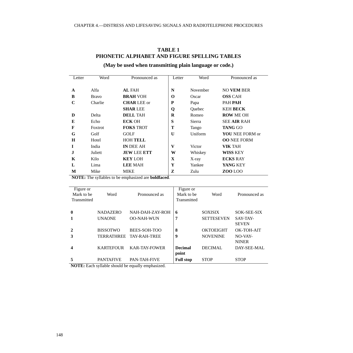# <span id="page-147-0"></span>**TABLE 1 PHONETIC ALPHABET AND FIGURE SPELLING TABLES**

| Letter       | Word         | Pronounced as      | Letter       | Word     | Pronounced as      |
|--------------|--------------|--------------------|--------------|----------|--------------------|
|              |              |                    |              |          |                    |
| $\mathbf{A}$ | Alfa         | <b>AL FAH</b>      | N            | November | <b>NO VEM BER</b>  |
| B            | <b>Bravo</b> | <b>BRAH VOH</b>    | $\Omega$     | Oscar    | <b>OSS CAH</b>     |
| $\mathbf C$  | Charlie      | <b>CHAR LEE or</b> | P            | Papa     | PAH PAH            |
|              |              | <b>SHAR LEE</b>    | Q            | Quebec   | <b>KEH BECK</b>    |
| D            | Delta        | <b>DELL TAH</b>    | R            | Romeo    | <b>ROW ME OH</b>   |
| E            | Echo         | <b>ECK OH</b>      | S            | Sierra   | <b>SEE AIR RAH</b> |
| F            | Foxtrot      | <b>FOKS TROT</b>   | Т            | Tango    | <b>TANG GO</b>     |
| G            | Golf         | <b>GOLF</b>        | $\mathbf{U}$ | Uniform  | YOU NEE FORM or    |
| H            | Hotel        | <b>HOH TELL</b>    |              |          | <b>OO NEE FORM</b> |
| I            | India        | <b>IN DEE AH</b>   | V            | Victor   | <b>VIK TAH</b>     |
| $\mathbf I$  | Juliett      | <b>JEW LEE ETT</b> | W            | Whiskey  | <b>WISS KEY</b>    |
| K            | Kilo         | <b>KEY LOH</b>     | $\mathbf{X}$ | X-ray    | <b>ECKS RAY</b>    |
| L            | Lima         | <b>LEE MAH</b>     | Y            | Yankee   | YANG KEY           |
| M            | Mike         | MIKE               | Z            | Zulu     | <b>ZOO LOO</b>     |

# **(May be used when transmitting plain language or code.)**

**NOTE:** The syllables to be emphasized are **boldfaced**.

| Figure or<br>Mark to be<br>Transmitted | Word                             | Pronounced as                        | Figure or<br>Mark to be<br>Transmitted | Word                                | Pronounced as                                  |
|----------------------------------------|----------------------------------|--------------------------------------|----------------------------------------|-------------------------------------|------------------------------------------------|
| $\mathbf 0$<br>1                       | <b>NADAZERO</b><br><b>UNAONE</b> | NAH-DAH-ZAY-ROH<br><b>OO-NAH-WUN</b> | 6<br>7                                 | <b>SOXISIX</b><br><b>SETTESEVEN</b> | <b>SOK-SEE-SIX</b><br>SAY-TAY-<br><b>SEVEN</b> |
| $\mathbf{2}$                           | <b>BISSOTWO</b>                  | BEES-SOH-TOO                         | 8                                      | <b>OKTOEIGHT</b>                    | OK-TOH-AIT                                     |
| 3                                      | <b>TERRATHREE</b>                | <b>TAY-RAH-TREE</b>                  | 9                                      | <b>NOVENINE</b>                     | NO-VAY-<br><b>NINER</b>                        |
| $\boldsymbol{4}$                       | <b>KARTEFOUR</b>                 | <b>KAR-TAY-FOWER</b>                 | <b>Decimal</b><br>point                | <b>DECIMAL</b>                      | DAY-SEE-MAL                                    |
| 5                                      | <b>PANTAFIVE</b>                 | PAN-TAH-FIVE                         | <b>Full stop</b>                       | <b>STOP</b>                         | <b>STOP</b>                                    |

**NOTE:** Each syllable should be equally emphasized.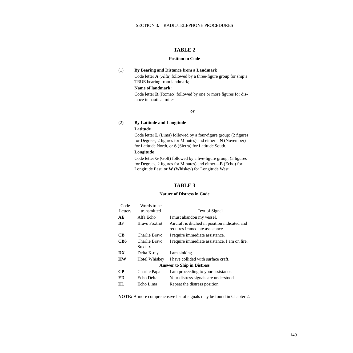# **TABLE 2**

#### **Position in Code**

### (1) **By Bearing and Distance from a Landmark**

Code letter **A** (Alfa) followed by a three-figure group for ship's TRUE bearing from landmark;

#### **Name of landmark:**

Code letter **R** (Romeo) followed by one or more figures for distance in nautical miles.

**or**

# (2) **By Latitude and Longitude**

**Latitude**

Code letter **L** (Lima) followed by a four-figure group; (2 figures for Degrees, 2 figures for Minutes) and either—**N** (November) for Latitude North, or **S** (Sierra) for Latitude South.

# **Longitude**

Code letter **G** (Golf) followed by a five-figure group; (3 figures for Degrees, 2 figures for Minutes) and either—**E** (Echo) for Longitude East, or **W** (Whiskey) for Longitude West.

### **TABLE 3**

#### **Nature of Distress in Code**

| Code      | Words to be              |                                                                                 |
|-----------|--------------------------|---------------------------------------------------------------------------------|
| Letters   | transmitted              | Text of Signal                                                                  |
| AE        | Alfa Echo                | I must abandon my vessel.                                                       |
| BF        | <b>Bravo Foxtrot</b>     | Aircraft is ditched in position indicated and<br>requires immediate assistance. |
| CB        | Charlie Bravo            | I require immediate assistance.                                                 |
| CB6       | Charlie Bravo<br>Soxisix | I require immediate assistance, I am on fire.                                   |
| DX        | Delta X-ray              | I am sinking.                                                                   |
| <b>HW</b> | Hotel Whiskey            | I have collided with surface craft.                                             |
|           |                          | <b>Answer to Ship in Distress</b>                                               |
| $\bf CP$  | Charlie Papa             | I am proceeding to your assistance.                                             |
| ED        | Echo Delta               | Your distress signals are understood.                                           |
| EL        | Echo Lima                | Repeat the distress position.                                                   |

**NOTE:** A more comprehensive list of signals may be found in Chapter 2.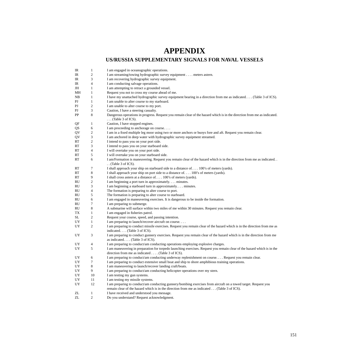# **APPENDIX US/RUSSIA SUPPLEMENTARY SIGNALS FOR NAVAL VESSELS**

| IR           | $\mathbf{1}$   | I am engaged in oceanographic operations.                                                                                                                                                                     |
|--------------|----------------|---------------------------------------------------------------------------------------------------------------------------------------------------------------------------------------------------------------|
| IR           | $\overline{c}$ | I am streaming/towing hydrographic survey equipment meters astern.                                                                                                                                            |
| IR           | 3              | I am recovering hydrographic survey equipment.                                                                                                                                                                |
| IR           | 4              | I am conducting salvage operations.                                                                                                                                                                           |
| JH           | $\mathbf{1}$   | I am attempting to retract a grounded vessel.                                                                                                                                                                 |
| MН           | $\mathbf{1}$   | Request you not to cross my course ahead of me.                                                                                                                                                               |
| NB           | $\mathbf{1}$   | I have my unattached hydrographic survey equipment bearing in a direction from me as indicated (Table 3 of ICS).                                                                                              |
| PJ           | $\mathbf{1}$   | I am unable to alter course to my starboard.                                                                                                                                                                  |
| PJ           | $\mathfrak{2}$ | I am unable to alter course to my port.                                                                                                                                                                       |
| PJ           | 3              | Caution, I have a steering casualty.                                                                                                                                                                          |
| PP           | 8              | Dangerous operations in progress. Request you remain clear of the hazard which is in the direction from me as indicated.<br>$\ldots$ (Table 3 of ICS).                                                        |
| QF           | $\mathbf{1}$   | Caution, I have stopped engines.                                                                                                                                                                              |
| QS           | 6              | I am proceeding to anchorage on course                                                                                                                                                                        |
|              | $\overline{c}$ |                                                                                                                                                                                                               |
| ${\bf QV}$   | 3              | I am in a fixed multiple leg moor using two or more anchors or buoys fore and aft. Request you remain clear.                                                                                                  |
| QV<br>RT     | $\mathfrak{2}$ | I am anchored in deep water with hydrographic survey equipment streamed.                                                                                                                                      |
|              |                | I intend to pass you on your port side.                                                                                                                                                                       |
| RT           | 3              | I intend to pass you on your starboard side.                                                                                                                                                                  |
| RT           | 4              | I will overtake you on your port side.                                                                                                                                                                        |
| RT           | 5              | I will overtake you on your starboard side.                                                                                                                                                                   |
| RT           | 6              | I am/Formation is maneuvering. Request you remain clear of the hazard which is in the direction from me as indicated<br>$\ldots$ (Table 3 of ICS).                                                            |
| RT           | 7              | I shall approach your ship on starboard side to a distance of $100$ 's of meters (yards).                                                                                                                     |
| RT           | 8              | I shall approach your ship on port side to a distance of 100's of meters (yards).                                                                                                                             |
| RT           | 9              | I shall cross astern at a distance of 100's of meters (yards).                                                                                                                                                |
| RU           | $\mathfrak{2}$ | I am beginning a port turn in approximately minutes.                                                                                                                                                          |
| RU           | 3              | I am beginning a starboard turn in approximatelyminutes.                                                                                                                                                      |
| RU           | 4              | The formation is preparing to alter course to port.                                                                                                                                                           |
| RU           | 5              | The formation is preparing to alter course to starboard.                                                                                                                                                      |
| RU           | 6              | I am engaged in maneuvering exercises. It is dangerous to be inside the formation.                                                                                                                            |
| RU           | 7              | I am preparing to submerge.                                                                                                                                                                                   |
| RU           | 8              | A submarine will surface within two miles of me within 30 minutes. Request you remain clear.                                                                                                                  |
| TX           | $\mathbf{1}$   | I am engaged in fisheries patrol.                                                                                                                                                                             |
| SL           | $\overline{c}$ | Request your course, speed, and passing intention.                                                                                                                                                            |
| UY           | $\mathbf{1}$   | I am preparing to launch/recover aircraft on course                                                                                                                                                           |
| UY           | $\mathfrak{2}$ | I am preparing to conduct missile exercises. Request you remain clear of the hazard which is in the direction from me as<br>indicated (Table 3 of ICS).                                                       |
| UY           | 3              | I am preparing to conduct gunnery exercises. Request you remain clear of the hazard which is in the direction from me<br>as indicated (Table 3 of ICS).                                                       |
| UY           | $\overline{4}$ | I am preparing to conduct/am conducting operations employing explosive charges.                                                                                                                               |
| UY           | 5              | I am maneuvering in preparation for torpedo launching exercises. Request you remain clear of the hazard which is in the                                                                                       |
|              |                | direction from me as indicated $\dots$ (Table 3 of ICS).                                                                                                                                                      |
| UY           | 6              | I am preparing to conduct/am conducting underway replenishment on course Request you remain clear.                                                                                                            |
| UY           | 7              | I am preparing to conduct extensive small boat and ship to shore amphibious training operations.                                                                                                              |
| UY           | 8              | I am maneuvering to launch/recover landing craft/boats.                                                                                                                                                       |
| UY           | 9              | I am preparing to conduct/am conducting helicopter operations over my stern.                                                                                                                                  |
| $_{\rm{UY}}$ | 10             | I am testing my gun systems.                                                                                                                                                                                  |
| UY           | 11             | I am testing my missile systems.                                                                                                                                                                              |
| UY           | 12             | I am preparing to conduct/am conducting gunnery/bombing exercises from aircraft on a towed target. Request you<br>remain clear of the hazard which is in the direction from me as indicated (Table 3 of ICS). |
| ZL           | $\mathbf{1}$   | I have received and understood you message.                                                                                                                                                                   |
| ZL           | $\overline{c}$ | Do you understand? Request acknowledgment.                                                                                                                                                                    |
|              |                |                                                                                                                                                                                                               |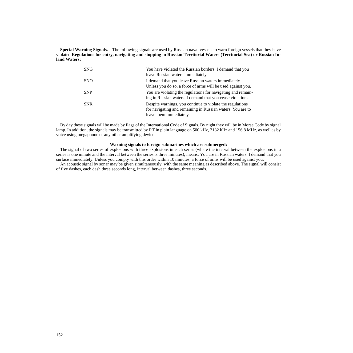**Special Warning Signals.—**The following signals are used by Russian naval vessels to warn foreign vessels that they have violated **Regulations for entry, navigating and stopping in Russian Territorial Waters (Territorial Sea) or Russian Inland Waters:**

| <b>SNG</b> | You have violated the Russian borders. I demand that you<br>leave Russian waters immediately. |
|------------|-----------------------------------------------------------------------------------------------|
| <b>SNO</b> | I demand that you leave Russian waters immediately.                                           |
|            | Unless you do so, a force of arms will be used against you.                                   |
| <b>SNP</b> | You are violating the regulations for navigating and remain-                                  |
|            | ing in Russian waters. I demand that you cease violations.                                    |
| <b>SNR</b> | Despite warnings, you continue to violate the regulations                                     |
|            | for navigating and remaining in Russian waters. You are to                                    |
|            | leave them immediately.                                                                       |

By day these signals will be made by flags of the International Code of Signals. By night they will be in Morse Code by signal lamp. In addition, the signals may be transmitted by RT in plain language on 500 kHz, 2182 kHz and 156.8 MHz, as well as by voice using megaphone or any other amplifying device.

#### **Warning signals to foreign submarines which are submerged:**

The signal of two series of explosions with three explosions in each series (where the interval between the explosions in a series is one minute and the interval between the series is three minutes), means: You are in Russian waters. I demand that you surface immediately. Unless you comply with this order within 10 minutes, a force of arms will be used against you.

An acoustic signal by sonar may be given simultaneously, with the same meaning as described above. The signal will consist of five dashes, each dash three seconds long, interval between dashes, three seconds.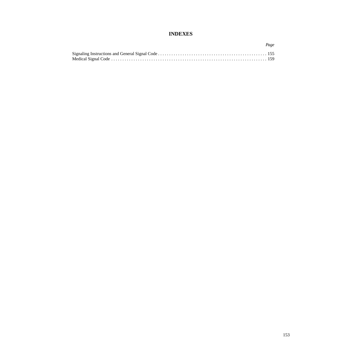# **INDEXES**

| Page |
|------|
|      |
|      |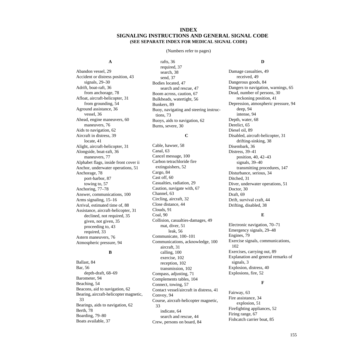# **INDEX SIGNALING INSTRUCTIONS AND GENERAL SIGNAL CODE (SEE SEPARATE INDEX FOR MEDICAL SIGNAL CODE)**

#### (Numbers refer to pages)

#### **A**

<span id="page-152-0"></span>Abandon vessel, 29 Accident or distress position, 43 signals, 29–30 Adrift, boat-raft, 36 from anchorage, 78 Afloat, aircraft-helicopter, 31 from grounding, 54 Aground assistance, 36 vessel, 36 Ahead, engine maneuvers, 60 maneuvers, 76 Aids to navigation, 62 Aircraft in distress, 39 locate, 41 Alight, aircraft-helicopter, 31 Alongside, boat-raft, 36 maneuvers, 77 Alphabet flags, inside front cover ii Anchor, underwater operations, 51 Anchorage, 78 port-harbor, 87 towing to, 57 Anchoring, 77–78 Answer, communications, 100 Arms signaling, 15–16 Arrival, estimated time of, 88 Assistance, aircraft-helicopter, 31 declined, not required, 35 given, not given, 35 proceeding to, 43 required, 33 Astern maneuvers, 76 Atmospheric pressure, 94

#### **B**

Ballast, 84 Bar, 56 depth-draft, 68–69 Barometer, 94 Beaching, 54 Beacons, aid to navigation, 62 Bearing, aircraft-helicopter magnetic, 33 Bearings, aids to navigation, 62 Berth, 78 Boarding, 79–80 Boats available, 37

rafts, 36 required, 37 search, 38 send, 37 Bodies located, 47 search and rescue, 47 Boom across, caution, 67 Bulkheads, watertight, 56 Bunkers, 89 Buoy, navigating and steering instructions, 73 Buoys, aids to navigation, 62 Burns, severe, 30

# **C**

Cable, hawser, 58 Canal, 63 Cancel message, 100 Carbon tetrachloride fire extinguishers, 52 Cargo, 84 Cast off, 60 Casualties, radiation, 29 Caution, navigate with, 67 Channel, 63 Circling, aircraft, 32 Close distance, 44 Clouds, 91 Coal, 90 Collision, casualties-damages, 49 mat, diver, 51 leak, 56 Communicate, 100–101 Communications, acknowledge, 100 aircraft, 31 calling, 100 exercise, 102 reception, 102 transmission, 102 Compass, adjusting, 71 Complements tables, 104 Connect, towing, 57 Contact vessel/aircraft in distress, 41 Convoy, 94 Course, aircraft-helicopter magnetic, 33 indicate, 64 search and rescue, 44 Crew, persons on board, 84

#### **D**

Damage casualties, 49 received, 49 Dangerous goods, 84 Dangers to navigation, warnings, 65 Dead, number of persons, 30 reckoning position, 41 Depression, atmospheric pressure, 94 deep, 94 intense, 94 Depth, water, 68 Derelict, 65 Diesel oil, 89 Disabled, aircraft-helicopter, 31 drifting-sinking, 38 Disembark, 36 Distress, 39–41 position, 40, 42–43 signals, 39–40 transmitting procedures, 147 Disturbance, serious, 34 Ditched, 31 Diver, underwater operations, 51 Doctor, 30 Draft, 69 Drift, survival craft, 44 Drifting, disabled, 38

#### **E**

Electronic navigation, 70–71 Emergency signals, 29–48 Engines, 79 Exercise signals, communications, 102 Exercises, carrying out, 89 Explanation and general remarks of signals, 3 Explosion, distress, 40 Explosions, fire, 52

#### **F**

Fairway, 63 Fire assistance, 34 explosion, 51 Firefighting appliances, 52 Firing range, 67 Fishcatch carrier boat, 85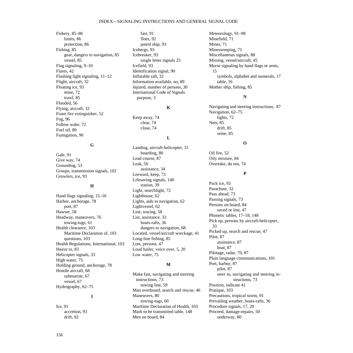#### INDEX—SIGNALING INSTRUCTIONS AND GENERAL SIGNAL CODE

Fishery, 85–86 limits, 86 protection, 86 Fishing, 85 gear, dangers to navigation, 85 vessel, 85 Flag signaling, 9–10 Flares, 42 Flashing light signaling, 11–12 Flight, aircraft, 32 Floating ice, 93 mine, 72 trawl, 85 Flooded, 56 Flying, aircraft, 32 Foam fire extinguisher, 52 Fog, 96 Follow wake, 72 Fuel oil, 89 Fumigation, 90

#### **G**

Gale, 91 Give way, 74 Grounding, 53 Groups, transmission signals, 102 Growlers, ice, 93

#### **H**

Hand flags signaling, 15–16 Harbor, anchorage, 78 port, 87 Hawser, 58 Headway, maneuvers, 76 towing-tugs, 61 Health clearance, 103 Maritime Declaration of, 103 questions, 103 Health Regulations, International, 103 Heave to, 83 Helicopter signals, 33 High water, 75 Holding ground, anchorage, 78 Hostile aircraft, 68 submarine, 67 vessel, 67 Hydrography, 62–75

# **I**

Ice, 91 accretion, 93 drift, 92

fast, 91 floes, 92 patrol ship, 93 Icebergs, 93 Icebreaker, 93 single letter signals 25 Icefield, 93 Identification signal, 90 Inflatable raft, 32 Information available, no, 89 Injured, number of persons, 30 International Code of Signals purpose, 3

#### **K**

Keep away, 74 clear, 74 close, 74

# **L**

Landing, aircraft-helicopter, 31 boarding, 80 Lead course, 87 Leak, 56 assistance, 34 Leeward, keep, 73 Lifesaving signals, 140 station, 39 Light, searchlight, 72 Lighthouse, 62 Lights, aids to navigation, 62 Lightvessel, 62 Line, towing, 58 List, assistance, 33 boats-rafts, 36 dangers to navigation, 68 Located, vessel/aircraft wreckage, 41 Long-line fishing, 85 Lost, persons, 47 Loud hailer, voice over, 5, 20 Low water, 75

#### **M**

Make fast, navigating and steering instructions, 73 towing line, 59 Man overboard, search and rescue, 46 Maneuvers, 80 towing-tugs, 60 Maritime Declaration of Health, 103 Mark to be transmitted table, 148 Men on board, 84

Meteorology, 91–98 Minefield, 71 Mines, 71 Minesweeping, 71 Miscellaneous signals, 88 Missing, vessel/aircraft, 45 Morse signaling by hand flags or arms, 15 symbols, alphabet and numerals, 17 table, 16 Mother ship, fishing, 85

### **N**

Navigating and steering instructions, 87 Navigation, 62–75 lights, 72 Nets, 85 drift, 85 seine, 85

#### **O**

Oil fire, 52 Oily mixture, 84 Overtake, do not, 74

#### **P**

Pack ice, 93 Parachute, 32 Pass ahead, 73 Passing signals, 73 Persons on board, 84 saved or lost, 47 Phonetic tables, 17–18, 148 Pick up, persons by aircraft-helicopter, 33 Picked up, search and rescue, 47 Pilot, 87 assistance, 87 boat, 87 Pilotage, radar, 70, 87 Plain language communications, 101 Port, harbor, 87 pilot, 87 steer to, navigating and steering instructions, 73 Position, indicate 41 Pratique, 103 Precautions, tropical storm, 91 Prevailing weather, boats-rafts, 36 Procedure signals, 17, 20 Proceed, damage-repairs, 50 underway, 80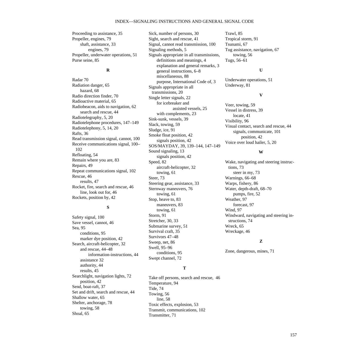#### INDEX—SIGNALING INSTRUCTIONS AND GENERAL SIGNAL CODE

Proceeding to assistance, 35 Propeller, engines, 79 shaft, assistance, 33 engines, 79 Propeller, underwater operations, 51 Purse seine, 85

#### **R**

Radar 70 Radiation danger, 65 hazard, 68 Radio direction finder, 70 Radioactive material, 65 Radiobeacon, aids to navigation, 62 search and rescue, 44 Radiotelegraphy, 5, 20 Radiotelephone procedures, 147–149 Radiotelephony, 5, 14, 20 Rafts, 36 Read transmission signal, cannot, 100 Receive communications signal, 100– 102 Refloating, 54 Remain where you are, 83 Repairs, 49 Repeat communications signal, 102 Rescue, 46 results, 47 Rocket, fire, search and rescue, 46 line, look out for, 46 Rockets, position by, 42

### **S**

Safety signal, 100 Save vessel, cannot, 46 Sea, 95 conditions, 95 marker dye position, 42 Search, aircraft-helicopter, 32 and rescue, 44–48 information-instructions, 44 assistance 32 authority, 44 results, 45 Searchlight, navigation lights, 72 position, 42 Send, boat-raft, 37 Set and drift, search and rescue, 44 Shallow water, 65 Shelter, anchorage, 78 towing, 58 Shoal, 65

Sick, number of persons, 30 Sight, search and rescue, 41 Signal, cannot read transmission, 100 Signaling methods, 5 Signals appropriate in all transmissions, definitions and meanings, 4 explanation and general remarks, 3 general instructions, 6–8 miscellaneous, 88 purpose, International Code of, 3 Signals appropriate in all transmissions, 20 Single letter signals, 22 for icebreaker and assisted vessels, 25 with complements, 23 Sink-sunk, vessels, 39 Slack, towing, 59 Sludge, ice, 91 Smoke float position, 42 signals position, 42 SOS/MAYDAY, 39, 139–144, 147–149 Sound signaling, 13 signals position, 42 Speed, 82 aircraft-helicopter, 32 towing, 61 Steer, 73 Steering gear, assistance, 33 Sternway maneuvers, 76 towing, 61 Stop, heave to, 83 maneuvers, 83 towing, 61 Storm, 91 Stretcher, 30, 33 Submarine survey, 51 Survival craft, 35 Survivors 47–48 Sweep, net, 86 Swell, 95–96

#### **T**

conditions, 95 Swept channel, 72

Take off persons, search and rescue, 46 Temperature, 94 Tide, 74 Towing, 56 line, 58 Toxic effects, explosion, 53 Transmit, communications, 102 Transmitter, 71

Trawl, 85 Tropical storm, 91 Tsunami, 67 Tug assistance, navigation, 67 towing, 56 Tugs, 56–61

#### **U**

Underwater operations, 51 Underway, 81

#### **V**

Veer, towing, 59 Vessel in distress, 39 locate, 41 Visibility, 96 Visual contact, search and rescue, 44 signals, communicate, 101 position, 42 Voice over loud hailer, 5, 20

#### **W**

Wake, navigating and steering instructions, 73 steer in my, 73 Warnings, 66–68 Warps, fishery, 86 Water, depth-draft, 68–70 pumps, fire, 52 Weather, 97 forecast, 97 Wind, 97 Windward, navigating and steering instructions, 74 Wreck, 65 Wreckage, 46

#### **Z**

Zone, dangerous, mines, 71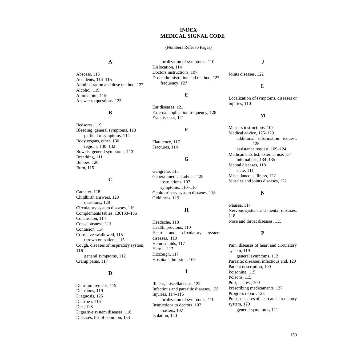# **INDEX MEDICAL SIGNAL CODE**

#### (Numbers Refer to Pages)

**A**

<span id="page-155-0"></span>Abscess, 113 Accidents, 114–115 Administration and dose method, 127 Alcohol, 119 Animal bite, 115 Answer to questions, 125

# **B**

Bedsores, 119 Bleeding, general symptoms, 113 particular symptoms, 114 Body organs, other, 130 regions, 130–132 Bowels, general symptoms, 113 Breathing, 111 Buboes, 120 Burn, 115

### **C**

Catheter, 118 Childbirth answers, 123 questions, 128 Circulatory system diseases, 119 Complements tables, 130133–135 Concussion, 114 Consciousness, 111 Contusion, 114 Corrosive swallowed, 115 thrown on patient, 115 Cough, diseases of respiratory system, 116 general symptoms, 112 Cramp pains, 117

# **D**

Delirium tremens, 119 Delusions, 119 Diagnosis, 125 Diarrhea, 116 Diet, 128 Digestive system diseases, 116 Diseases, list of common, 133

localization of symptoms, 110 Dislocation, 114 Doctors instructions, 107 Dose administration and method, 127 frequency, 127

# **E**

Ear diseases, 121 External application frequency, 128 Eye diseases, 121

# **F**

Flatulence, 117 Fractures, 114

# **G**

Gangrene, 115 General medical advice, 125 instructions, 107 symptoms, 110–116 Genitourinary system diseases, 118 Giddiness, 119

# **H**

Headache, 118 Health, previous, 110 Heart and circulatory system diseases, 119 Hemorrhoids, 117 Hernia, 117 Hiccough, 117 Hospital admission, 109

# **I**

Illness, miscellaneous, 122 Infectious and parasitic diseases, 120 Injuries, 114–115 localization of symptoms, 110 Instructions to doctors, 107 masters, 107 Isolation, 120

### **J**

Joints diseases, 122

# **L**

Localization of symptoms, diseases or injuries, 110

# **M**

Masters instructions, 107 Medical advice, 125–129 additional information request, 125 assistance request, 109–124 Medicaments list, external use, 134 internal use, 134–135 Mental diseases, 118 state, 111 Miscellaneous illness, 122 Muscles and joints diseases, 122

# **N**

Nausea, 117 Nervous system and mental diseases, 118 Nose and throat diseases, 115

# **P**

Pain, diseases of heart and circulatory system, 119 general symptoms, 112 Parasitic diseases, infectious and, 120 Patient description, 109 Poisoning, 115 Poisons, 115 Port, nearest, 109 Prescribing medicaments, 127 Progress report, 123 Pulse, diseases of heart and circulatory system, 120 general symptoms, 111